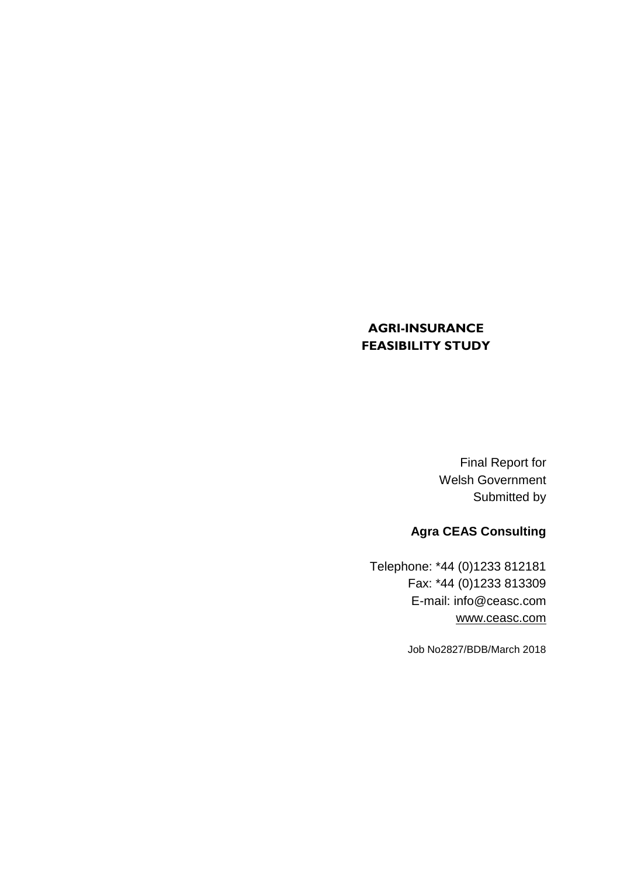### **AGRI-INSURANCE FEASIBILITY STUDY**

Final Report for Welsh Government Submitted by

# **Agra CEAS Consulting**

Telephone: \*44 (0)1233 812181 Fax: \*44 (0)1233 813309 E-mail: info@ceasc.com [www.ceasc.com](http://www.ceasc.com/)

Job No2827/BDB/March 2018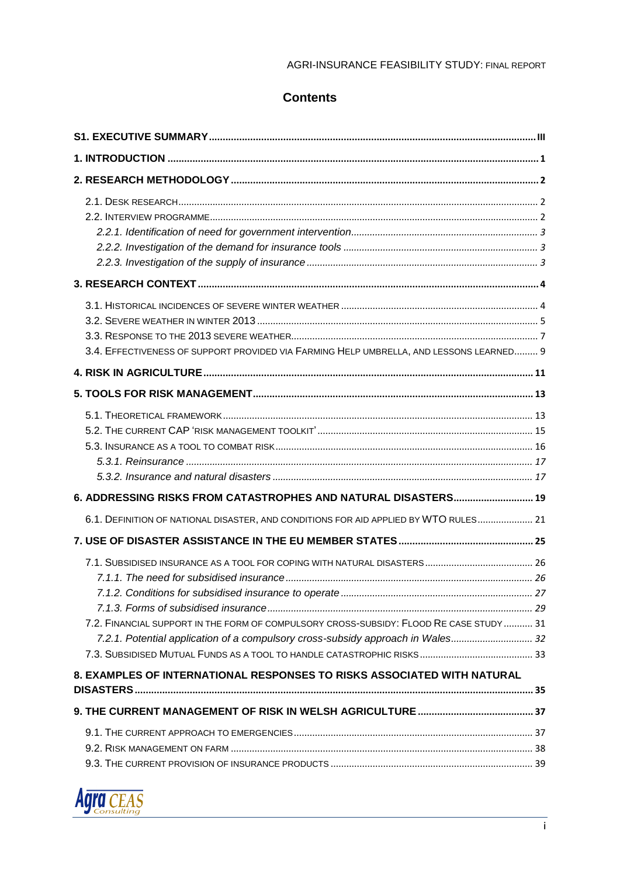#### AGRI-INSURANCE FEASIBILITY STUDY: FINAL REPORT

### **Contents**

| 3.4. EFFECTIVENESS OF SUPPORT PROVIDED VIA FARMING HELP UMBRELLA, AND LESSONS LEARNED 9                                                                                    |
|----------------------------------------------------------------------------------------------------------------------------------------------------------------------------|
|                                                                                                                                                                            |
|                                                                                                                                                                            |
|                                                                                                                                                                            |
| 6. ADDRESSING RISKS FROM CATASTROPHES AND NATURAL DISASTERS 19                                                                                                             |
| 6.1. DEFINITION OF NATIONAL DISASTER, AND CONDITIONS FOR AID APPLIED BY WTO RULES 21                                                                                       |
|                                                                                                                                                                            |
| 7.2. FINANCIAL SUPPORT IN THE FORM OF COMPULSORY CROSS-SUBSIDY: FLOOD RE CASE STUDY  31<br>7.2.1. Potential application of a compulsory cross-subsidy approach in Wales 32 |
| 8. EXAMPLES OF INTERNATIONAL RESPONSES TO RISKS ASSOCIATED WITH NATURAL                                                                                                    |
|                                                                                                                                                                            |
|                                                                                                                                                                            |

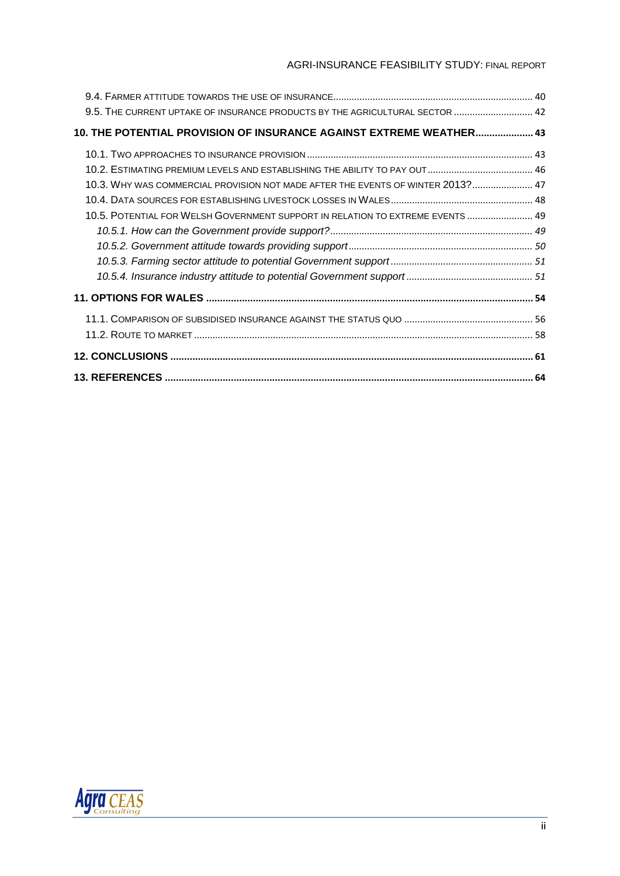#### AGRI-INSURANCE FEASIBILITY STUDY: FINAL REPORT

| 9.5. THE CURRENT UPTAKE OF INSURANCE PRODUCTS BY THE AGRICULTURAL SECTOR  42    |  |
|---------------------------------------------------------------------------------|--|
| 10. THE POTENTIAL PROVISION OF INSURANCE AGAINST EXTREME WEATHER 43             |  |
|                                                                                 |  |
|                                                                                 |  |
| 10.3. WHY WAS COMMERCIAL PROVISION NOT MADE AFTER THE EVENTS OF WINTER 2013? 47 |  |
|                                                                                 |  |
| 10.5. POTENTIAL FOR WELSH GOVERNMENT SUPPORT IN RELATION TO EXTREME EVENTS  49  |  |
|                                                                                 |  |
|                                                                                 |  |
|                                                                                 |  |
|                                                                                 |  |
|                                                                                 |  |
|                                                                                 |  |
|                                                                                 |  |
|                                                                                 |  |
|                                                                                 |  |

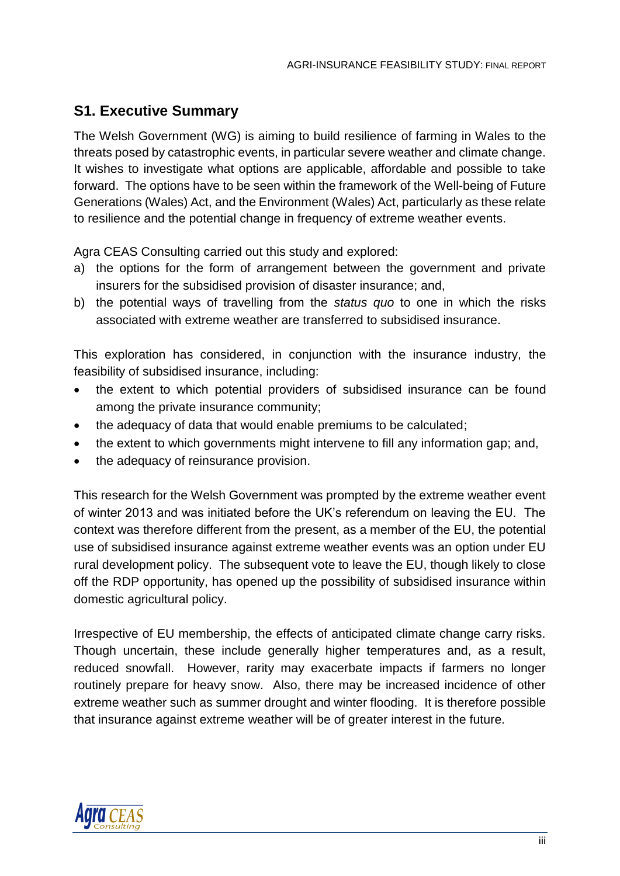## <span id="page-3-0"></span>**S1. Executive Summary**

The Welsh Government (WG) is aiming to build resilience of farming in Wales to the threats posed by catastrophic events, in particular severe weather and climate change. It wishes to investigate what options are applicable, affordable and possible to take forward. The options have to be seen within the framework of the Well-being of Future Generations (Wales) Act, and the Environment (Wales) Act, particularly as these relate to resilience and the potential change in frequency of extreme weather events.

Agra CEAS Consulting carried out this study and explored:

- a) the options for the form of arrangement between the government and private insurers for the subsidised provision of disaster insurance; and,
- b) the potential ways of travelling from the *status quo* to one in which the risks associated with extreme weather are transferred to subsidised insurance.

This exploration has considered, in conjunction with the insurance industry, the feasibility of subsidised insurance, including:

- the extent to which potential providers of subsidised insurance can be found among the private insurance community;
- the adequacy of data that would enable premiums to be calculated;
- the extent to which governments might intervene to fill any information gap; and,
- the adequacy of reinsurance provision.

This research for the Welsh Government was prompted by the extreme weather event of winter 2013 and was initiated before the UK's referendum on leaving the EU. The context was therefore different from the present, as a member of the EU, the potential use of subsidised insurance against extreme weather events was an option under EU rural development policy. The subsequent vote to leave the EU, though likely to close off the RDP opportunity, has opened up the possibility of subsidised insurance within domestic agricultural policy.

Irrespective of EU membership, the effects of anticipated climate change carry risks. Though uncertain, these include generally higher temperatures and, as a result, reduced snowfall. However, rarity may exacerbate impacts if farmers no longer routinely prepare for heavy snow. Also, there may be increased incidence of other extreme weather such as summer drought and winter flooding. It is therefore possible that insurance against extreme weather will be of greater interest in the future.

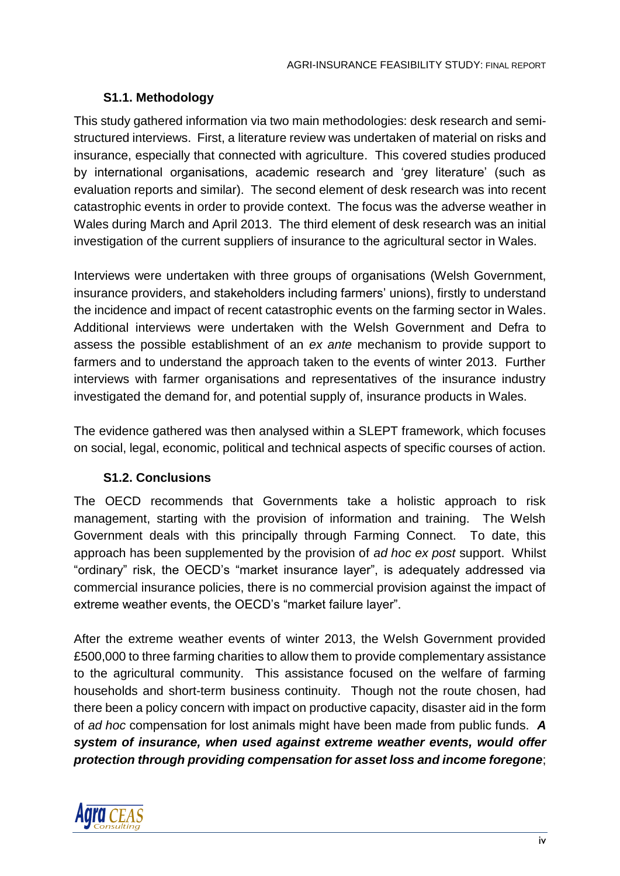### **S1.1. Methodology**

This study gathered information via two main methodologies: desk research and semistructured interviews. First, a literature review was undertaken of material on risks and insurance, especially that connected with agriculture. This covered studies produced by international organisations, academic research and 'grey literature' (such as evaluation reports and similar). The second element of desk research was into recent catastrophic events in order to provide context. The focus was the adverse weather in Wales during March and April 2013. The third element of desk research was an initial investigation of the current suppliers of insurance to the agricultural sector in Wales.

Interviews were undertaken with three groups of organisations (Welsh Government, insurance providers, and stakeholders including farmers' unions), firstly to understand the incidence and impact of recent catastrophic events on the farming sector in Wales. Additional interviews were undertaken with the Welsh Government and Defra to assess the possible establishment of an *ex ante* mechanism to provide support to farmers and to understand the approach taken to the events of winter 2013. Further interviews with farmer organisations and representatives of the insurance industry investigated the demand for, and potential supply of, insurance products in Wales.

The evidence gathered was then analysed within a SLEPT framework, which focuses on social, legal, economic, political and technical aspects of specific courses of action.

### **S1.2. Conclusions**

The OECD recommends that Governments take a holistic approach to risk management, starting with the provision of information and training. The Welsh Government deals with this principally through Farming Connect. To date, this approach has been supplemented by the provision of *ad hoc ex post* support. Whilst "ordinary" risk, the OECD's "market insurance layer", is adequately addressed via commercial insurance policies, there is no commercial provision against the impact of extreme weather events, the OECD's "market failure layer".

After the extreme weather events of winter 2013, the Welsh Government provided £500,000 to three farming charities to allow them to provide complementary assistance to the agricultural community. This assistance focused on the welfare of farming households and short-term business continuity. Though not the route chosen, had there been a policy concern with impact on productive capacity, disaster aid in the form of *ad hoc* compensation for lost animals might have been made from public funds. *A system of insurance, when used against extreme weather events, would offer protection through providing compensation for asset loss and income foregone*;

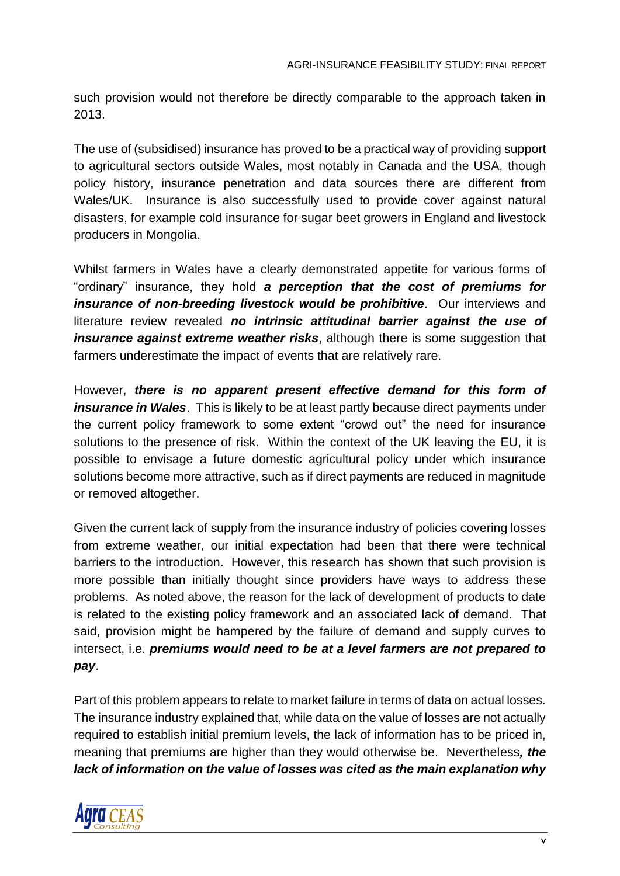such provision would not therefore be directly comparable to the approach taken in 2013.

The use of (subsidised) insurance has proved to be a practical way of providing support to agricultural sectors outside Wales, most notably in Canada and the USA, though policy history, insurance penetration and data sources there are different from Wales/UK. Insurance is also successfully used to provide cover against natural disasters, for example cold insurance for sugar beet growers in England and livestock producers in Mongolia.

Whilst farmers in Wales have a clearly demonstrated appetite for various forms of "ordinary" insurance, they hold *a perception that the cost of premiums for insurance of non-breeding livestock would be prohibitive*. Our interviews and literature review revealed *no intrinsic attitudinal barrier against the use of insurance against extreme weather risks*, although there is some suggestion that farmers underestimate the impact of events that are relatively rare.

However, *there is no apparent present effective demand for this form of insurance in Wales*. This is likely to be at least partly because direct payments under the current policy framework to some extent "crowd out" the need for insurance solutions to the presence of risk. Within the context of the UK leaving the EU, it is possible to envisage a future domestic agricultural policy under which insurance solutions become more attractive, such as if direct payments are reduced in magnitude or removed altogether.

Given the current lack of supply from the insurance industry of policies covering losses from extreme weather, our initial expectation had been that there were technical barriers to the introduction. However, this research has shown that such provision is more possible than initially thought since providers have ways to address these problems. As noted above, the reason for the lack of development of products to date is related to the existing policy framework and an associated lack of demand. That said, provision might be hampered by the failure of demand and supply curves to intersect, i.e. *premiums would need to be at a level farmers are not prepared to pay*.

Part of this problem appears to relate to market failure in terms of data on actual losses. The insurance industry explained that, while data on the value of losses are not actually required to establish initial premium levels, the lack of information has to be priced in, meaning that premiums are higher than they would otherwise be. Nevertheless*, the lack of information on the value of losses was cited as the main explanation why* 

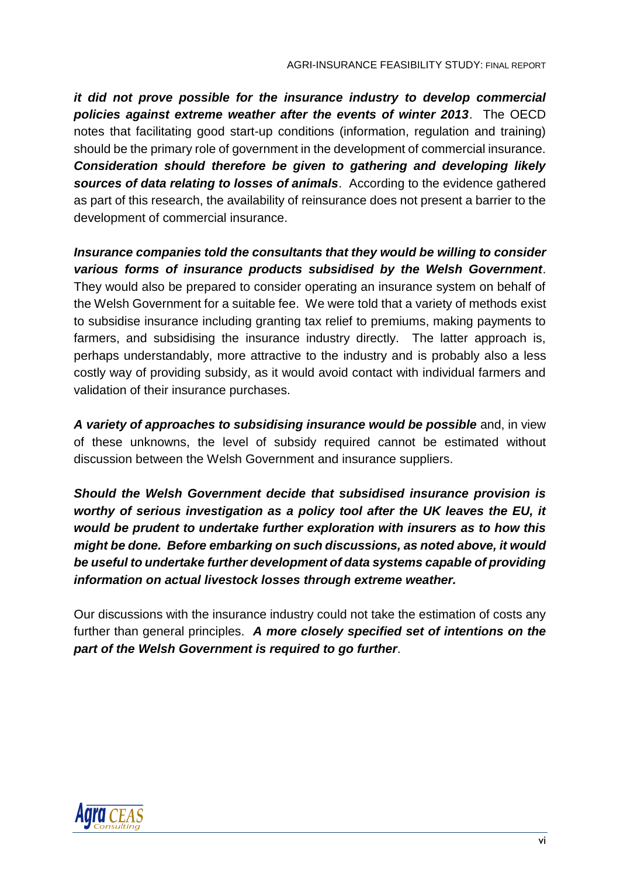*it did not prove possible for the insurance industry to develop commercial policies against extreme weather after the events of winter 2013*. The OECD notes that facilitating good start-up conditions (information, regulation and training) should be the primary role of government in the development of commercial insurance. *Consideration should therefore be given to gathering and developing likely sources of data relating to losses of animals*. According to the evidence gathered as part of this research, the availability of reinsurance does not present a barrier to the development of commercial insurance.

*Insurance companies told the consultants that they would be willing to consider various forms of insurance products subsidised by the Welsh Government*. They would also be prepared to consider operating an insurance system on behalf of the Welsh Government for a suitable fee. We were told that a variety of methods exist to subsidise insurance including granting tax relief to premiums, making payments to farmers, and subsidising the insurance industry directly. The latter approach is, perhaps understandably, more attractive to the industry and is probably also a less costly way of providing subsidy, as it would avoid contact with individual farmers and validation of their insurance purchases.

*A variety of approaches to subsidising insurance would be possible* and, in view of these unknowns, the level of subsidy required cannot be estimated without discussion between the Welsh Government and insurance suppliers.

*Should the Welsh Government decide that subsidised insurance provision is worthy of serious investigation as a policy tool after the UK leaves the EU, it would be prudent to undertake further exploration with insurers as to how this might be done. Before embarking on such discussions, as noted above, it would be useful to undertake further development of data systems capable of providing information on actual livestock losses through extreme weather.*

Our discussions with the insurance industry could not take the estimation of costs any further than general principles. *A more closely specified set of intentions on the part of the Welsh Government is required to go further*.

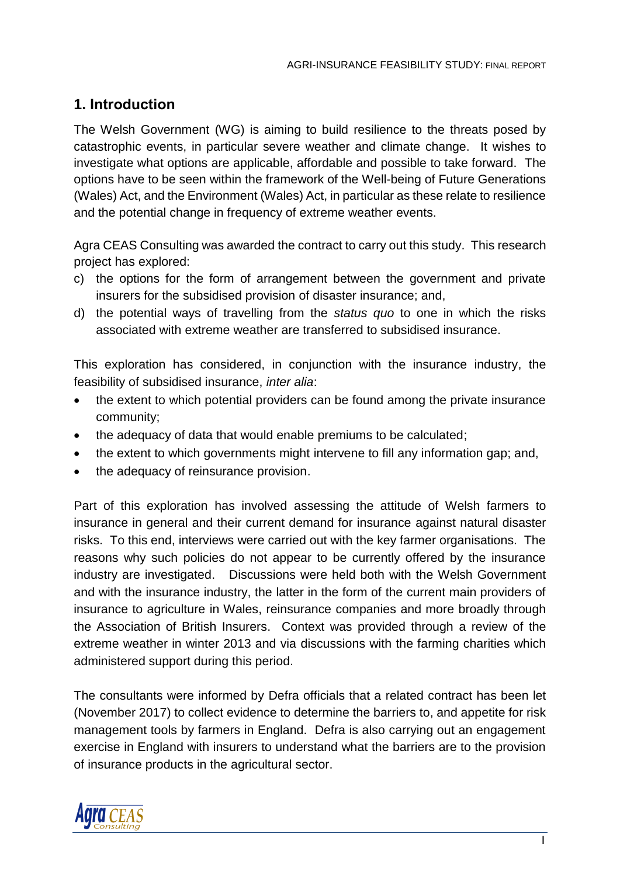## <span id="page-7-0"></span>**1. Introduction**

The Welsh Government (WG) is aiming to build resilience to the threats posed by catastrophic events, in particular severe weather and climate change. It wishes to investigate what options are applicable, affordable and possible to take forward. The options have to be seen within the framework of the Well-being of Future Generations (Wales) Act, and the Environment (Wales) Act, in particular as these relate to resilience and the potential change in frequency of extreme weather events.

Agra CEAS Consulting was awarded the contract to carry out this study. This research project has explored:

- c) the options for the form of arrangement between the government and private insurers for the subsidised provision of disaster insurance; and,
- d) the potential ways of travelling from the *status quo* to one in which the risks associated with extreme weather are transferred to subsidised insurance.

This exploration has considered, in conjunction with the insurance industry, the feasibility of subsidised insurance, *inter alia*:

- the extent to which potential providers can be found among the private insurance community;
- the adequacy of data that would enable premiums to be calculated;
- the extent to which governments might intervene to fill any information gap; and,
- the adequacy of reinsurance provision.

Part of this exploration has involved assessing the attitude of Welsh farmers to insurance in general and their current demand for insurance against natural disaster risks. To this end, interviews were carried out with the key farmer organisations. The reasons why such policies do not appear to be currently offered by the insurance industry are investigated. Discussions were held both with the Welsh Government and with the insurance industry, the latter in the form of the current main providers of insurance to agriculture in Wales, reinsurance companies and more broadly through the Association of British Insurers. Context was provided through a review of the extreme weather in winter 2013 and via discussions with the farming charities which administered support during this period.

The consultants were informed by Defra officials that a related contract has been let (November 2017) to collect evidence to determine the barriers to, and appetite for risk management tools by farmers in England. Defra is also carrying out an engagement exercise in England with insurers to understand what the barriers are to the provision of insurance products in the agricultural sector.

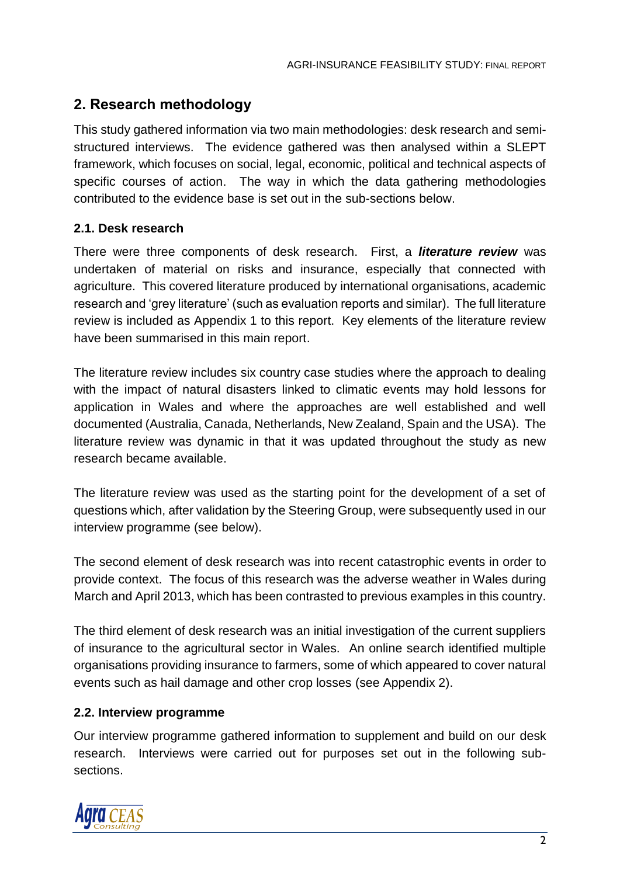# <span id="page-8-0"></span>**2. Research methodology**

This study gathered information via two main methodologies: desk research and semistructured interviews. The evidence gathered was then analysed within a SLEPT framework, which focuses on social, legal, economic, political and technical aspects of specific courses of action. The way in which the data gathering methodologies contributed to the evidence base is set out in the sub-sections below.

### <span id="page-8-1"></span>**2.1. Desk research**

There were three components of desk research. First, a *literature review* was undertaken of material on risks and insurance, especially that connected with agriculture. This covered literature produced by international organisations, academic research and 'grey literature' (such as evaluation reports and similar). The full literature review is included as Appendix 1 to this report. Key elements of the literature review have been summarised in this main report.

The literature review includes six country case studies where the approach to dealing with the impact of natural disasters linked to climatic events may hold lessons for application in Wales and where the approaches are well established and well documented (Australia, Canada, Netherlands, New Zealand, Spain and the USA). The literature review was dynamic in that it was updated throughout the study as new research became available.

The literature review was used as the starting point for the development of a set of questions which, after validation by the Steering Group, were subsequently used in our interview programme (see below).

The second element of desk research was into recent catastrophic events in order to provide context. The focus of this research was the adverse weather in Wales during March and April 2013, which has been contrasted to previous examples in this country.

The third element of desk research was an initial investigation of the current suppliers of insurance to the agricultural sector in Wales. An online search identified multiple organisations providing insurance to farmers, some of which appeared to cover natural events such as hail damage and other crop losses (see Appendix 2).

### <span id="page-8-2"></span>**2.2. Interview programme**

Our interview programme gathered information to supplement and build on our desk research. Interviews were carried out for purposes set out in the following subsections.

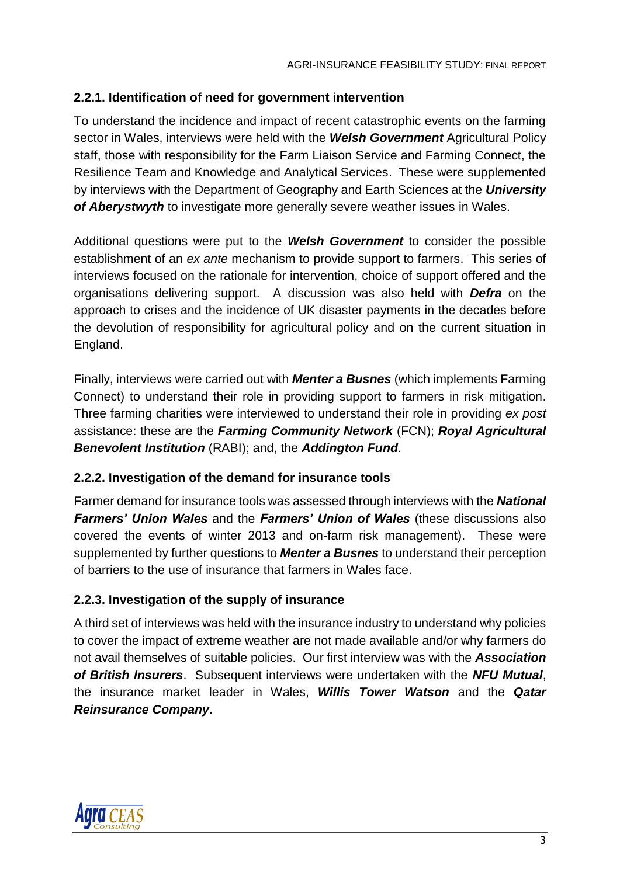### <span id="page-9-0"></span>**2.2.1. Identification of need for government intervention**

To understand the incidence and impact of recent catastrophic events on the farming sector in Wales, interviews were held with the *Welsh Government* Agricultural Policy staff, those with responsibility for the Farm Liaison Service and Farming Connect, the Resilience Team and Knowledge and Analytical Services. These were supplemented by interviews with the Department of Geography and Earth Sciences at the *University of Aberystwyth* to investigate more generally severe weather issues in Wales.

Additional questions were put to the *Welsh Government* to consider the possible establishment of an *ex ante* mechanism to provide support to farmers. This series of interviews focused on the rationale for intervention, choice of support offered and the organisations delivering support. A discussion was also held with *Defra* on the approach to crises and the incidence of UK disaster payments in the decades before the devolution of responsibility for agricultural policy and on the current situation in England.

Finally, interviews were carried out with *Menter a Busnes* (which implements Farming Connect) to understand their role in providing support to farmers in risk mitigation. Three farming charities were interviewed to understand their role in providing *ex post* assistance: these are the *Farming Community Network* (FCN); *Royal Agricultural Benevolent Institution* (RABI); and, the *Addington Fund*.

### <span id="page-9-1"></span>**2.2.2. Investigation of the demand for insurance tools**

Farmer demand for insurance tools was assessed through interviews with the *National Farmers' Union Wales* and the *Farmers' Union of Wales* (these discussions also covered the events of winter 2013 and on-farm risk management). These were supplemented by further questions to *Menter a Busnes* to understand their perception of barriers to the use of insurance that farmers in Wales face.

### <span id="page-9-2"></span>**2.2.3. Investigation of the supply of insurance**

A third set of interviews was held with the insurance industry to understand why policies to cover the impact of extreme weather are not made available and/or why farmers do not avail themselves of suitable policies. Our first interview was with the *Association of British Insurers*. Subsequent interviews were undertaken with the *NFU Mutual*, the insurance market leader in Wales, *Willis Tower Watson* and the *Qatar Reinsurance Company*.

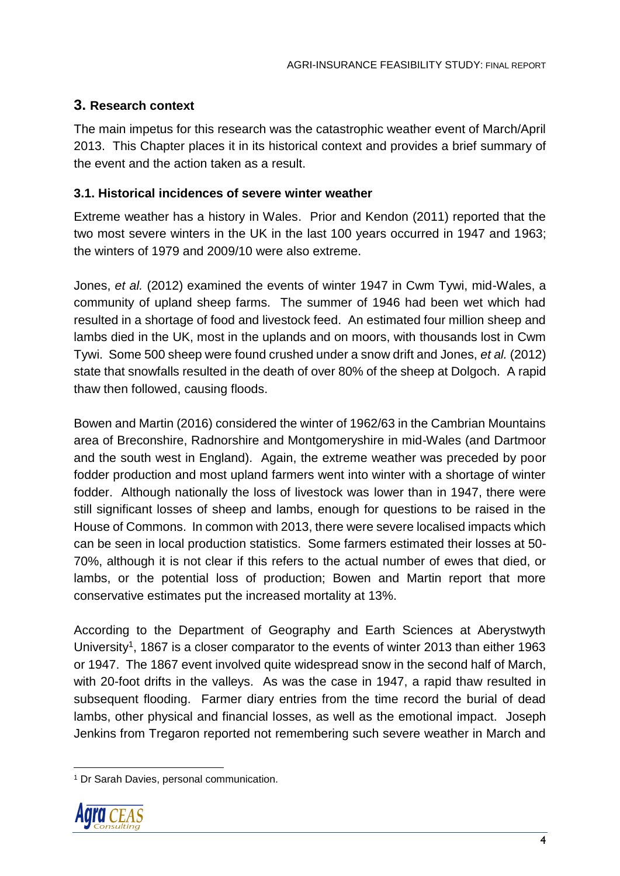## <span id="page-10-0"></span>**3. Research context**

The main impetus for this research was the catastrophic weather event of March/April 2013. This Chapter places it in its historical context and provides a brief summary of the event and the action taken as a result.

### <span id="page-10-1"></span>**3.1. Historical incidences of severe winter weather**

Extreme weather has a history in Wales. Prior and Kendon (2011) reported that the two most severe winters in the UK in the last 100 years occurred in 1947 and 1963; the winters of 1979 and 2009/10 were also extreme.

Jones, *et al.* (2012) examined the events of winter 1947 in Cwm Tywi, mid-Wales, a community of upland sheep farms. The summer of 1946 had been wet which had resulted in a shortage of food and livestock feed. An estimated four million sheep and lambs died in the UK, most in the uplands and on moors, with thousands lost in Cwm Tywi. Some 500 sheep were found crushed under a snow drift and Jones, *et al.* (2012) state that snowfalls resulted in the death of over 80% of the sheep at Dolgoch. A rapid thaw then followed, causing floods.

Bowen and Martin (2016) considered the winter of 1962/63 in the Cambrian Mountains area of Breconshire, Radnorshire and Montgomeryshire in mid-Wales (and Dartmoor and the south west in England). Again, the extreme weather was preceded by poor fodder production and most upland farmers went into winter with a shortage of winter fodder. Although nationally the loss of livestock was lower than in 1947, there were still significant losses of sheep and lambs, enough for questions to be raised in the House of Commons. In common with 2013, there were severe localised impacts which can be seen in local production statistics. Some farmers estimated their losses at 50- 70%, although it is not clear if this refers to the actual number of ewes that died, or lambs, or the potential loss of production; Bowen and Martin report that more conservative estimates put the increased mortality at 13%.

According to the Department of Geography and Earth Sciences at Aberystwyth University<sup>1</sup>, 1867 is a closer comparator to the events of winter 2013 than either 1963 or 1947. The 1867 event involved quite widespread snow in the second half of March, with 20-foot drifts in the valleys. As was the case in 1947, a rapid thaw resulted in subsequent flooding. Farmer diary entries from the time record the burial of dead lambs, other physical and financial losses, as well as the emotional impact. Joseph Jenkins from Tregaron reported not remembering such severe weather in March and

<sup>&</sup>lt;sup>1</sup> Dr Sarah Davies, personal communication.



 $\overline{a}$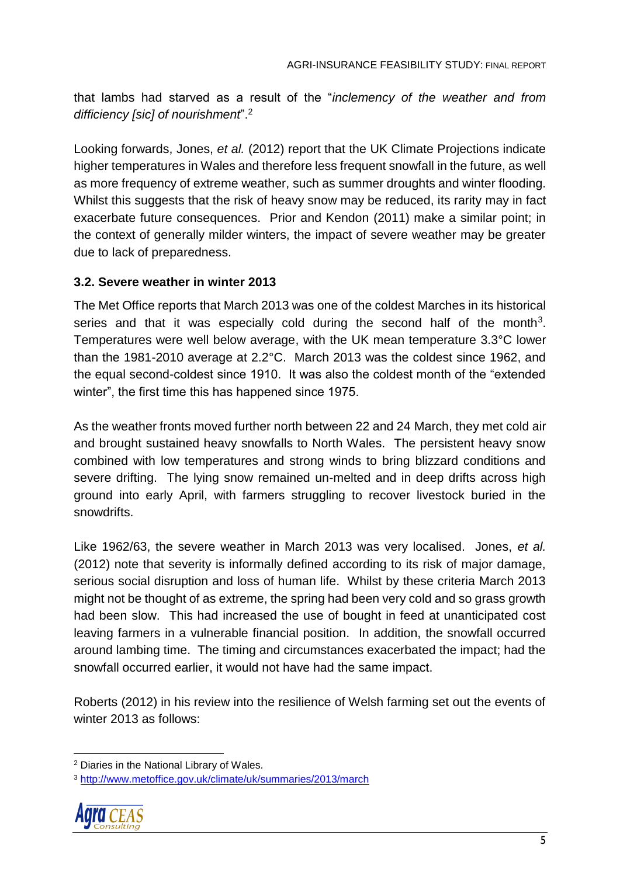that lambs had starved as a result of the "*inclemency of the weather and from difficiency [sic] of nourishment*".<sup>2</sup>

Looking forwards, Jones, *et al.* (2012) report that the UK Climate Projections indicate higher temperatures in Wales and therefore less frequent snowfall in the future, as well as more frequency of extreme weather, such as summer droughts and winter flooding. Whilst this suggests that the risk of heavy snow may be reduced, its rarity may in fact exacerbate future consequences. Prior and Kendon (2011) make a similar point; in the context of generally milder winters, the impact of severe weather may be greater due to lack of preparedness.

### <span id="page-11-0"></span>**3.2. Severe weather in winter 2013**

The Met Office reports that March 2013 was one of the coldest Marches in its historical series and that it was especially cold during the second half of the month<sup>3</sup>. Temperatures were well below average, with the UK mean temperature 3.3°C lower than the 1981-2010 average at 2.2°C. March 2013 was the coldest since 1962, and the equal second-coldest since 1910. It was also the coldest month of the "extended winter", the first time this has happened since 1975.

As the weather fronts moved further north between 22 and 24 March, they met cold air and brought sustained heavy snowfalls to North Wales. The persistent heavy snow combined with low temperatures and strong winds to bring blizzard conditions and severe drifting. The lying snow remained un-melted and in deep drifts across high ground into early April, with farmers struggling to recover livestock buried in the snowdrifts.

Like 1962/63, the severe weather in March 2013 was very localised. Jones, *et al.* (2012) note that severity is informally defined according to its risk of major damage, serious social disruption and loss of human life. Whilst by these criteria March 2013 might not be thought of as extreme, the spring had been very cold and so grass growth had been slow. This had increased the use of bought in feed at unanticipated cost leaving farmers in a vulnerable financial position. In addition, the snowfall occurred around lambing time. The timing and circumstances exacerbated the impact; had the snowfall occurred earlier, it would not have had the same impact.

Roberts (2012) in his review into the resilience of Welsh farming set out the events of winter 2013 as follows:

<sup>3</sup> <http://www.metoffice.gov.uk/climate/uk/summaries/2013/march>



<sup>2</sup> Diaries in the National Library of Wales.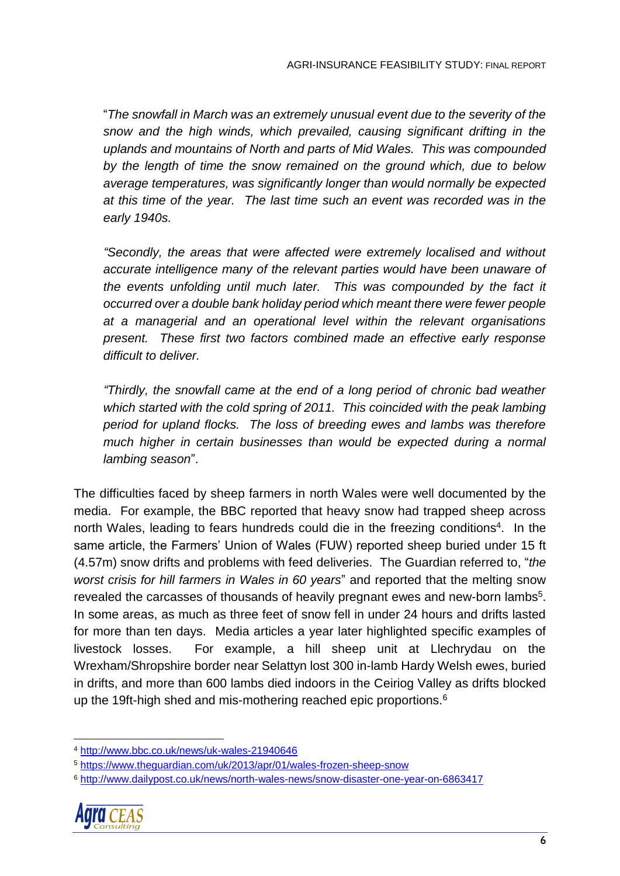"*The snowfall in March was an extremely unusual event due to the severity of the snow and the high winds, which prevailed, causing significant drifting in the uplands and mountains of North and parts of Mid Wales. This was compounded by the length of time the snow remained on the ground which, due to below average temperatures, was significantly longer than would normally be expected at this time of the year. The last time such an event was recorded was in the early 1940s.*

*"Secondly, the areas that were affected were extremely localised and without accurate intelligence many of the relevant parties would have been unaware of the events unfolding until much later. This was compounded by the fact it occurred over a double bank holiday period which meant there were fewer people at a managerial and an operational level within the relevant organisations present. These first two factors combined made an effective early response difficult to deliver.*

*"Thirdly, the snowfall came at the end of a long period of chronic bad weather which started with the cold spring of 2011. This coincided with the peak lambing period for upland flocks. The loss of breeding ewes and lambs was therefore much higher in certain businesses than would be expected during a normal lambing season*".

The difficulties faced by sheep farmers in north Wales were well documented by the media. For example, the BBC reported that heavy snow had trapped sheep across north Wales, leading to fears hundreds could die in the freezing conditions<sup>4</sup>. In the same article, the Farmers' Union of Wales (FUW) reported sheep buried under 15 ft (4.57m) snow drifts and problems with feed deliveries. The Guardian referred to, "*the worst crisis for hill farmers in Wales in 60 years*" and reported that the melting snow revealed the carcasses of thousands of heavily pregnant ewes and new-born lambs<sup>5</sup>. In some areas, as much as three feet of snow fell in under 24 hours and drifts lasted for more than ten days. Media articles a year later highlighted specific examples of livestock losses. For example, a hill sheep unit at Llechrydau on the Wrexham/Shropshire border near Selattyn lost 300 in-lamb Hardy Welsh ewes, buried in drifts, and more than 600 lambs died indoors in the Ceiriog Valley as drifts blocked up the 19ft-high shed and mis-mothering reached epic proportions.<sup>6</sup>

<sup>6</sup> <http://www.dailypost.co.uk/news/north-wales-news/snow-disaster-one-year-on-6863417>



<sup>4</sup> <http://www.bbc.co.uk/news/uk-wales-21940646>

<sup>5</sup> <https://www.theguardian.com/uk/2013/apr/01/wales-frozen-sheep-snow>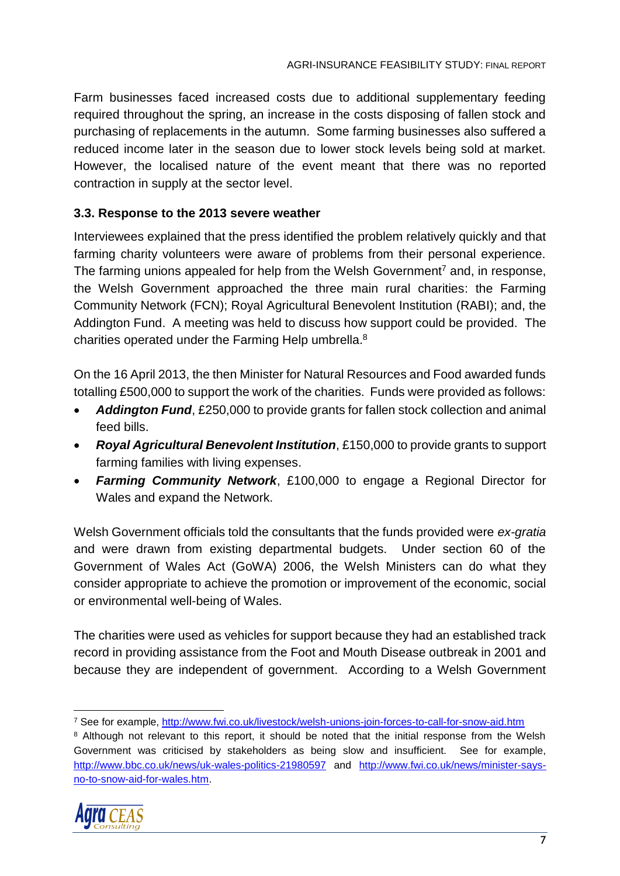Farm businesses faced increased costs due to additional supplementary feeding required throughout the spring, an increase in the costs disposing of fallen stock and purchasing of replacements in the autumn. Some farming businesses also suffered a reduced income later in the season due to lower stock levels being sold at market. However, the localised nature of the event meant that there was no reported contraction in supply at the sector level.

### <span id="page-13-0"></span>**3.3. Response to the 2013 severe weather**

Interviewees explained that the press identified the problem relatively quickly and that farming charity volunteers were aware of problems from their personal experience. The farming unions appealed for help from the Welsh Government<sup>7</sup> and, in response, the Welsh Government approached the three main rural charities: the Farming Community Network (FCN); Royal Agricultural Benevolent Institution (RABI); and, the Addington Fund. A meeting was held to discuss how support could be provided. The charities operated under the Farming Help umbrella.<sup>8</sup>

On the 16 April 2013, the then Minister for Natural Resources and Food awarded funds totalling £500,000 to support the work of the charities. Funds were provided as follows:

- *Addington Fund*, £250,000 to provide grants for fallen stock collection and animal feed bills.
- *Royal Agricultural Benevolent Institution*, £150,000 to provide grants to support farming families with living expenses.
- *Farming Community Network*, £100,000 to engage a Regional Director for Wales and expand the Network.

Welsh Government officials told the consultants that the funds provided were *ex-gratia* and were drawn from existing departmental budgets. Under section 60 of the Government of Wales Act (GoWA) 2006, the Welsh Ministers can do what they consider appropriate to achieve the promotion or improvement of the economic, social or environmental well-being of Wales.

The charities were used as vehicles for support because they had an established track record in providing assistance from the Foot and Mouth Disease outbreak in 2001 and because they are independent of government. According to a Welsh Government

<sup>&</sup>lt;sup>8</sup> Although not relevant to this report, it should be noted that the initial response from the Welsh Government was criticised by stakeholders as being slow and insufficient. See for example, <http://www.bbc.co.uk/news/uk-wales-politics-21980597> and [http://www.fwi.co.uk/news/minister-says](http://www.fwi.co.uk/news/minister-says-no-to-snow-aid-for-wales.htm)[no-to-snow-aid-for-wales.htm.](http://www.fwi.co.uk/news/minister-says-no-to-snow-aid-for-wales.htm)



 $\overline{a}$ <sup>7</sup> See for example,<http://www.fwi.co.uk/livestock/welsh-unions-join-forces-to-call-for-snow-aid.htm>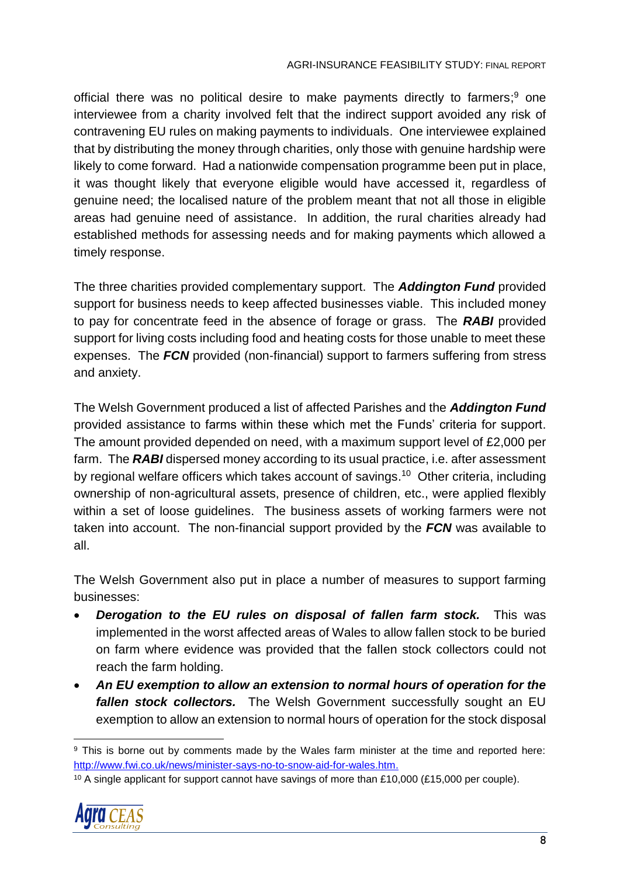official there was no political desire to make payments directly to farmers;<sup>9</sup> one interviewee from a charity involved felt that the indirect support avoided any risk of contravening EU rules on making payments to individuals. One interviewee explained that by distributing the money through charities, only those with genuine hardship were likely to come forward. Had a nationwide compensation programme been put in place, it was thought likely that everyone eligible would have accessed it, regardless of genuine need; the localised nature of the problem meant that not all those in eligible areas had genuine need of assistance. In addition, the rural charities already had established methods for assessing needs and for making payments which allowed a timely response.

The three charities provided complementary support. The *Addington Fund* provided support for business needs to keep affected businesses viable. This included money to pay for concentrate feed in the absence of forage or grass. The *RABI* provided support for living costs including food and heating costs for those unable to meet these expenses. The *FCN* provided (non-financial) support to farmers suffering from stress and anxiety.

The Welsh Government produced a list of affected Parishes and the *Addington Fund* provided assistance to farms within these which met the Funds' criteria for support. The amount provided depended on need, with a maximum support level of £2,000 per farm. The *RABI* dispersed money according to its usual practice, i.e. after assessment by regional welfare officers which takes account of savings.<sup>10</sup> Other criteria, including ownership of non-agricultural assets, presence of children, etc., were applied flexibly within a set of loose guidelines. The business assets of working farmers were not taken into account. The non-financial support provided by the *FCN* was available to all.

The Welsh Government also put in place a number of measures to support farming businesses:

- *Derogation to the EU rules on disposal of fallen farm stock.* This was implemented in the worst affected areas of Wales to allow fallen stock to be buried on farm where evidence was provided that the fallen stock collectors could not reach the farm holding.
- *An EU exemption to allow an extension to normal hours of operation for the fallen stock collectors.* The Welsh Government successfully sought an EU exemption to allow an extension to normal hours of operation for the stock disposal

<sup>&</sup>lt;sup>10</sup> A single applicant for support cannot have savings of more than £10,000 (£15,000 per couple).



 <sup>9</sup> This is borne out by comments made by the Wales farm minister at the time and reported here: [http://www.fwi.co.uk/news/minister-says-no-to-snow-aid-for-wales.htm.](http://www.fwi.co.uk/news/minister-says-no-to-snow-aid-for-wales.htm)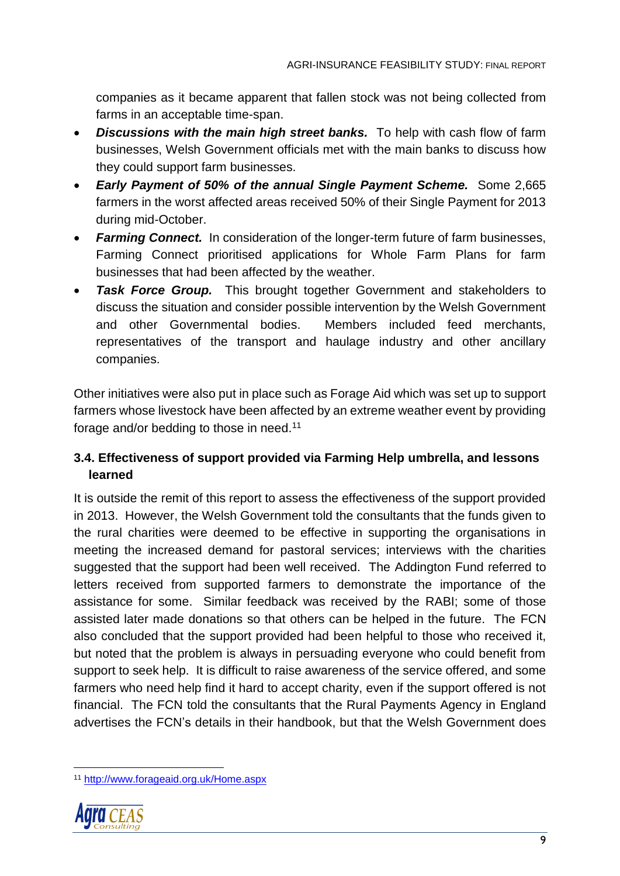companies as it became apparent that fallen stock was not being collected from farms in an acceptable time-span.

- *Discussions with the main high street banks.* To help with cash flow of farm businesses, Welsh Government officials met with the main banks to discuss how they could support farm businesses.
- *Early Payment of 50% of the annual Single Payment Scheme.* Some 2,665 farmers in the worst affected areas received 50% of their Single Payment for 2013 during mid-October.
- *Farming Connect.* In consideration of the longer-term future of farm businesses, Farming Connect prioritised applications for Whole Farm Plans for farm businesses that had been affected by the weather.
- *Task Force Group.* This brought together Government and stakeholders to discuss the situation and consider possible intervention by the Welsh Government and other Governmental bodies. Members included feed merchants, representatives of the transport and haulage industry and other ancillary companies.

Other initiatives were also put in place such as Forage Aid which was set up to support farmers whose livestock have been affected by an extreme weather event by providing forage and/or bedding to those in need.<sup>11</sup>

## <span id="page-15-0"></span>**3.4. Effectiveness of support provided via Farming Help umbrella, and lessons learned**

It is outside the remit of this report to assess the effectiveness of the support provided in 2013. However, the Welsh Government told the consultants that the funds given to the rural charities were deemed to be effective in supporting the organisations in meeting the increased demand for pastoral services; interviews with the charities suggested that the support had been well received. The Addington Fund referred to letters received from supported farmers to demonstrate the importance of the assistance for some. Similar feedback was received by the RABI; some of those assisted later made donations so that others can be helped in the future. The FCN also concluded that the support provided had been helpful to those who received it, but noted that the problem is always in persuading everyone who could benefit from support to seek help. It is difficult to raise awareness of the service offered, and some farmers who need help find it hard to accept charity, even if the support offered is not financial. The FCN told the consultants that the Rural Payments Agency in England advertises the FCN's details in their handbook, but that the Welsh Government does

<sup>11</sup> <http://www.forageaid.org.uk/Home.aspx>



 $\overline{a}$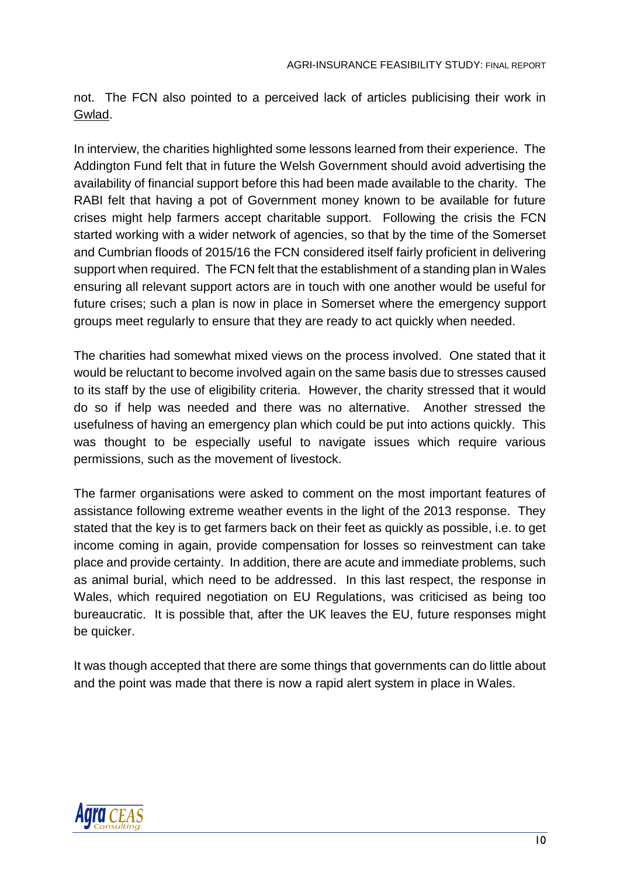not. The FCN also pointed to a perceived lack of articles publicising their work in Gwlad.

In interview, the charities highlighted some lessons learned from their experience. The Addington Fund felt that in future the Welsh Government should avoid advertising the availability of financial support before this had been made available to the charity. The RABI felt that having a pot of Government money known to be available for future crises might help farmers accept charitable support. Following the crisis the FCN started working with a wider network of agencies, so that by the time of the Somerset and Cumbrian floods of 2015/16 the FCN considered itself fairly proficient in delivering support when required. The FCN felt that the establishment of a standing plan in Wales ensuring all relevant support actors are in touch with one another would be useful for future crises; such a plan is now in place in Somerset where the emergency support groups meet regularly to ensure that they are ready to act quickly when needed.

The charities had somewhat mixed views on the process involved. One stated that it would be reluctant to become involved again on the same basis due to stresses caused to its staff by the use of eligibility criteria. However, the charity stressed that it would do so if help was needed and there was no alternative. Another stressed the usefulness of having an emergency plan which could be put into actions quickly. This was thought to be especially useful to navigate issues which require various permissions, such as the movement of livestock.

The farmer organisations were asked to comment on the most important features of assistance following extreme weather events in the light of the 2013 response. They stated that the key is to get farmers back on their feet as quickly as possible, i.e. to get income coming in again, provide compensation for losses so reinvestment can take place and provide certainty. In addition, there are acute and immediate problems, such as animal burial, which need to be addressed. In this last respect, the response in Wales, which required negotiation on EU Regulations, was criticised as being too bureaucratic. It is possible that, after the UK leaves the EU, future responses might be quicker.

It was though accepted that there are some things that governments can do little about and the point was made that there is now a rapid alert system in place in Wales.

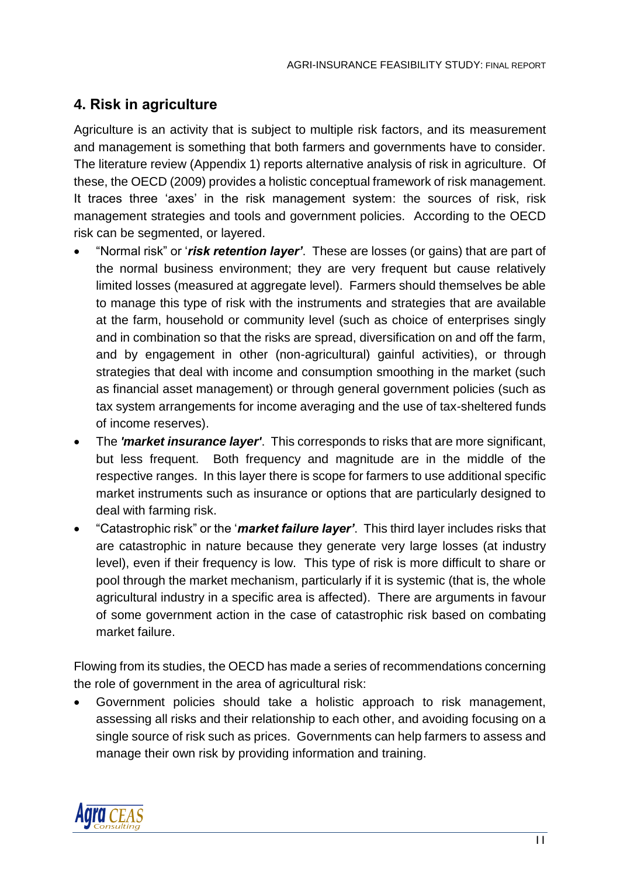# <span id="page-17-0"></span>**4. Risk in agriculture**

Agriculture is an activity that is subject to multiple risk factors, and its measurement and management is something that both farmers and governments have to consider. The literature review (Appendix 1) reports alternative analysis of risk in agriculture. Of these, the OECD (2009) provides a holistic conceptual framework of risk management. It traces three 'axes' in the risk management system: the sources of risk, risk management strategies and tools and government policies. According to the OECD risk can be segmented, or layered.

- "Normal risk" or '*risk retention layer'*. These are losses (or gains) that are part of the normal business environment; they are very frequent but cause relatively limited losses (measured at aggregate level). Farmers should themselves be able to manage this type of risk with the instruments and strategies that are available at the farm, household or community level (such as choice of enterprises singly and in combination so that the risks are spread, diversification on and off the farm, and by engagement in other (non-agricultural) gainful activities), or through strategies that deal with income and consumption smoothing in the market (such as financial asset management) or through general government policies (such as tax system arrangements for income averaging and the use of tax-sheltered funds of income reserves).
- The *'market insurance layer'*. This corresponds to risks that are more significant, but less frequent. Both frequency and magnitude are in the middle of the respective ranges. In this layer there is scope for farmers to use additional specific market instruments such as insurance or options that are particularly designed to deal with farming risk.
- "Catastrophic risk" or the '*market failure layer'*. This third layer includes risks that are catastrophic in nature because they generate very large losses (at industry level), even if their frequency is low. This type of risk is more difficult to share or pool through the market mechanism, particularly if it is systemic (that is, the whole agricultural industry in a specific area is affected). There are arguments in favour of some government action in the case of catastrophic risk based on combating market failure.

Flowing from its studies, the OECD has made a series of recommendations concerning the role of government in the area of agricultural risk:

• Government policies should take a holistic approach to risk management, assessing all risks and their relationship to each other, and avoiding focusing on a single source of risk such as prices. Governments can help farmers to assess and manage their own risk by providing information and training.

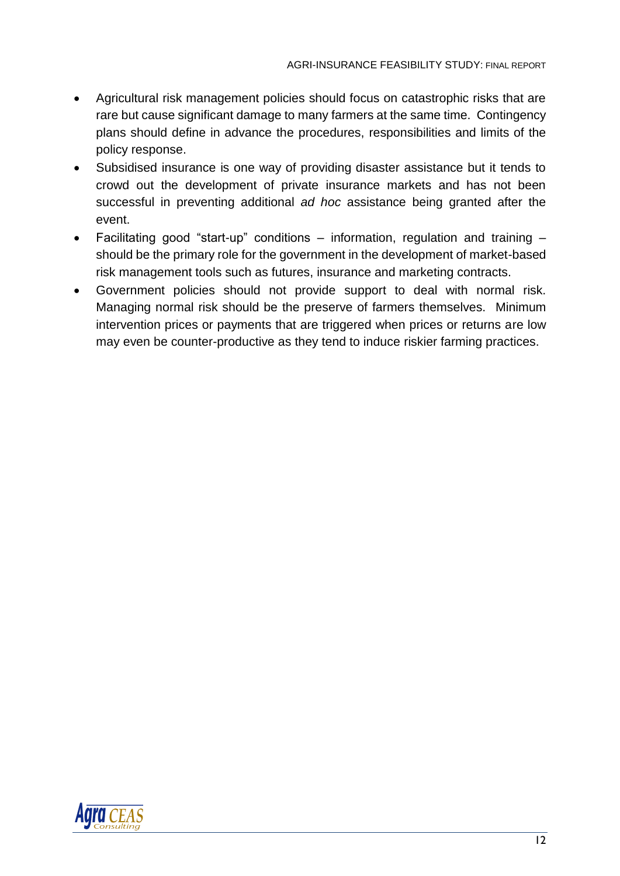- Agricultural risk management policies should focus on catastrophic risks that are rare but cause significant damage to many farmers at the same time. Contingency plans should define in advance the procedures, responsibilities and limits of the policy response.
- Subsidised insurance is one way of providing disaster assistance but it tends to crowd out the development of private insurance markets and has not been successful in preventing additional *ad hoc* assistance being granted after the event.
- Facilitating good "start-up" conditions information, regulation and training should be the primary role for the government in the development of market-based risk management tools such as futures, insurance and marketing contracts.
- Government policies should not provide support to deal with normal risk. Managing normal risk should be the preserve of farmers themselves. Minimum intervention prices or payments that are triggered when prices or returns are low may even be counter-productive as they tend to induce riskier farming practices.

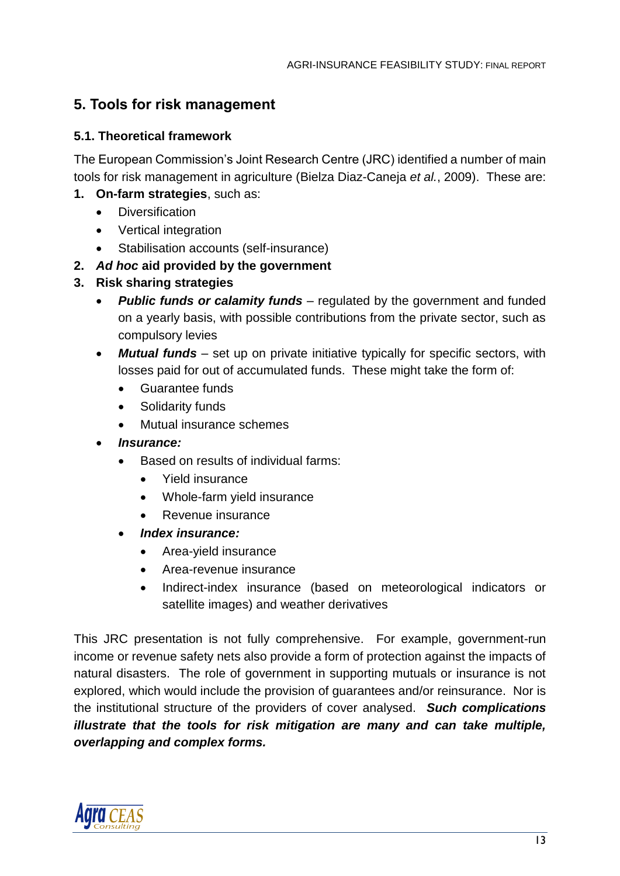# <span id="page-19-0"></span>**5. Tools for risk management**

### <span id="page-19-1"></span>**5.1. Theoretical framework**

The European Commission's Joint Research Centre (JRC) identified a number of main tools for risk management in agriculture (Bielza Diaz-Caneja *et al.*, 2009). These are:

- **1. On-farm strategies**, such as:
	- Diversification
	- Vertical integration
	- Stabilisation accounts (self-insurance)
- **2.** *Ad hoc* **aid provided by the government**
- **3. Risk sharing strategies**
	- *Public funds or calamity funds* regulated by the government and funded on a yearly basis, with possible contributions from the private sector, such as compulsory levies
	- *Mutual funds* set up on private initiative typically for specific sectors, with losses paid for out of accumulated funds. These might take the form of:
		- Guarantee funds
		- Solidarity funds
		- Mutual insurance schemes
	- *Insurance:*
		- Based on results of individual farms:
			- Yield insurance
			- Whole-farm yield insurance
			- Revenue insurance
		- *Index insurance:*
			- Area-yield insurance
			- Area-revenue insurance
			- Indirect-index insurance (based on meteorological indicators or satellite images) and weather derivatives

This JRC presentation is not fully comprehensive. For example, government-run income or revenue safety nets also provide a form of protection against the impacts of natural disasters. The role of government in supporting mutuals or insurance is not explored, which would include the provision of guarantees and/or reinsurance. Nor is the institutional structure of the providers of cover analysed. *Such complications illustrate that the tools for risk mitigation are many and can take multiple, overlapping and complex forms.*

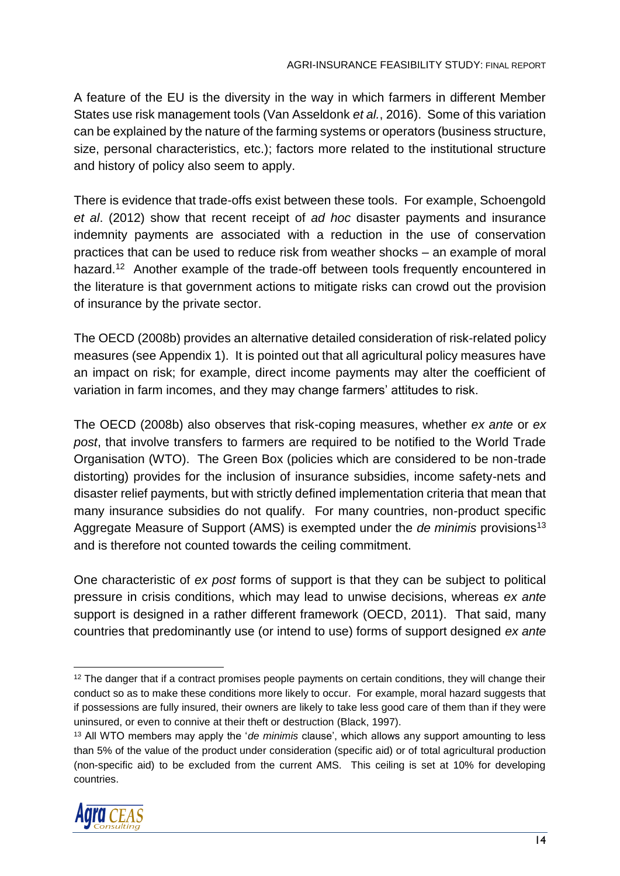A feature of the EU is the diversity in the way in which farmers in different Member States use risk management tools (Van Asseldonk *et al.*, 2016). Some of this variation can be explained by the nature of the farming systems or operators (business structure, size, personal characteristics, etc.); factors more related to the institutional structure and history of policy also seem to apply.

There is evidence that trade-offs exist between these tools. For example, Schoengold *et al*. (2012) show that recent receipt of *ad hoc* disaster payments and insurance indemnity payments are associated with a reduction in the use of conservation practices that can be used to reduce risk from weather shocks – an example of moral hazard.<sup>12</sup> Another example of the trade-off between tools frequently encountered in the literature is that government actions to mitigate risks can crowd out the provision of insurance by the private sector.

The OECD (2008b) provides an alternative detailed consideration of risk-related policy measures (see Appendix 1). It is pointed out that all agricultural policy measures have an impact on risk; for example, direct income payments may alter the coefficient of variation in farm incomes, and they may change farmers' attitudes to risk.

The OECD (2008b) also observes that risk-coping measures, whether *ex ante* or *ex post*, that involve transfers to farmers are required to be notified to the World Trade Organisation (WTO). The Green Box (policies which are considered to be non-trade distorting) provides for the inclusion of insurance subsidies, income safety-nets and disaster relief payments, but with strictly defined implementation criteria that mean that many insurance subsidies do not qualify. For many countries, non-product specific Aggregate Measure of Support (AMS) is exempted under the *de minimis* provisions<sup>13</sup> and is therefore not counted towards the ceiling commitment.

One characteristic of *ex post* forms of support is that they can be subject to political pressure in crisis conditions, which may lead to unwise decisions, whereas *ex ante* support is designed in a rather different framework (OECD, 2011). That said, many countries that predominantly use (or intend to use) forms of support designed *ex ante*

<sup>13</sup> All WTO members may apply the '*de minimis* clause', which allows any support amounting to less than 5% of the value of the product under consideration (specific aid) or of total agricultural production (non-specific aid) to be excluded from the current AMS. This ceiling is set at 10% for developing countries.



 <sup>12</sup> The danger that if a contract promises people payments on certain conditions, they will change their conduct so as to make these conditions more likely to occur. For example, moral hazard suggests that if possessions are fully insured, their owners are likely to take less good care of them than if they were uninsured, or even to connive at their theft or destruction (Black, 1997).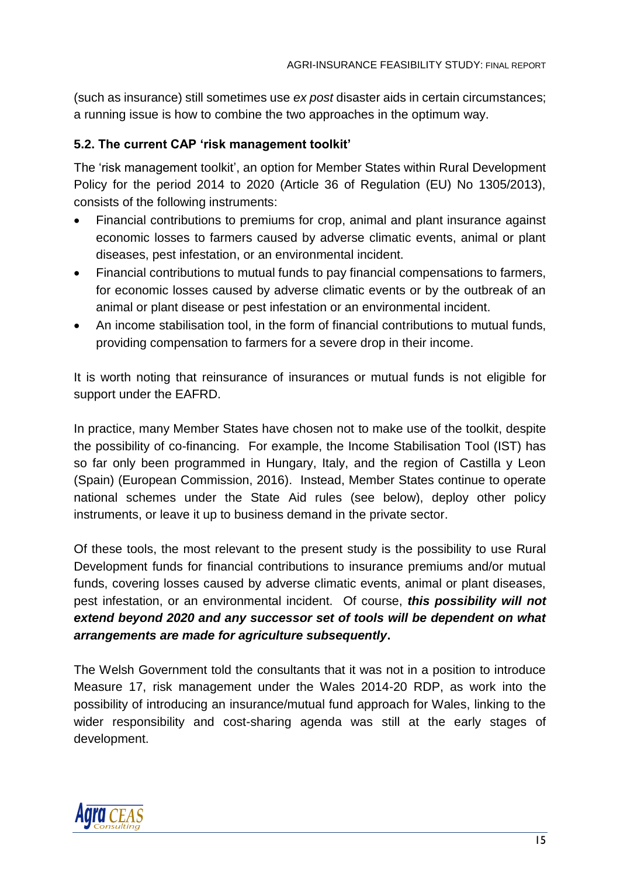(such as insurance) still sometimes use *ex post* disaster aids in certain circumstances; a running issue is how to combine the two approaches in the optimum way.

### <span id="page-21-0"></span>**5.2. The current CAP 'risk management toolkit'**

The 'risk management toolkit', an option for Member States within Rural Development Policy for the period 2014 to 2020 (Article 36 of Regulation (EU) No 1305/2013), consists of the following instruments:

- Financial contributions to premiums for crop, animal and plant insurance against economic losses to farmers caused by adverse climatic events, animal or plant diseases, pest infestation, or an environmental incident.
- Financial contributions to mutual funds to pay financial compensations to farmers, for economic losses caused by adverse climatic events or by the outbreak of an animal or plant disease or pest infestation or an environmental incident.
- An income stabilisation tool, in the form of financial contributions to mutual funds, providing compensation to farmers for a severe drop in their income.

It is worth noting that reinsurance of insurances or mutual funds is not eligible for support under the EAFRD.

In practice, many Member States have chosen not to make use of the toolkit, despite the possibility of co-financing. For example, the Income Stabilisation Tool (IST) has so far only been programmed in Hungary, Italy, and the region of Castilla y Leon (Spain) (European Commission, 2016). Instead, Member States continue to operate national schemes under the State Aid rules (see below), deploy other policy instruments, or leave it up to business demand in the private sector.

Of these tools, the most relevant to the present study is the possibility to use Rural Development funds for financial contributions to insurance premiums and/or mutual funds, covering losses caused by adverse climatic events, animal or plant diseases, pest infestation, or an environmental incident. Of course, *this possibility will not extend beyond 2020 and any successor set of tools will be dependent on what arrangements are made for agriculture subsequently***.**

The Welsh Government told the consultants that it was not in a position to introduce Measure 17, risk management under the Wales 2014-20 RDP, as work into the possibility of introducing an insurance/mutual fund approach for Wales, linking to the wider responsibility and cost-sharing agenda was still at the early stages of development.

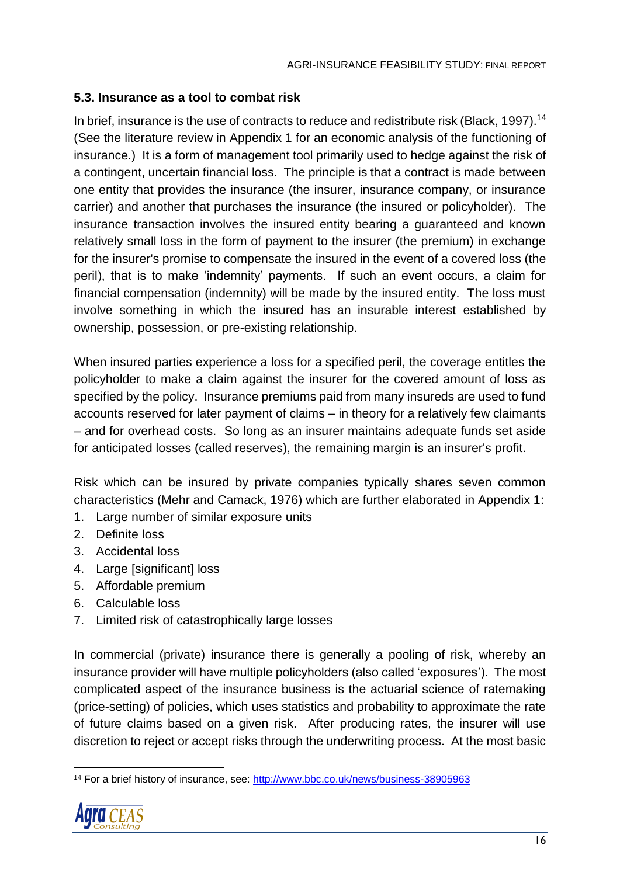### <span id="page-22-0"></span>**5.3. Insurance as a tool to combat risk**

In brief, insurance is the use of contracts to reduce and redistribute risk (Black, 1997).<sup>14</sup> (See the literature review in Appendix 1 for an economic analysis of the functioning of insurance.) It is a form of management tool primarily used to hedge against the risk of a contingent, uncertain financial loss. The principle is that a contract is made between one entity that provides the insurance (the insurer, insurance company, or insurance carrier) and another that purchases the insurance (the insured or policyholder). The insurance transaction involves the insured entity bearing a guaranteed and known relatively small loss in the form of payment to the insurer (the premium) in exchange for the insurer's promise to compensate the insured in the event of a covered loss (the peril), that is to make 'indemnity' payments. If such an event occurs, a claim for financial compensation (indemnity) will be made by the insured entity. The loss must involve something in which the insured has an insurable interest established by ownership, possession, or pre-existing relationship.

When insured parties experience a loss for a specified peril, the coverage entitles the policyholder to make a claim against the insurer for the covered amount of loss as specified by the policy. Insurance premiums paid from many insureds are used to fund accounts reserved for later payment of claims – in theory for a relatively few claimants – and for overhead costs. So long as an insurer maintains adequate funds set aside for anticipated losses (called reserves), the remaining margin is an insurer's profit.

Risk which can be insured by private companies typically shares seven common characteristics (Mehr and Camack, 1976) which are further elaborated in Appendix 1:

- 1. Large number of similar exposure units
- 2. Definite loss
- 3. Accidental loss
- 4. Large [significant] loss
- 5. Affordable premium
- 6. Calculable loss
- 7. Limited risk of catastrophically large losses

In commercial (private) insurance there is generally a pooling of risk, whereby an insurance provider will have multiple policyholders (also called 'exposures'). The most complicated aspect of the insurance business is the actuarial science of ratemaking (price-setting) of policies, which uses statistics and probability to approximate the rate of future claims based on a given risk. After producing rates, the insurer will use discretion to reject or accept risks through the underwriting process. At the most basic

<sup>&</sup>lt;sup>14</sup> For a brief history of insurance, see:<http://www.bbc.co.uk/news/business-38905963>



 $\overline{a}$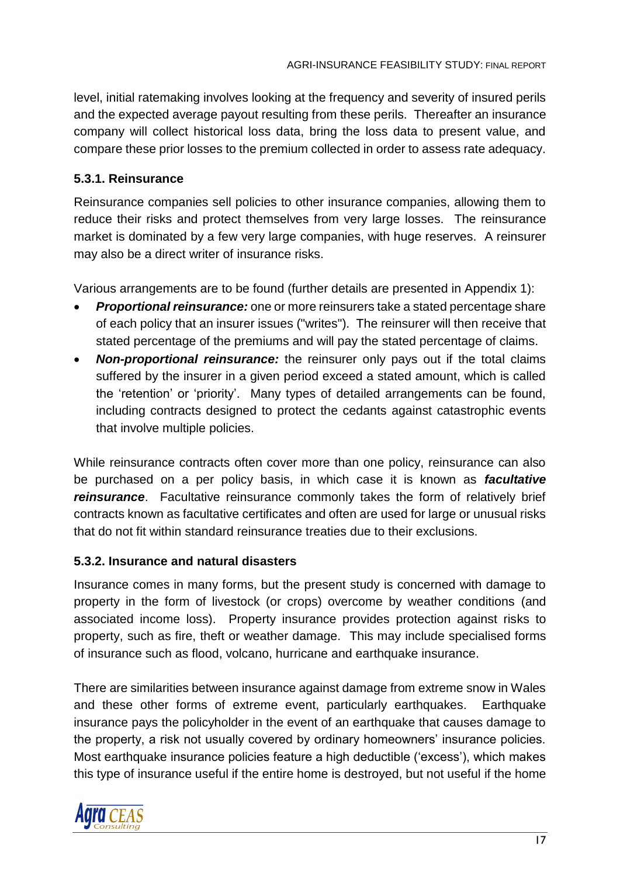level, initial ratemaking involves looking at the frequency and severity of insured perils and the expected average payout resulting from these perils. Thereafter an insurance company will collect historical loss data, bring the loss data to present value, and compare these prior losses to the premium collected in order to assess rate adequacy.

### <span id="page-23-0"></span>**5.3.1. Reinsurance**

Reinsurance companies sell policies to other insurance companies, allowing them to reduce their risks and protect themselves from very large losses. The reinsurance market is dominated by a few very large companies, with huge reserves. A reinsurer may also be a direct writer of insurance risks.

Various arrangements are to be found (further details are presented in Appendix 1):

- *Proportional reinsurance:* one or more reinsurers take a stated percentage share of each policy that an insurer issues ("writes"). The reinsurer will then receive that stated percentage of the premiums and will pay the stated percentage of claims.
- *Non-proportional reinsurance:* the reinsurer only pays out if the total claims suffered by the insurer in a given period exceed a stated amount, which is called the 'retention' or 'priority'. Many types of detailed arrangements can be found, including contracts designed to protect the cedants against catastrophic events that involve multiple policies.

While reinsurance contracts often cover more than one policy, reinsurance can also be purchased on a per policy basis, in which case it is known as *facultative reinsurance*. Facultative reinsurance commonly takes the form of relatively brief contracts known as facultative certificates and often are used for large or unusual risks that do not fit within standard reinsurance treaties due to their exclusions.

### <span id="page-23-1"></span>**5.3.2. Insurance and natural disasters**

Insurance comes in many forms, but the present study is concerned with damage to property in the form of livestock (or crops) overcome by weather conditions (and associated income loss). Property insurance provides protection against risks to property, such as fire, theft or weather damage. This may include specialised forms of insurance such as flood, volcano, hurricane and earthquake insurance.

There are similarities between insurance against damage from extreme snow in Wales and these other forms of extreme event, particularly earthquakes. Earthquake insurance pays the policyholder in the event of an earthquake that causes damage to the property, a risk not usually covered by ordinary homeowners' insurance policies. Most earthquake insurance policies feature a high deductible ('excess'), which makes this type of insurance useful if the entire home is destroyed, but not useful if the home

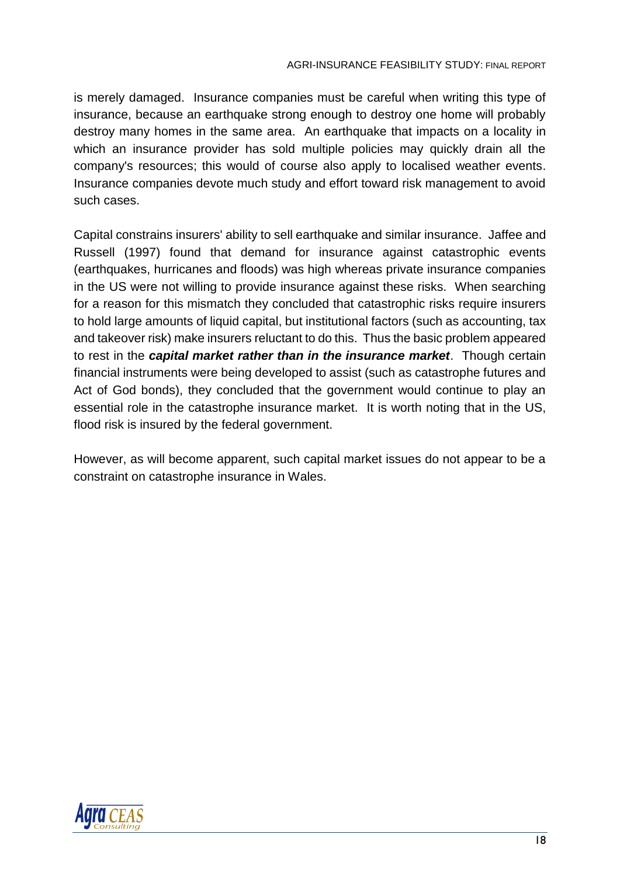is merely damaged. Insurance companies must be careful when writing this type of insurance, because an earthquake strong enough to destroy one home will probably destroy many homes in the same area. An earthquake that impacts on a locality in which an insurance provider has sold multiple policies may quickly drain all the company's resources; this would of course also apply to localised weather events. Insurance companies devote much study and effort toward risk management to avoid such cases.

Capital constrains insurers' ability to sell earthquake and similar insurance. Jaffee and Russell (1997) found that demand for insurance against catastrophic events (earthquakes, hurricanes and floods) was high whereas private insurance companies in the US were not willing to provide insurance against these risks. When searching for a reason for this mismatch they concluded that catastrophic risks require insurers to hold large amounts of liquid capital, but institutional factors (such as accounting, tax and takeover risk) make insurers reluctant to do this. Thus the basic problem appeared to rest in the *capital market rather than in the insurance market*. Though certain financial instruments were being developed to assist (such as catastrophe futures and Act of God bonds), they concluded that the government would continue to play an essential role in the catastrophe insurance market. It is worth noting that in the US, flood risk is insured by the federal government.

However, as will become apparent, such capital market issues do not appear to be a constraint on catastrophe insurance in Wales.

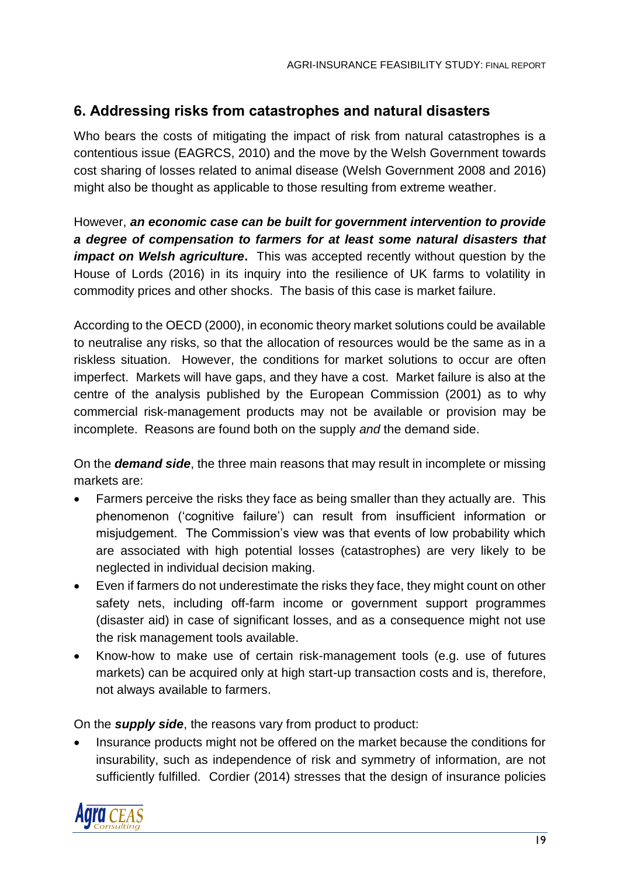# <span id="page-25-0"></span>**6. Addressing risks from catastrophes and natural disasters**

Who bears the costs of mitigating the impact of risk from natural catastrophes is a contentious issue (EAGRCS, 2010) and the move by the Welsh Government towards cost sharing of losses related to animal disease (Welsh Government 2008 and 2016) might also be thought as applicable to those resulting from extreme weather.

However, *an economic case can be built for government intervention to provide a degree of compensation to farmers for at least some natural disasters that impact on Welsh agriculture***.** This was accepted recently without question by the House of Lords (2016) in its inquiry into the resilience of UK farms to volatility in commodity prices and other shocks. The basis of this case is market failure.

According to the OECD (2000), in economic theory market solutions could be available to neutralise any risks, so that the allocation of resources would be the same as in a riskless situation. However, the conditions for market solutions to occur are often imperfect. Markets will have gaps, and they have a cost. Market failure is also at the centre of the analysis published by the European Commission (2001) as to why commercial risk-management products may not be available or provision may be incomplete. Reasons are found both on the supply *and* the demand side.

On the *demand side*, the three main reasons that may result in incomplete or missing markets are:

- Farmers perceive the risks they face as being smaller than they actually are. This phenomenon ('cognitive failure') can result from insufficient information or misjudgement. The Commission's view was that events of low probability which are associated with high potential losses (catastrophes) are very likely to be neglected in individual decision making.
- Even if farmers do not underestimate the risks they face, they might count on other safety nets, including off-farm income or government support programmes (disaster aid) in case of significant losses, and as a consequence might not use the risk management tools available.
- Know-how to make use of certain risk-management tools (e.g. use of futures markets) can be acquired only at high start-up transaction costs and is, therefore, not always available to farmers.

On the *supply side*, the reasons vary from product to product:

• Insurance products might not be offered on the market because the conditions for insurability, such as independence of risk and symmetry of information, are not sufficiently fulfilled. Cordier (2014) stresses that the design of insurance policies

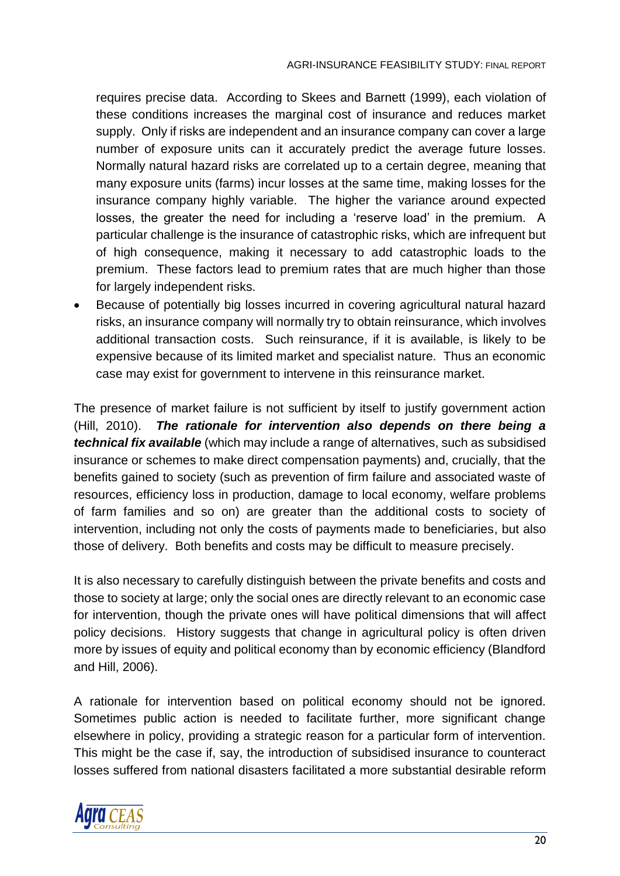requires precise data. According to Skees and Barnett (1999), each violation of these conditions increases the marginal cost of insurance and reduces market supply. Only if risks are independent and an insurance company can cover a large number of exposure units can it accurately predict the average future losses. Normally natural hazard risks are correlated up to a certain degree, meaning that many exposure units (farms) incur losses at the same time, making losses for the insurance company highly variable. The higher the variance around expected losses, the greater the need for including a 'reserve load' in the premium. A particular challenge is the insurance of catastrophic risks, which are infrequent but of high consequence, making it necessary to add catastrophic loads to the premium. These factors lead to premium rates that are much higher than those for largely independent risks.

• Because of potentially big losses incurred in covering agricultural natural hazard risks, an insurance company will normally try to obtain reinsurance, which involves additional transaction costs. Such reinsurance, if it is available, is likely to be expensive because of its limited market and specialist nature. Thus an economic case may exist for government to intervene in this reinsurance market.

The presence of market failure is not sufficient by itself to justify government action (Hill, 2010). *The rationale for intervention also depends on there being a technical fix available* (which may include a range of alternatives, such as subsidised insurance or schemes to make direct compensation payments) and, crucially, that the benefits gained to society (such as prevention of firm failure and associated waste of resources, efficiency loss in production, damage to local economy, welfare problems of farm families and so on) are greater than the additional costs to society of intervention, including not only the costs of payments made to beneficiaries, but also those of delivery. Both benefits and costs may be difficult to measure precisely.

It is also necessary to carefully distinguish between the private benefits and costs and those to society at large; only the social ones are directly relevant to an economic case for intervention, though the private ones will have political dimensions that will affect policy decisions. History suggests that change in agricultural policy is often driven more by issues of equity and political economy than by economic efficiency (Blandford and Hill, 2006).

A rationale for intervention based on political economy should not be ignored. Sometimes public action is needed to facilitate further, more significant change elsewhere in policy, providing a strategic reason for a particular form of intervention. This might be the case if, say, the introduction of subsidised insurance to counteract losses suffered from national disasters facilitated a more substantial desirable reform

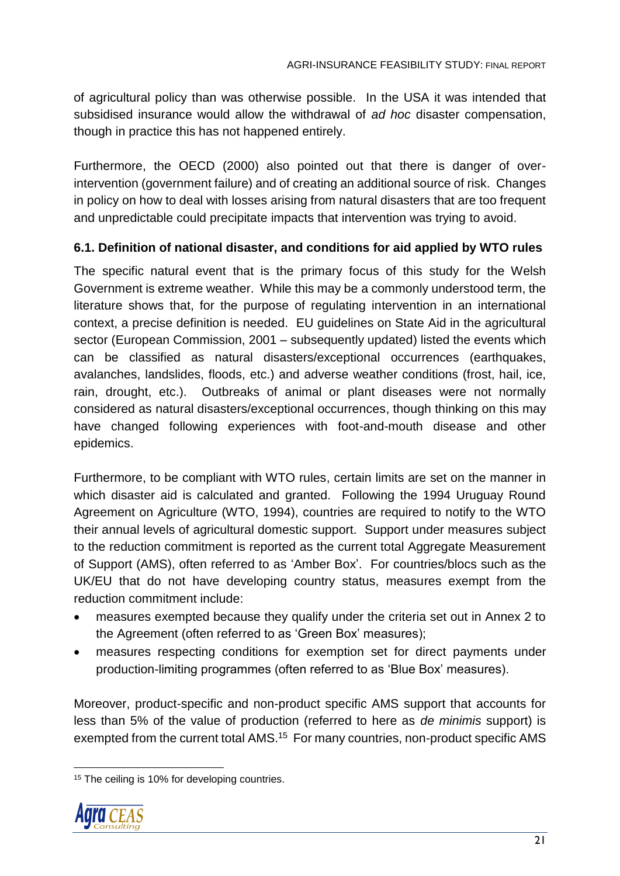of agricultural policy than was otherwise possible. In the USA it was intended that subsidised insurance would allow the withdrawal of *ad hoc* disaster compensation, though in practice this has not happened entirely.

Furthermore, the OECD (2000) also pointed out that there is danger of overintervention (government failure) and of creating an additional source of risk. Changes in policy on how to deal with losses arising from natural disasters that are too frequent and unpredictable could precipitate impacts that intervention was trying to avoid.

### <span id="page-27-0"></span>**6.1. Definition of national disaster, and conditions for aid applied by WTO rules**

The specific natural event that is the primary focus of this study for the Welsh Government is extreme weather. While this may be a commonly understood term, the literature shows that, for the purpose of regulating intervention in an international context, a precise definition is needed. EU guidelines on State Aid in the agricultural sector (European Commission, 2001 – subsequently updated) listed the events which can be classified as natural disasters/exceptional occurrences (earthquakes, avalanches, landslides, floods, etc.) and adverse weather conditions (frost, hail, ice, rain, drought, etc.). Outbreaks of animal or plant diseases were not normally considered as natural disasters/exceptional occurrences, though thinking on this may have changed following experiences with foot-and-mouth disease and other epidemics.

Furthermore, to be compliant with WTO rules, certain limits are set on the manner in which disaster aid is calculated and granted. Following the 1994 Uruguay Round Agreement on Agriculture (WTO, 1994), countries are required to notify to the WTO their annual levels of agricultural domestic support. Support under measures subject to the reduction commitment is reported as the current total Aggregate Measurement of Support (AMS), often referred to as 'Amber Box'. For countries/blocs such as the UK/EU that do not have developing country status, measures exempt from the reduction commitment include:

- measures exempted because they qualify under the criteria set out in Annex 2 to the Agreement (often referred to as 'Green Box' measures);
- measures respecting conditions for exemption set for direct payments under production-limiting programmes (often referred to as 'Blue Box' measures).

Moreover, product-specific and non-product specific AMS support that accounts for less than 5% of the value of production (referred to here as *de minimis* support) is exempted from the current total AMS.<sup>15</sup> For many countries, non-product specific AMS

<sup>&</sup>lt;sup>15</sup> The ceiling is 10% for developing countries.



 $\overline{a}$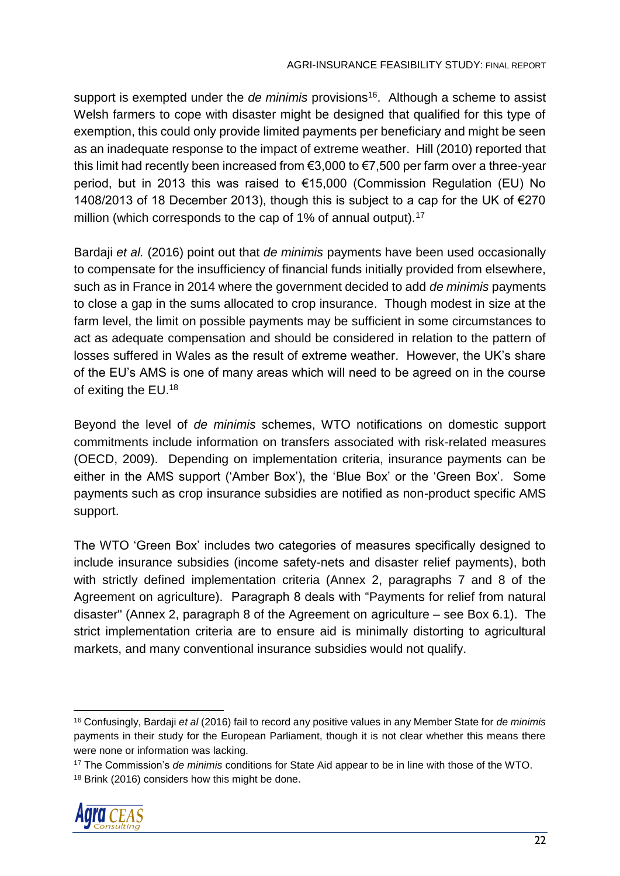support is exempted under the *de minimis* provisions<sup>16</sup>. Although a scheme to assist Welsh farmers to cope with disaster might be designed that qualified for this type of exemption, this could only provide limited payments per beneficiary and might be seen as an inadequate response to the impact of extreme weather. Hill (2010) reported that this limit had recently been increased from €3,000 to €7,500 per farm over a three-year period, but in 2013 this was raised to €15,000 (Commission Regulation (EU) No 1408/2013 of 18 December 2013), though this is subject to a cap for the UK of  $E$ 270 million (which corresponds to the cap of 1% of annual output).<sup>17</sup>

Bardaji *et al.* (2016) point out that *de minimis* payments have been used occasionally to compensate for the insufficiency of financial funds initially provided from elsewhere, such as in France in 2014 where the government decided to add *de minimis* payments to close a gap in the sums allocated to crop insurance. Though modest in size at the farm level, the limit on possible payments may be sufficient in some circumstances to act as adequate compensation and should be considered in relation to the pattern of losses suffered in Wales as the result of extreme weather. However, the UK's share of the EU's AMS is one of many areas which will need to be agreed on in the course of exiting the EU.<sup>18</sup>

Beyond the level of *de minimis* schemes, WTO notifications on domestic support commitments include information on transfers associated with risk-related measures (OECD, 2009). Depending on implementation criteria, insurance payments can be either in the AMS support ('Amber Box'), the 'Blue Box' or the 'Green Box'. Some payments such as crop insurance subsidies are notified as non-product specific AMS support.

The WTO 'Green Box' includes two categories of measures specifically designed to include insurance subsidies (income safety-nets and disaster relief payments), both with strictly defined implementation criteria (Annex 2, paragraphs 7 and 8 of the Agreement on agriculture). Paragraph 8 deals with "Payments for relief from natural disaster" (Annex 2, paragraph 8 of the Agreement on agriculture – see Box 6.1). The strict implementation criteria are to ensure aid is minimally distorting to agricultural markets, and many conventional insurance subsidies would not qualify.

<sup>17</sup> The Commission's *de minimis* conditions for State Aid appear to be in line with those of the WTO. 18 Brink (2016) considers how this might be done.



 $\overline{a}$ 

<sup>16</sup> Confusingly, Bardaji *et al* (2016) fail to record any positive values in any Member State for *de minimis* payments in their study for the European Parliament, though it is not clear whether this means there were none or information was lacking.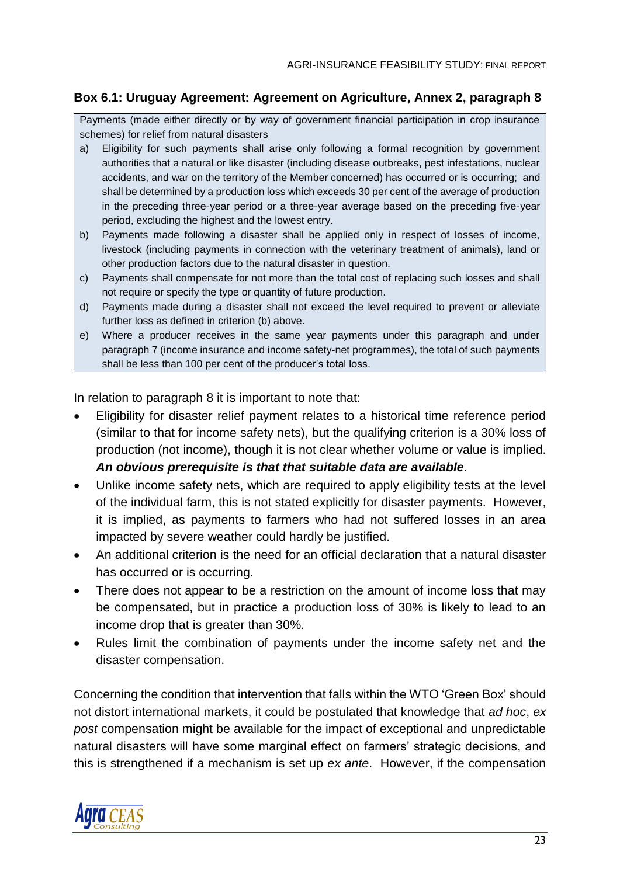#### **Box 6.1: Uruguay Agreement: Agreement on Agriculture, Annex 2, paragraph 8**

Payments (made either directly or by way of government financial participation in crop insurance schemes) for relief from natural disasters

- a) Eligibility for such payments shall arise only following a formal recognition by government authorities that a natural or like disaster (including disease outbreaks, pest infestations, nuclear accidents, and war on the territory of the Member concerned) has occurred or is occurring; and shall be determined by a production loss which exceeds 30 per cent of the average of production in the preceding three-year period or a three-year average based on the preceding five-year period, excluding the highest and the lowest entry.
- b) Payments made following a disaster shall be applied only in respect of losses of income, livestock (including payments in connection with the veterinary treatment of animals), land or other production factors due to the natural disaster in question.
- c) Payments shall compensate for not more than the total cost of replacing such losses and shall not require or specify the type or quantity of future production.
- d) Payments made during a disaster shall not exceed the level required to prevent or alleviate further loss as defined in criterion (b) above.
- e) Where a producer receives in the same year payments under this paragraph and under paragraph 7 (income insurance and income safety-net programmes), the total of such payments shall be less than 100 per cent of the producer's total loss.

In relation to paragraph 8 it is important to note that:

- Eligibility for disaster relief payment relates to a historical time reference period (similar to that for income safety nets), but the qualifying criterion is a 30% loss of production (not income), though it is not clear whether volume or value is implied. *An obvious prerequisite is that that suitable data are available*.
- Unlike income safety nets, which are required to apply eligibility tests at the level of the individual farm, this is not stated explicitly for disaster payments. However, it is implied, as payments to farmers who had not suffered losses in an area impacted by severe weather could hardly be justified.
- An additional criterion is the need for an official declaration that a natural disaster has occurred or is occurring.
- There does not appear to be a restriction on the amount of income loss that may be compensated, but in practice a production loss of 30% is likely to lead to an income drop that is greater than 30%.
- Rules limit the combination of payments under the income safety net and the disaster compensation.

Concerning the condition that intervention that falls within the WTO 'Green Box' should not distort international markets, it could be postulated that knowledge that *ad hoc*, *ex post* compensation might be available for the impact of exceptional and unpredictable natural disasters will have some marginal effect on farmers' strategic decisions, and this is strengthened if a mechanism is set up *ex ante*. However, if the compensation

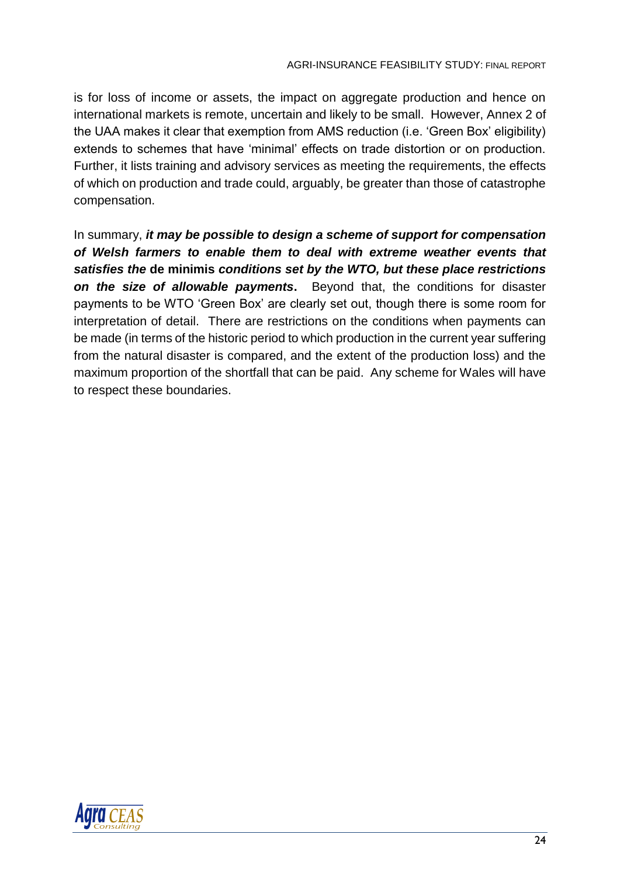is for loss of income or assets, the impact on aggregate production and hence on international markets is remote, uncertain and likely to be small. However, Annex 2 of the UAA makes it clear that exemption from AMS reduction (i.e. 'Green Box' eligibility) extends to schemes that have 'minimal' effects on trade distortion or on production. Further, it lists training and advisory services as meeting the requirements, the effects of which on production and trade could, arguably, be greater than those of catastrophe compensation.

In summary, *it may be possible to design a scheme of support for compensation of Welsh farmers to enable them to deal with extreme weather events that satisfies the* **de minimis** *conditions set by the WTO, but these place restrictions on the size of allowable payments***.** Beyond that, the conditions for disaster payments to be WTO 'Green Box' are clearly set out, though there is some room for interpretation of detail. There are restrictions on the conditions when payments can be made (in terms of the historic period to which production in the current year suffering from the natural disaster is compared, and the extent of the production loss) and the maximum proportion of the shortfall that can be paid. Any scheme for Wales will have to respect these boundaries.

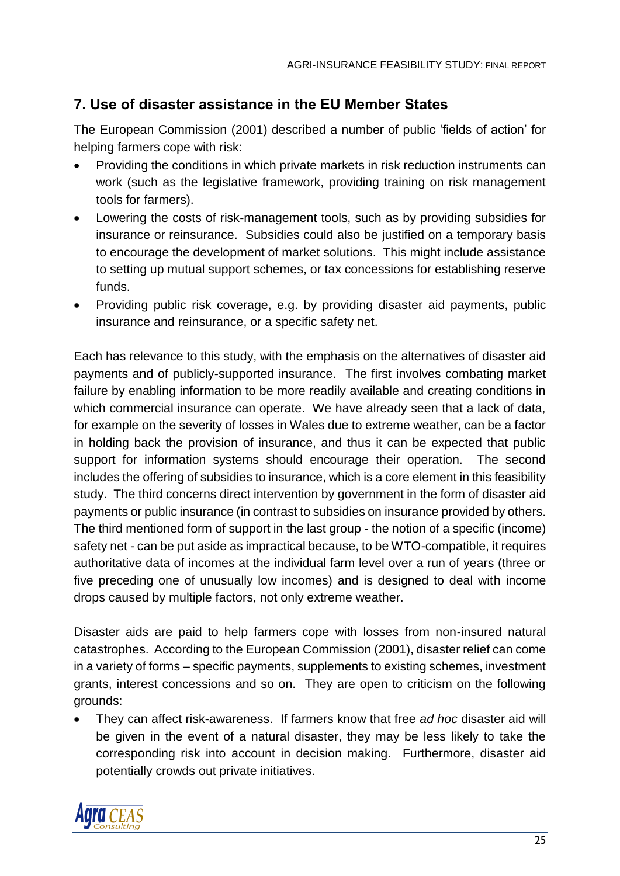# <span id="page-31-0"></span>**7. Use of disaster assistance in the EU Member States**

The European Commission (2001) described a number of public 'fields of action' for helping farmers cope with risk:

- Providing the conditions in which private markets in risk reduction instruments can work (such as the legislative framework, providing training on risk management tools for farmers).
- Lowering the costs of risk-management tools, such as by providing subsidies for insurance or reinsurance. Subsidies could also be justified on a temporary basis to encourage the development of market solutions. This might include assistance to setting up mutual support schemes, or tax concessions for establishing reserve funds.
- Providing public risk coverage, e.g. by providing disaster aid payments, public insurance and reinsurance, or a specific safety net.

Each has relevance to this study, with the emphasis on the alternatives of disaster aid payments and of publicly-supported insurance. The first involves combating market failure by enabling information to be more readily available and creating conditions in which commercial insurance can operate. We have already seen that a lack of data, for example on the severity of losses in Wales due to extreme weather, can be a factor in holding back the provision of insurance, and thus it can be expected that public support for information systems should encourage their operation. The second includes the offering of subsidies to insurance, which is a core element in this feasibility study. The third concerns direct intervention by government in the form of disaster aid payments or public insurance (in contrast to subsidies on insurance provided by others. The third mentioned form of support in the last group - the notion of a specific (income) safety net - can be put aside as impractical because, to be WTO-compatible, it requires authoritative data of incomes at the individual farm level over a run of years (three or five preceding one of unusually low incomes) and is designed to deal with income drops caused by multiple factors, not only extreme weather.

Disaster aids are paid to help farmers cope with losses from non-insured natural catastrophes. According to the European Commission (2001), disaster relief can come in a variety of forms – specific payments, supplements to existing schemes, investment grants, interest concessions and so on. They are open to criticism on the following grounds:

• They can affect risk-awareness. If farmers know that free *ad hoc* disaster aid will be given in the event of a natural disaster, they may be less likely to take the corresponding risk into account in decision making. Furthermore, disaster aid potentially crowds out private initiatives.

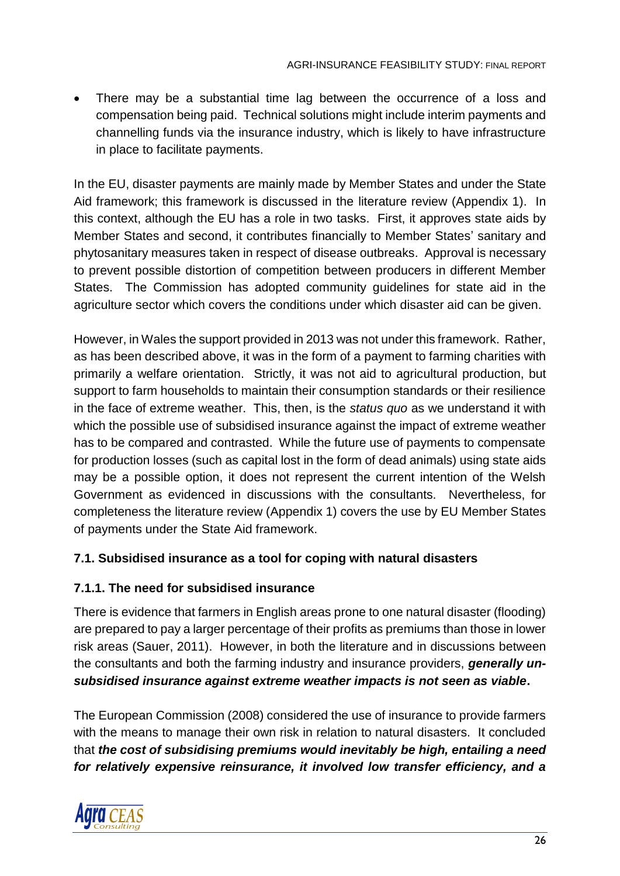There may be a substantial time lag between the occurrence of a loss and compensation being paid. Technical solutions might include interim payments and channelling funds via the insurance industry, which is likely to have infrastructure in place to facilitate payments.

In the EU, disaster payments are mainly made by Member States and under the State Aid framework; this framework is discussed in the literature review (Appendix 1). In this context, although the EU has a role in two tasks. First, it approves state aids by Member States and second, it contributes financially to Member States' sanitary and phytosanitary measures taken in respect of disease outbreaks. Approval is necessary to prevent possible distortion of competition between producers in different Member States. The Commission has adopted community guidelines for state aid in the agriculture sector which covers the conditions under which disaster aid can be given.

However, in Wales the support provided in 2013 was not under this framework. Rather, as has been described above, it was in the form of a payment to farming charities with primarily a welfare orientation. Strictly, it was not aid to agricultural production, but support to farm households to maintain their consumption standards or their resilience in the face of extreme weather. This, then, is the *status quo* as we understand it with which the possible use of subsidised insurance against the impact of extreme weather has to be compared and contrasted. While the future use of payments to compensate for production losses (such as capital lost in the form of dead animals) using state aids may be a possible option, it does not represent the current intention of the Welsh Government as evidenced in discussions with the consultants. Nevertheless, for completeness the literature review (Appendix 1) covers the use by EU Member States of payments under the State Aid framework.

### <span id="page-32-0"></span>**7.1. Subsidised insurance as a tool for coping with natural disasters**

### <span id="page-32-1"></span>**7.1.1. The need for subsidised insurance**

There is evidence that farmers in English areas prone to one natural disaster (flooding) are prepared to pay a larger percentage of their profits as premiums than those in lower risk areas (Sauer, 2011). However, in both the literature and in discussions between the consultants and both the farming industry and insurance providers, *generally unsubsidised insurance against extreme weather impacts is not seen as viable***.**

The European Commission (2008) considered the use of insurance to provide farmers with the means to manage their own risk in relation to natural disasters. It concluded that *the cost of subsidising premiums would inevitably be high, entailing a need for relatively expensive reinsurance, it involved low transfer efficiency, and a* 

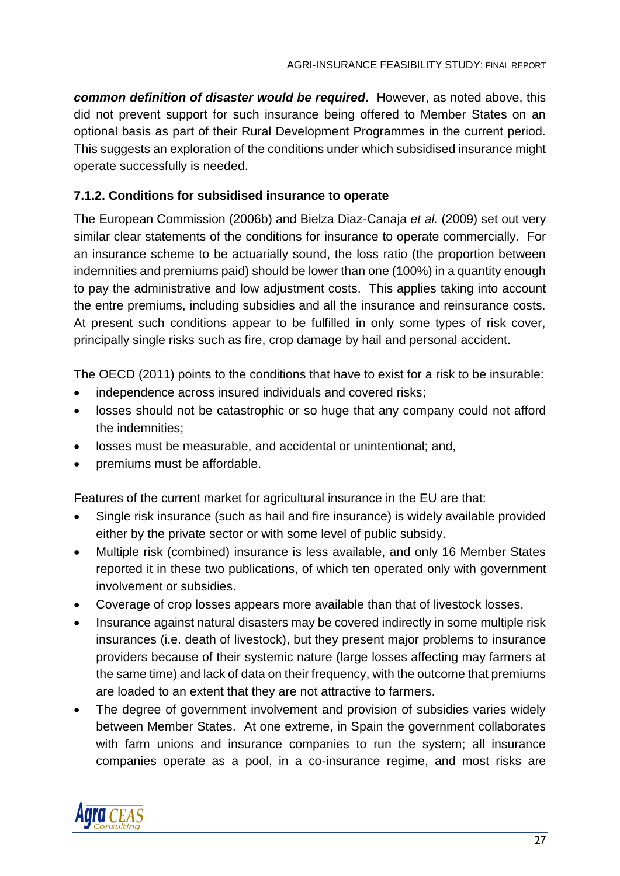*common definition of disaster would be required***.** However, as noted above, this did not prevent support for such insurance being offered to Member States on an optional basis as part of their Rural Development Programmes in the current period. This suggests an exploration of the conditions under which subsidised insurance might operate successfully is needed.

### <span id="page-33-0"></span>**7.1.2. Conditions for subsidised insurance to operate**

The European Commission (2006b) and Bielza Diaz-Canaja *et al.* (2009) set out very similar clear statements of the conditions for insurance to operate commercially. For an insurance scheme to be actuarially sound, the loss ratio (the proportion between indemnities and premiums paid) should be lower than one (100%) in a quantity enough to pay the administrative and low adjustment costs. This applies taking into account the entre premiums, including subsidies and all the insurance and reinsurance costs. At present such conditions appear to be fulfilled in only some types of risk cover, principally single risks such as fire, crop damage by hail and personal accident.

The OECD (2011) points to the conditions that have to exist for a risk to be insurable:

- independence across insured individuals and covered risks;
- losses should not be catastrophic or so huge that any company could not afford the indemnities;
- losses must be measurable, and accidental or unintentional; and,
- premiums must be affordable.

Features of the current market for agricultural insurance in the EU are that:

- Single risk insurance (such as hail and fire insurance) is widely available provided either by the private sector or with some level of public subsidy.
- Multiple risk (combined) insurance is less available, and only 16 Member States reported it in these two publications, of which ten operated only with government involvement or subsidies.
- Coverage of crop losses appears more available than that of livestock losses.
- Insurance against natural disasters may be covered indirectly in some multiple risk insurances (i.e. death of livestock), but they present major problems to insurance providers because of their systemic nature (large losses affecting may farmers at the same time) and lack of data on their frequency, with the outcome that premiums are loaded to an extent that they are not attractive to farmers.
- The degree of government involvement and provision of subsidies varies widely between Member States. At one extreme, in Spain the government collaborates with farm unions and insurance companies to run the system; all insurance companies operate as a pool, in a co-insurance regime, and most risks are

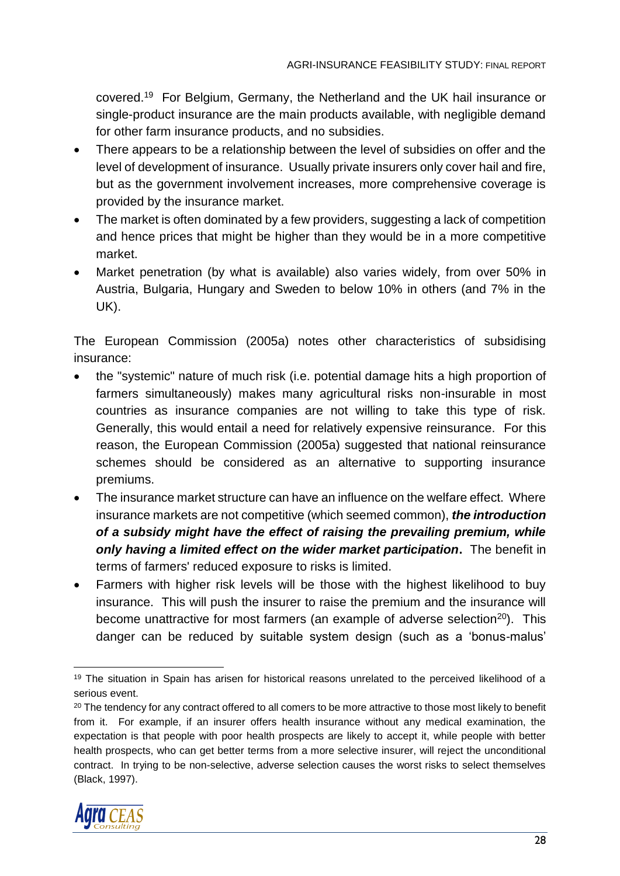covered.<sup>19</sup> For Belgium, Germany, the Netherland and the UK hail insurance or single-product insurance are the main products available, with negligible demand for other farm insurance products, and no subsidies.

- There appears to be a relationship between the level of subsidies on offer and the level of development of insurance. Usually private insurers only cover hail and fire, but as the government involvement increases, more comprehensive coverage is provided by the insurance market.
- The market is often dominated by a few providers, suggesting a lack of competition and hence prices that might be higher than they would be in a more competitive market.
- Market penetration (by what is available) also varies widely, from over 50% in Austria, Bulgaria, Hungary and Sweden to below 10% in others (and 7% in the UK).

The European Commission (2005a) notes other characteristics of subsidising insurance:

- the "systemic" nature of much risk (i.e. potential damage hits a high proportion of farmers simultaneously) makes many agricultural risks non-insurable in most countries as insurance companies are not willing to take this type of risk. Generally, this would entail a need for relatively expensive reinsurance. For this reason, the European Commission (2005a) suggested that national reinsurance schemes should be considered as an alternative to supporting insurance premiums.
- The insurance market structure can have an influence on the welfare effect. Where insurance markets are not competitive (which seemed common), *the introduction of a subsidy might have the effect of raising the prevailing premium, while only having a limited effect on the wider market participation***.** The benefit in terms of farmers' reduced exposure to risks is limited.
- Farmers with higher risk levels will be those with the highest likelihood to buy insurance. This will push the insurer to raise the premium and the insurance will become unattractive for most farmers (an example of adverse selection<sup>20</sup>). This danger can be reduced by suitable system design (such as a 'bonus-malus'

<sup>&</sup>lt;sup>20</sup> The tendency for any contract offered to all comers to be more attractive to those most likely to benefit from it. For example, if an insurer offers health insurance without any medical examination, the expectation is that people with poor health prospects are likely to accept it, while people with better health prospects, who can get better terms from a more selective insurer, will reject the unconditional contract. In trying to be non-selective, adverse selection causes the worst risks to select themselves (Black, 1997).



<sup>&</sup>lt;sup>19</sup> The situation in Spain has arisen for historical reasons unrelated to the perceived likelihood of a serious event.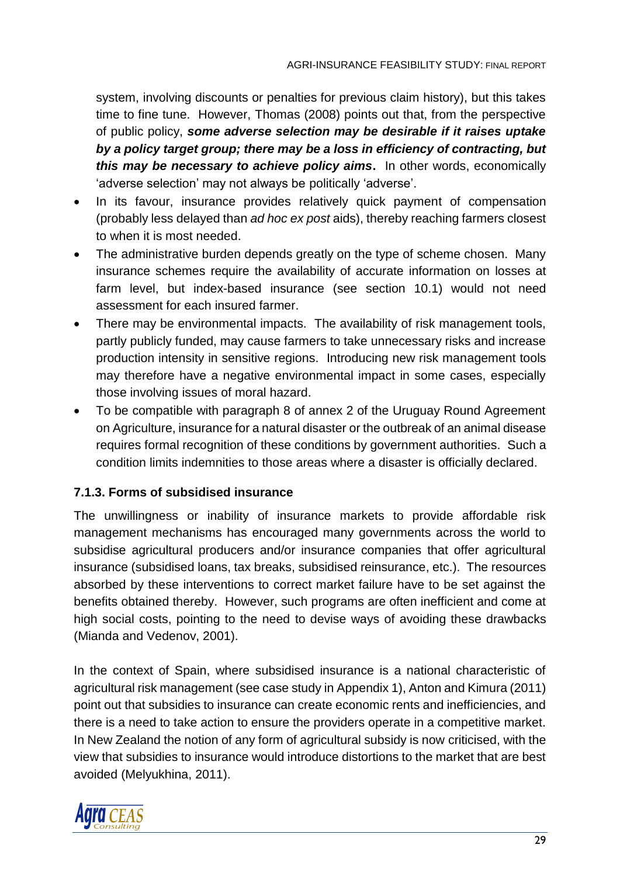system, involving discounts or penalties for previous claim history), but this takes time to fine tune. However, Thomas (2008) points out that, from the perspective of public policy, *some adverse selection may be desirable if it raises uptake by a policy target group; there may be a loss in efficiency of contracting, but this may be necessary to achieve policy aims***.** In other words, economically 'adverse selection' may not always be politically 'adverse'.

- In its favour, insurance provides relatively quick payment of compensation (probably less delayed than *ad hoc ex post* aids), thereby reaching farmers closest to when it is most needed.
- The administrative burden depends greatly on the type of scheme chosen. Many insurance schemes require the availability of accurate information on losses at farm level, but index-based insurance (see section 10.1) would not need assessment for each insured farmer.
- There may be environmental impacts. The availability of risk management tools, partly publicly funded, may cause farmers to take unnecessary risks and increase production intensity in sensitive regions. Introducing new risk management tools may therefore have a negative environmental impact in some cases, especially those involving issues of moral hazard.
- To be compatible with paragraph 8 of annex 2 of the Uruguay Round Agreement on Agriculture, insurance for a natural disaster or the outbreak of an animal disease requires formal recognition of these conditions by government authorities. Such a condition limits indemnities to those areas where a disaster is officially declared.

### <span id="page-35-0"></span>**7.1.3. Forms of subsidised insurance**

The unwillingness or inability of insurance markets to provide affordable risk management mechanisms has encouraged many governments across the world to subsidise agricultural producers and/or insurance companies that offer agricultural insurance (subsidised loans, tax breaks, subsidised reinsurance, etc.). The resources absorbed by these interventions to correct market failure have to be set against the benefits obtained thereby. However, such programs are often inefficient and come at high social costs, pointing to the need to devise ways of avoiding these drawbacks (Mianda and Vedenov, 2001).

In the context of Spain, where subsidised insurance is a national characteristic of agricultural risk management (see case study in Appendix 1), Anton and Kimura (2011) point out that subsidies to insurance can create economic rents and inefficiencies, and there is a need to take action to ensure the providers operate in a competitive market. In New Zealand the notion of any form of agricultural subsidy is now criticised, with the view that subsidies to insurance would introduce distortions to the market that are best avoided (Melyukhina, 2011).

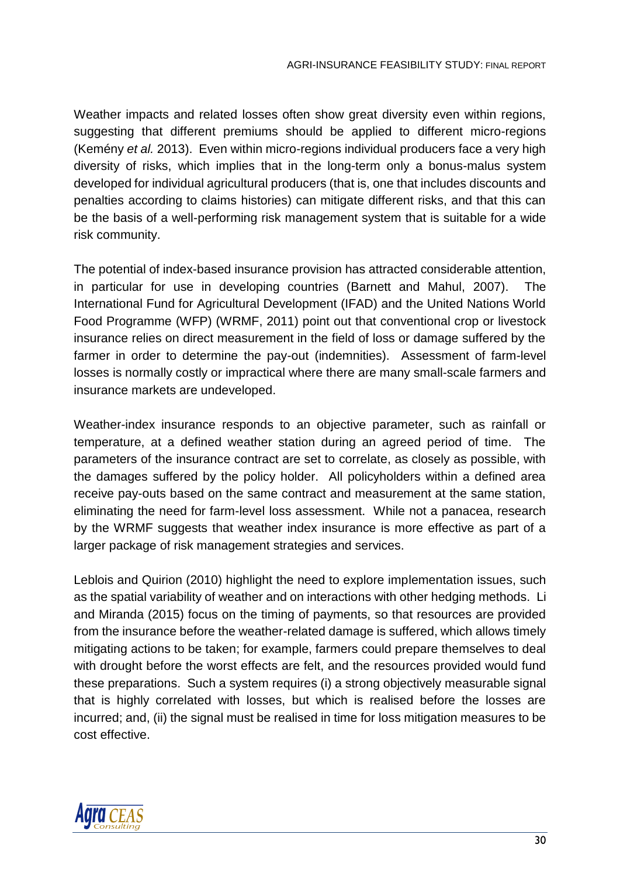Weather impacts and related losses often show great diversity even within regions, suggesting that different premiums should be applied to different micro-regions (Kemény *et al.* 2013). Even within micro-regions individual producers face a very high diversity of risks, which implies that in the long-term only a bonus-malus system developed for individual agricultural producers (that is, one that includes discounts and penalties according to claims histories) can mitigate different risks, and that this can be the basis of a well-performing risk management system that is suitable for a wide risk community.

The potential of index-based insurance provision has attracted considerable attention, in particular for use in developing countries (Barnett and Mahul, 2007). The International Fund for Agricultural Development (IFAD) and the United Nations World Food Programme (WFP) (WRMF, 2011) point out that conventional crop or livestock insurance relies on direct measurement in the field of loss or damage suffered by the farmer in order to determine the pay-out (indemnities). Assessment of farm-level losses is normally costly or impractical where there are many small-scale farmers and insurance markets are undeveloped.

Weather-index insurance responds to an objective parameter, such as rainfall or temperature, at a defined weather station during an agreed period of time. The parameters of the insurance contract are set to correlate, as closely as possible, with the damages suffered by the policy holder. All policyholders within a defined area receive pay-outs based on the same contract and measurement at the same station, eliminating the need for farm-level loss assessment. While not a panacea, research by the WRMF suggests that weather index insurance is more effective as part of a larger package of risk management strategies and services.

Leblois and Quirion (2010) highlight the need to explore implementation issues, such as the spatial variability of weather and on interactions with other hedging methods. Li and Miranda (2015) focus on the timing of payments, so that resources are provided from the insurance before the weather-related damage is suffered, which allows timely mitigating actions to be taken; for example, farmers could prepare themselves to deal with drought before the worst effects are felt, and the resources provided would fund these preparations. Such a system requires (i) a strong objectively measurable signal that is highly correlated with losses, but which is realised before the losses are incurred; and, (ii) the signal must be realised in time for loss mitigation measures to be cost effective.

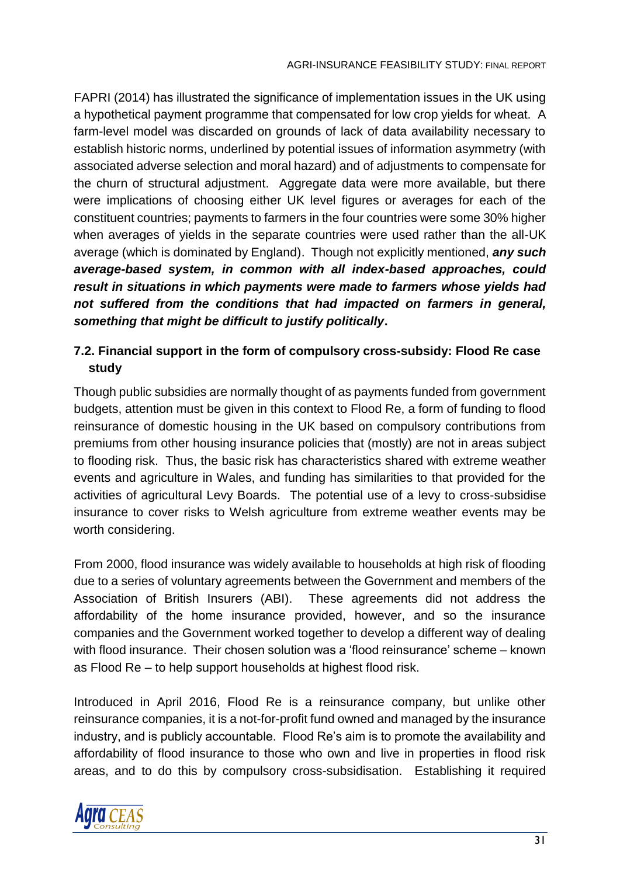FAPRI (2014) has illustrated the significance of implementation issues in the UK using a hypothetical payment programme that compensated for low crop yields for wheat. A farm-level model was discarded on grounds of lack of data availability necessary to establish historic norms, underlined by potential issues of information asymmetry (with associated adverse selection and moral hazard) and of adjustments to compensate for the churn of structural adjustment. Aggregate data were more available, but there were implications of choosing either UK level figures or averages for each of the constituent countries; payments to farmers in the four countries were some 30% higher when averages of yields in the separate countries were used rather than the all-UK average (which is dominated by England). Though not explicitly mentioned, *any such average-based system, in common with all index-based approaches, could result in situations in which payments were made to farmers whose yields had not suffered from the conditions that had impacted on farmers in general, something that might be difficult to justify politically***.**

## **7.2. Financial support in the form of compulsory cross-subsidy: Flood Re case study**

Though public subsidies are normally thought of as payments funded from government budgets, attention must be given in this context to Flood Re, a form of funding to flood reinsurance of domestic housing in the UK based on compulsory contributions from premiums from other housing insurance policies that (mostly) are not in areas subject to flooding risk. Thus, the basic risk has characteristics shared with extreme weather events and agriculture in Wales, and funding has similarities to that provided for the activities of agricultural Levy Boards. The potential use of a levy to cross-subsidise insurance to cover risks to Welsh agriculture from extreme weather events may be worth considering.

From 2000, flood insurance was widely available to households at high risk of flooding due to a series of voluntary agreements between the Government and members of the Association of British Insurers (ABI). These agreements did not address the affordability of the home insurance provided, however, and so the insurance companies and the Government worked together to develop a different way of dealing with flood insurance. Their chosen solution was a 'flood reinsurance' scheme – known as Flood Re – to help support households at highest flood risk.

Introduced in April 2016, Flood Re is a reinsurance company, but unlike other reinsurance companies, it is a not-for-profit fund owned and managed by the insurance industry, and is publicly accountable. Flood Re's aim is to promote the availability and affordability of flood insurance to those who own and live in properties in flood risk areas, and to do this by compulsory cross-subsidisation. Establishing it required

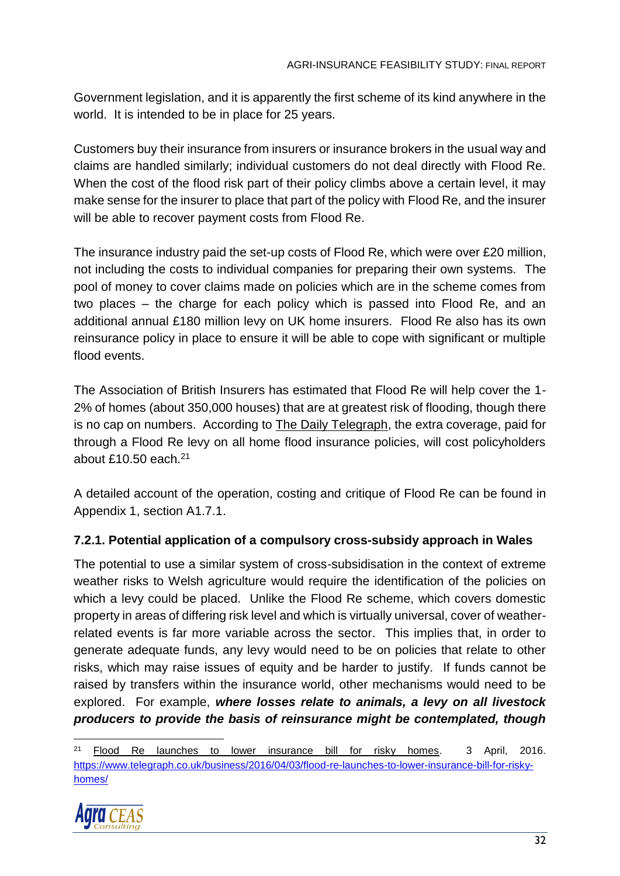Government legislation, and it is apparently the first scheme of its kind anywhere in the world. It is intended to be in place for 25 years.

Customers buy their insurance from insurers or insurance brokers in the usual way and claims are handled similarly; individual customers do not deal directly with Flood Re. When the cost of the flood risk part of their policy climbs above a certain level, it may make sense for the insurer to place that part of the policy with Flood Re, and the insurer will be able to recover payment costs from Flood Re.

The insurance industry paid the set-up costs of Flood Re, which were over £20 million, not including the costs to individual companies for preparing their own systems. The pool of money to cover claims made on policies which are in the scheme comes from two places – the charge for each policy which is passed into Flood Re, and an additional annual £180 million levy on UK home insurers. Flood Re also has its own reinsurance policy in place to ensure it will be able to cope with significant or multiple flood events.

The Association of British Insurers has estimated that Flood Re will help cover the 1- 2% of homes (about 350,000 houses) that are at greatest risk of flooding, though there is no cap on numbers. According to The Daily Telegraph, the extra coverage, paid for through a Flood Re levy on all home flood insurance policies, will cost policyholders about £10.50 each. $21$ 

A detailed account of the operation, costing and critique of Flood Re can be found in Appendix 1, section A1.7.1.

## **7.2.1. Potential application of a compulsory cross-subsidy approach in Wales**

The potential to use a similar system of cross-subsidisation in the context of extreme weather risks to Welsh agriculture would require the identification of the policies on which a levy could be placed. Unlike the Flood Re scheme, which covers domestic property in areas of differing risk level and which is virtually universal, cover of weatherrelated events is far more variable across the sector. This implies that, in order to generate adequate funds, any levy would need to be on policies that relate to other risks, which may raise issues of equity and be harder to justify. If funds cannot be raised by transfers within the insurance world, other mechanisms would need to be explored. For example, *where losses relate to animals, a levy on all livestock producers to provide the basis of reinsurance might be contemplated, though* 

<sup>21</sup> Flood Re launches to lower insurance bill for risky homes. 3 April, 2016. [https://www.telegraph.co.uk/business/2016/04/03/flood-re-launches-to-lower-insurance-bill-for-risky](https://www.telegraph.co.uk/business/2016/04/03/flood-re-launches-to-lower-insurance-bill-for-risky-homes/)[homes/](https://www.telegraph.co.uk/business/2016/04/03/flood-re-launches-to-lower-insurance-bill-for-risky-homes/)

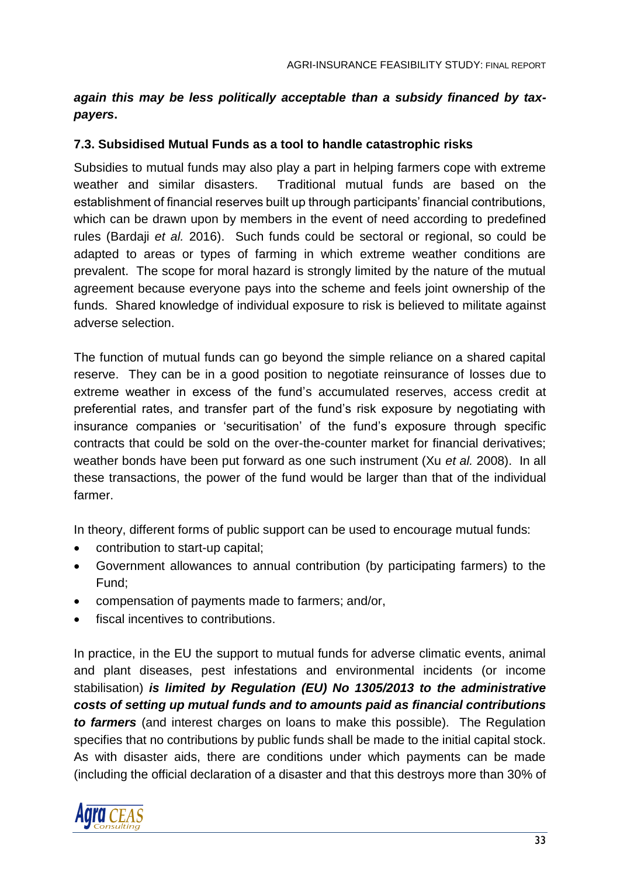## *again this may be less politically acceptable than a subsidy financed by taxpayers***.**

#### **7.3. Subsidised Mutual Funds as a tool to handle catastrophic risks**

Subsidies to mutual funds may also play a part in helping farmers cope with extreme weather and similar disasters. Traditional mutual funds are based on the establishment of financial reserves built up through participants' financial contributions, which can be drawn upon by members in the event of need according to predefined rules (Bardaji *et al.* 2016). Such funds could be sectoral or regional, so could be adapted to areas or types of farming in which extreme weather conditions are prevalent. The scope for moral hazard is strongly limited by the nature of the mutual agreement because everyone pays into the scheme and feels joint ownership of the funds. Shared knowledge of individual exposure to risk is believed to militate against adverse selection.

The function of mutual funds can go beyond the simple reliance on a shared capital reserve. They can be in a good position to negotiate reinsurance of losses due to extreme weather in excess of the fund's accumulated reserves, access credit at preferential rates, and transfer part of the fund's risk exposure by negotiating with insurance companies or 'securitisation' of the fund's exposure through specific contracts that could be sold on the over-the-counter market for financial derivatives; weather bonds have been put forward as one such instrument (Xu *et al.* 2008). In all these transactions, the power of the fund would be larger than that of the individual farmer.

In theory, different forms of public support can be used to encourage mutual funds:

- contribution to start-up capital;
- Government allowances to annual contribution (by participating farmers) to the Fund;
- compensation of payments made to farmers; and/or,
- fiscal incentives to contributions.

In practice, in the EU the support to mutual funds for adverse climatic events, animal and plant diseases, pest infestations and environmental incidents (or income stabilisation) *is limited by Regulation (EU) No 1305/2013 to the administrative costs of setting up mutual funds and to amounts paid as financial contributions to farmers* (and interest charges on loans to make this possible). The Regulation specifies that no contributions by public funds shall be made to the initial capital stock. As with disaster aids, there are conditions under which payments can be made (including the official declaration of a disaster and that this destroys more than 30% of

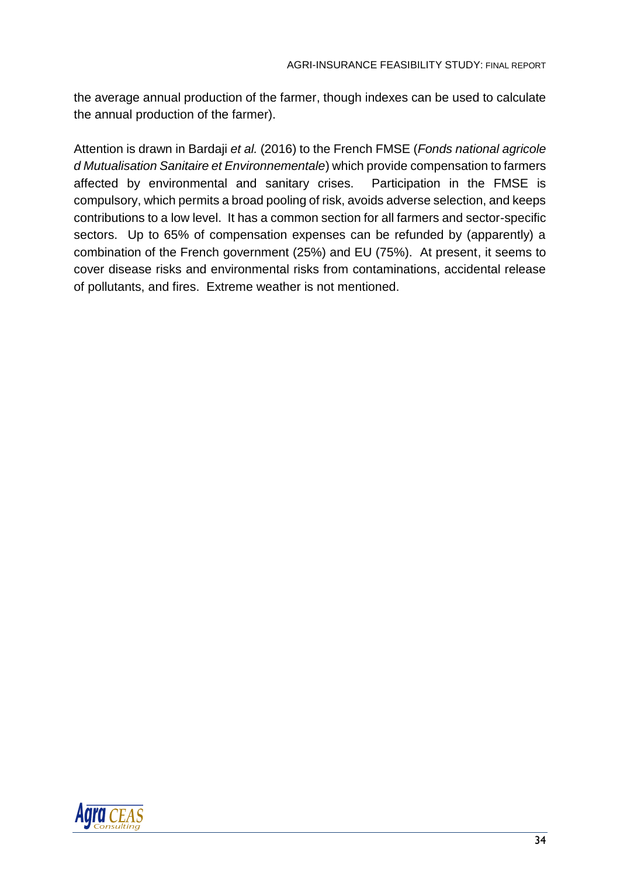the average annual production of the farmer, though indexes can be used to calculate the annual production of the farmer).

Attention is drawn in Bardaji *et al.* (2016) to the French FMSE (*Fonds national agricole d Mutualisation Sanitaire et Environnementale*) which provide compensation to farmers affected by environmental and sanitary crises. Participation in the FMSE is compulsory, which permits a broad pooling of risk, avoids adverse selection, and keeps contributions to a low level. It has a common section for all farmers and sector-specific sectors. Up to 65% of compensation expenses can be refunded by (apparently) a combination of the French government (25%) and EU (75%). At present, it seems to cover disease risks and environmental risks from contaminations, accidental release of pollutants, and fires. Extreme weather is not mentioned.

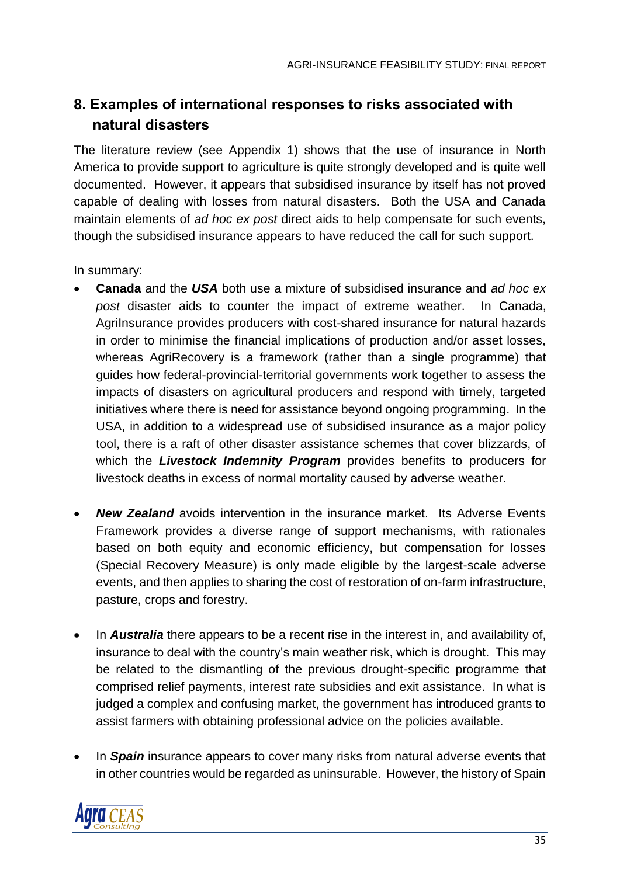# **8. Examples of international responses to risks associated with natural disasters**

The literature review (see Appendix 1) shows that the use of insurance in North America to provide support to agriculture is quite strongly developed and is quite well documented. However, it appears that subsidised insurance by itself has not proved capable of dealing with losses from natural disasters. Both the USA and Canada maintain elements of *ad hoc ex post* direct aids to help compensate for such events, though the subsidised insurance appears to have reduced the call for such support.

In summary:

- **Canada** and the *USA* both use a mixture of subsidised insurance and *ad hoc ex post* disaster aids to counter the impact of extreme weather. In Canada, AgriInsurance provides producers with cost-shared insurance for natural hazards in order to minimise the financial implications of production and/or asset losses, whereas AgriRecovery is a framework (rather than a single programme) that guides how federal-provincial-territorial governments work together to assess the impacts of disasters on agricultural producers and respond with timely, targeted initiatives where there is need for assistance beyond ongoing programming. In the USA, in addition to a widespread use of subsidised insurance as a major policy tool, there is a raft of other disaster assistance schemes that cover blizzards, of which the *Livestock Indemnity Program* provides benefits to producers for livestock deaths in excess of normal mortality caused by adverse weather.
- *New Zealand* avoids intervention in the insurance market. Its Adverse Events Framework provides a diverse range of support mechanisms, with rationales based on both equity and economic efficiency, but compensation for losses (Special Recovery Measure) is only made eligible by the largest-scale adverse events, and then applies to sharing the cost of restoration of on-farm infrastructure, pasture, crops and forestry.
- In *Australia* there appears to be a recent rise in the interest in, and availability of, insurance to deal with the country's main weather risk, which is drought. This may be related to the dismantling of the previous drought-specific programme that comprised relief payments, interest rate subsidies and exit assistance. In what is judged a complex and confusing market, the government has introduced grants to assist farmers with obtaining professional advice on the policies available.
- In *Spain* insurance appears to cover many risks from natural adverse events that in other countries would be regarded as uninsurable. However, the history of Spain

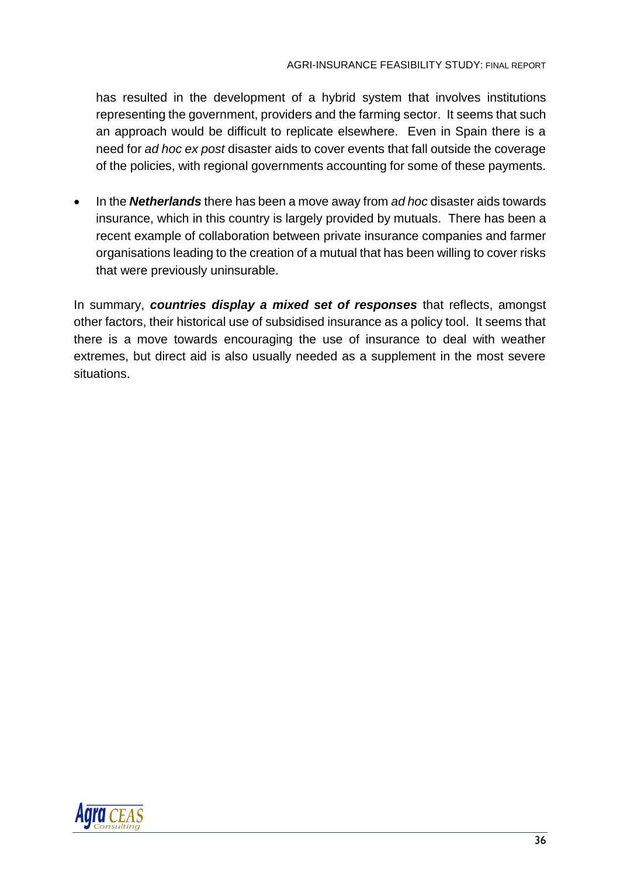has resulted in the development of a hybrid system that involves institutions representing the government, providers and the farming sector. It seems that such an approach would be difficult to replicate elsewhere. Even in Spain there is a need for *ad hoc ex post* disaster aids to cover events that fall outside the coverage of the policies, with regional governments accounting for some of these payments.

• In the *Netherlands* there has been a move away from *ad hoc* disaster aids towards insurance, which in this country is largely provided by mutuals. There has been a recent example of collaboration between private insurance companies and farmer organisations leading to the creation of a mutual that has been willing to cover risks that were previously uninsurable.

In summary, *countries display a mixed set of responses* that reflects, amongst other factors, their historical use of subsidised insurance as a policy tool. It seems that there is a move towards encouraging the use of insurance to deal with weather extremes, but direct aid is also usually needed as a supplement in the most severe situations.

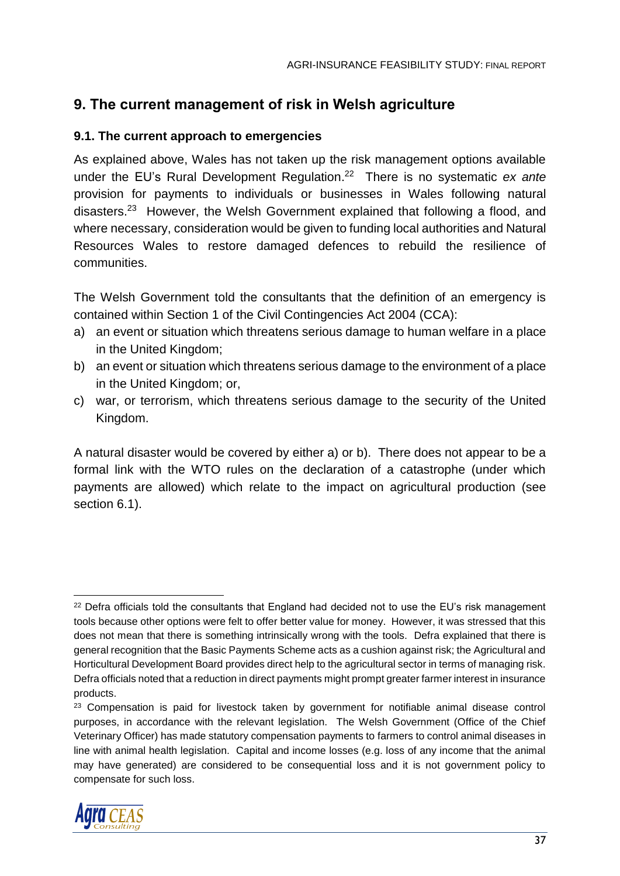# **9. The current management of risk in Welsh agriculture**

#### **9.1. The current approach to emergencies**

As explained above, Wales has not taken up the risk management options available under the EU's Rural Development Regulation. 22 There is no systematic *ex ante* provision for payments to individuals or businesses in Wales following natural disasters.<sup>23</sup> However, the Welsh Government explained that following a flood, and where necessary, consideration would be given to funding local authorities and Natural Resources Wales to restore damaged defences to rebuild the resilience of communities.

The Welsh Government told the consultants that the definition of an emergency is contained within Section 1 of the Civil Contingencies Act 2004 (CCA):

- a) an event or situation which threatens serious damage to human welfare in a place in the United Kingdom;
- b) an event or situation which threatens serious damage to the environment of a place in the United Kingdom; or,
- c) war, or terrorism, which threatens serious damage to the security of the United Kingdom.

A natural disaster would be covered by either a) or b). There does not appear to be a formal link with the WTO rules on the declaration of a catastrophe (under which payments are allowed) which relate to the impact on agricultural production (see section 6.1).

<sup>&</sup>lt;sup>23</sup> Compensation is paid for livestock taken by government for notifiable animal disease control purposes, in accordance with the relevant legislation. The Welsh Government (Office of the Chief Veterinary Officer) has made statutory compensation payments to farmers to control animal diseases in line with animal health legislation. Capital and income losses (e.g. loss of any income that the animal may have generated) are considered to be consequential loss and it is not government policy to compensate for such loss.



 <sup>22</sup> Defra officials told the consultants that England had decided not to use the EU's risk management tools because other options were felt to offer better value for money. However, it was stressed that this does not mean that there is something intrinsically wrong with the tools. Defra explained that there is general recognition that the Basic Payments Scheme acts as a cushion against risk; the Agricultural and Horticultural Development Board provides direct help to the agricultural sector in terms of managing risk. Defra officials noted that a reduction in direct payments might prompt greater farmer interest in insurance products.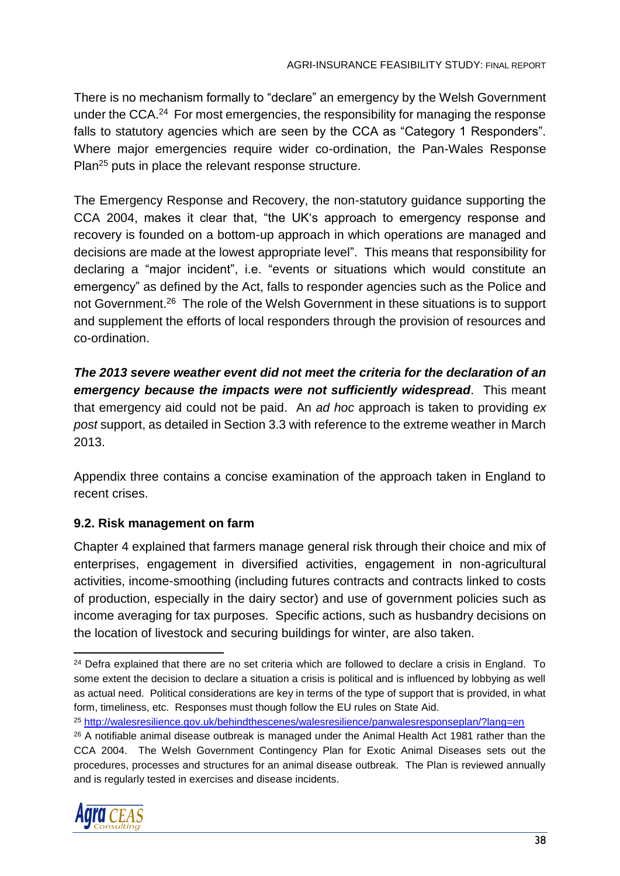There is no mechanism formally to "declare" an emergency by the Welsh Government under the CCA.<sup>24</sup> For most emergencies, the responsibility for managing the response falls to statutory agencies which are seen by the CCA as "Category 1 Responders". Where major emergencies require wider co-ordination, the Pan-Wales Response Plan<sup>25</sup> puts in place the relevant response structure.

The Emergency Response and Recovery, the non-statutory guidance supporting the CCA 2004, makes it clear that, "the UK's approach to emergency response and recovery is founded on a bottom-up approach in which operations are managed and decisions are made at the lowest appropriate level". This means that responsibility for declaring a "major incident", i.e. "events or situations which would constitute an emergency" as defined by the Act, falls to responder agencies such as the Police and not Government.<sup>26</sup> The role of the Welsh Government in these situations is to support and supplement the efforts of local responders through the provision of resources and co-ordination.

*The 2013 severe weather event did not meet the criteria for the declaration of an emergency because the impacts were not sufficiently widespread*. This meant that emergency aid could not be paid. An *ad hoc* approach is taken to providing *ex post* support, as detailed in Section 3.3 with reference to the extreme weather in March 2013.

Appendix three contains a concise examination of the approach taken in England to recent crises.

## **9.2. Risk management on farm**

Chapter 4 explained that farmers manage general risk through their choice and mix of enterprises, engagement in diversified activities, engagement in non-agricultural activities, income-smoothing (including futures contracts and contracts linked to costs of production, especially in the dairy sector) and use of government policies such as income averaging for tax purposes. Specific actions, such as husbandry decisions on the location of livestock and securing buildings for winter, are also taken.

<sup>&</sup>lt;sup>26</sup> A notifiable animal disease outbreak is managed under the Animal Health Act 1981 rather than the CCA 2004. The Welsh Government Contingency Plan for Exotic Animal Diseases sets out the procedures, processes and structures for an animal disease outbreak. The Plan is reviewed annually and is regularly tested in exercises and disease incidents.



  $24$  Defra explained that there are no set criteria which are followed to declare a crisis in England. To some extent the decision to declare a situation a crisis is political and is influenced by lobbying as well as actual need. Political considerations are key in terms of the type of support that is provided, in what form, timeliness, etc. Responses must though follow the EU rules on State Aid.

<sup>25</sup> <http://walesresilience.gov.uk/behindthescenes/walesresilience/panwalesresponseplan/?lang=en>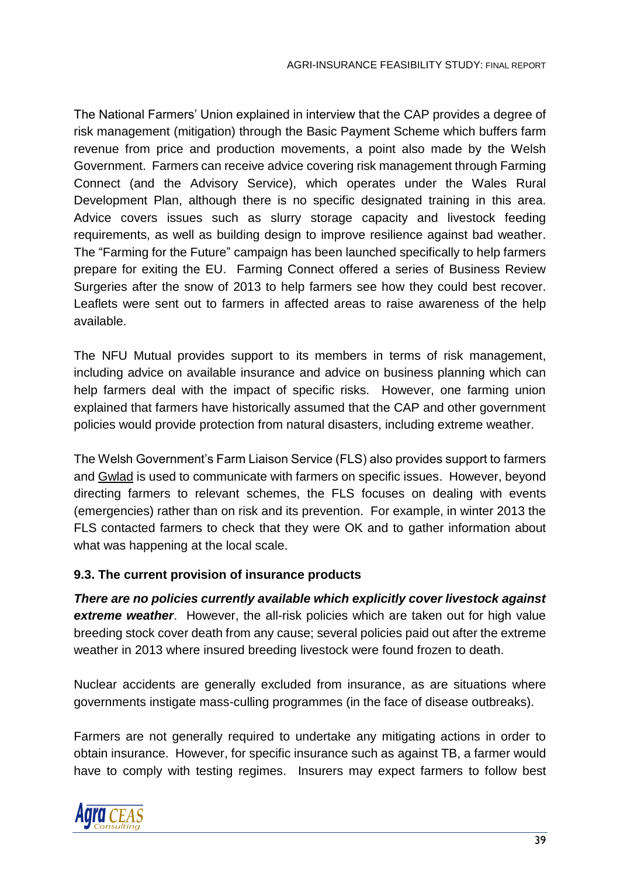The National Farmers' Union explained in interview that the CAP provides a degree of risk management (mitigation) through the Basic Payment Scheme which buffers farm revenue from price and production movements, a point also made by the Welsh Government. Farmers can receive advice covering risk management through Farming Connect (and the Advisory Service), which operates under the Wales Rural Development Plan, although there is no specific designated training in this area. Advice covers issues such as slurry storage capacity and livestock feeding requirements, as well as building design to improve resilience against bad weather. The "Farming for the Future" campaign has been launched specifically to help farmers prepare for exiting the EU. Farming Connect offered a series of Business Review Surgeries after the snow of 2013 to help farmers see how they could best recover. Leaflets were sent out to farmers in affected areas to raise awareness of the help available.

The NFU Mutual provides support to its members in terms of risk management, including advice on available insurance and advice on business planning which can help farmers deal with the impact of specific risks. However, one farming union explained that farmers have historically assumed that the CAP and other government policies would provide protection from natural disasters, including extreme weather.

The Welsh Government's Farm Liaison Service (FLS) also provides support to farmers and Gwlad is used to communicate with farmers on specific issues. However, beyond directing farmers to relevant schemes, the FLS focuses on dealing with events (emergencies) rather than on risk and its prevention. For example, in winter 2013 the FLS contacted farmers to check that they were OK and to gather information about what was happening at the local scale.

#### **9.3. The current provision of insurance products**

*There are no policies currently available which explicitly cover livestock against extreme weather*. However, the all-risk policies which are taken out for high value breeding stock cover death from any cause; several policies paid out after the extreme weather in 2013 where insured breeding livestock were found frozen to death.

Nuclear accidents are generally excluded from insurance, as are situations where governments instigate mass-culling programmes (in the face of disease outbreaks).

Farmers are not generally required to undertake any mitigating actions in order to obtain insurance. However, for specific insurance such as against TB, a farmer would have to comply with testing regimes. Insurers may expect farmers to follow best

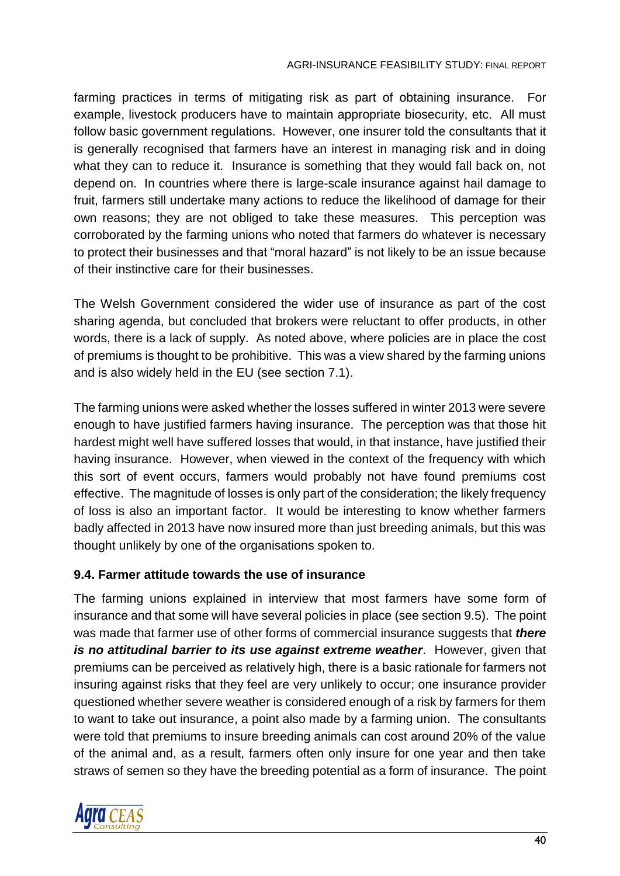farming practices in terms of mitigating risk as part of obtaining insurance. For example, livestock producers have to maintain appropriate biosecurity, etc. All must follow basic government regulations. However, one insurer told the consultants that it is generally recognised that farmers have an interest in managing risk and in doing what they can to reduce it. Insurance is something that they would fall back on, not depend on. In countries where there is large-scale insurance against hail damage to fruit, farmers still undertake many actions to reduce the likelihood of damage for their own reasons; they are not obliged to take these measures. This perception was corroborated by the farming unions who noted that farmers do whatever is necessary to protect their businesses and that "moral hazard" is not likely to be an issue because of their instinctive care for their businesses.

The Welsh Government considered the wider use of insurance as part of the cost sharing agenda, but concluded that brokers were reluctant to offer products, in other words, there is a lack of supply. As noted above, where policies are in place the cost of premiums is thought to be prohibitive. This was a view shared by the farming unions and is also widely held in the EU (see section 7.1).

The farming unions were asked whether the losses suffered in winter 2013 were severe enough to have justified farmers having insurance. The perception was that those hit hardest might well have suffered losses that would, in that instance, have justified their having insurance. However, when viewed in the context of the frequency with which this sort of event occurs, farmers would probably not have found premiums cost effective. The magnitude of losses is only part of the consideration; the likely frequency of loss is also an important factor. It would be interesting to know whether farmers badly affected in 2013 have now insured more than just breeding animals, but this was thought unlikely by one of the organisations spoken to.

## **9.4. Farmer attitude towards the use of insurance**

The farming unions explained in interview that most farmers have some form of insurance and that some will have several policies in place (see section 9.5). The point was made that farmer use of other forms of commercial insurance suggests that *there is no attitudinal barrier to its use against extreme weather*. However, given that premiums can be perceived as relatively high, there is a basic rationale for farmers not insuring against risks that they feel are very unlikely to occur; one insurance provider questioned whether severe weather is considered enough of a risk by farmers for them to want to take out insurance, a point also made by a farming union. The consultants were told that premiums to insure breeding animals can cost around 20% of the value of the animal and, as a result, farmers often only insure for one year and then take straws of semen so they have the breeding potential as a form of insurance. The point

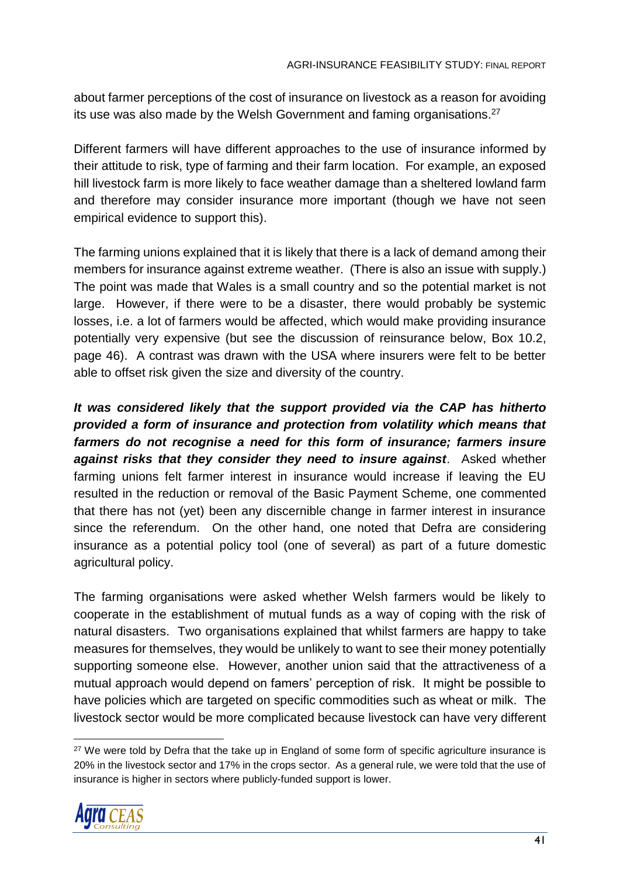about farmer perceptions of the cost of insurance on livestock as a reason for avoiding its use was also made by the Welsh Government and faming organisations.<sup>27</sup>

Different farmers will have different approaches to the use of insurance informed by their attitude to risk, type of farming and their farm location. For example, an exposed hill livestock farm is more likely to face weather damage than a sheltered lowland farm and therefore may consider insurance more important (though we have not seen empirical evidence to support this).

The farming unions explained that it is likely that there is a lack of demand among their members for insurance against extreme weather. (There is also an issue with supply.) The point was made that Wales is a small country and so the potential market is not large. However, if there were to be a disaster, there would probably be systemic losses, i.e. a lot of farmers would be affected, which would make providing insurance potentially very expensive (but see the discussion of reinsurance below, Box 10.2, page 46). A contrast was drawn with the USA where insurers were felt to be better able to offset risk given the size and diversity of the country.

*It was considered likely that the support provided via the CAP has hitherto provided a form of insurance and protection from volatility which means that farmers do not recognise a need for this form of insurance; farmers insure against risks that they consider they need to insure against*. Asked whether farming unions felt farmer interest in insurance would increase if leaving the EU resulted in the reduction or removal of the Basic Payment Scheme, one commented that there has not (yet) been any discernible change in farmer interest in insurance since the referendum. On the other hand, one noted that Defra are considering insurance as a potential policy tool (one of several) as part of a future domestic agricultural policy.

The farming organisations were asked whether Welsh farmers would be likely to cooperate in the establishment of mutual funds as a way of coping with the risk of natural disasters. Two organisations explained that whilst farmers are happy to take measures for themselves, they would be unlikely to want to see their money potentially supporting someone else. However, another union said that the attractiveness of a mutual approach would depend on famers' perception of risk. It might be possible to have policies which are targeted on specific commodities such as wheat or milk. The livestock sector would be more complicated because livestock can have very different

 <sup>27</sup> We were told by Defra that the take up in England of some form of specific agriculture insurance is 20% in the livestock sector and 17% in the crops sector. As a general rule, we were told that the use of insurance is higher in sectors where publicly-funded support is lower.

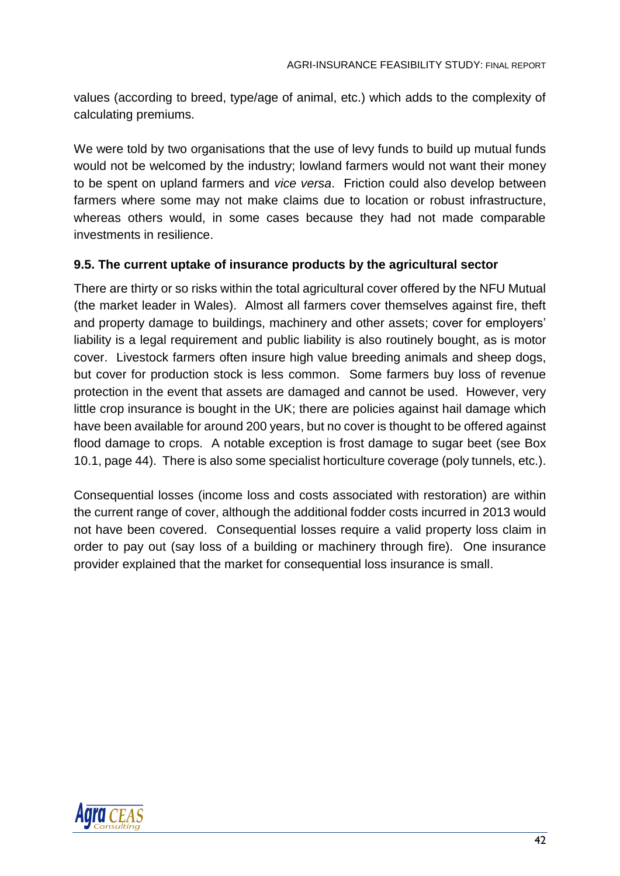values (according to breed, type/age of animal, etc.) which adds to the complexity of calculating premiums.

We were told by two organisations that the use of levy funds to build up mutual funds would not be welcomed by the industry; lowland farmers would not want their money to be spent on upland farmers and *vice versa*. Friction could also develop between farmers where some may not make claims due to location or robust infrastructure, whereas others would, in some cases because they had not made comparable investments in resilience.

## **9.5. The current uptake of insurance products by the agricultural sector**

There are thirty or so risks within the total agricultural cover offered by the NFU Mutual (the market leader in Wales). Almost all farmers cover themselves against fire, theft and property damage to buildings, machinery and other assets; cover for employers' liability is a legal requirement and public liability is also routinely bought, as is motor cover. Livestock farmers often insure high value breeding animals and sheep dogs, but cover for production stock is less common. Some farmers buy loss of revenue protection in the event that assets are damaged and cannot be used. However, very little crop insurance is bought in the UK; there are policies against hail damage which have been available for around 200 years, but no cover is thought to be offered against flood damage to crops. A notable exception is frost damage to sugar beet (see Box 10.1, page 44). There is also some specialist horticulture coverage (poly tunnels, etc.).

Consequential losses (income loss and costs associated with restoration) are within the current range of cover, although the additional fodder costs incurred in 2013 would not have been covered. Consequential losses require a valid property loss claim in order to pay out (say loss of a building or machinery through fire). One insurance provider explained that the market for consequential loss insurance is small.

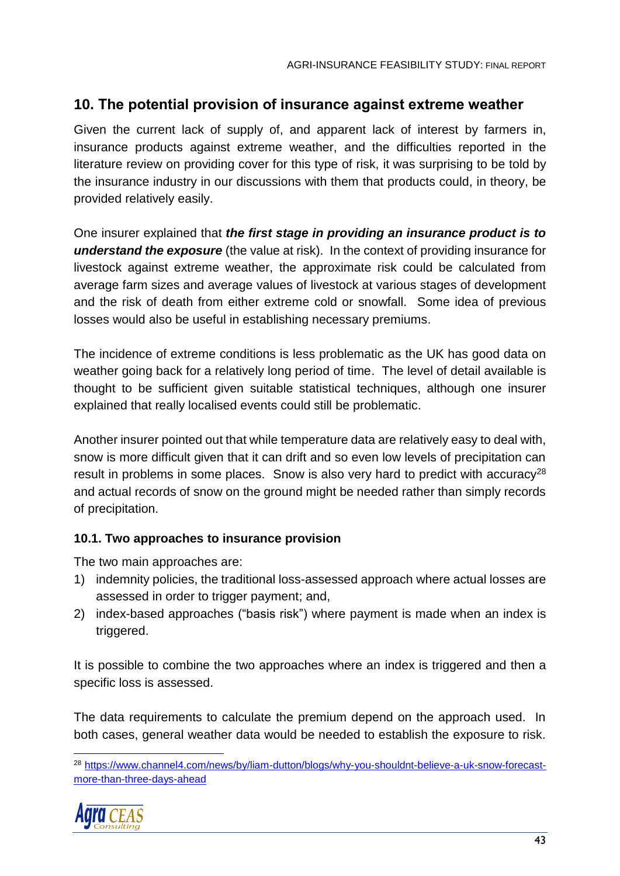# **10. The potential provision of insurance against extreme weather**

Given the current lack of supply of, and apparent lack of interest by farmers in, insurance products against extreme weather, and the difficulties reported in the literature review on providing cover for this type of risk, it was surprising to be told by the insurance industry in our discussions with them that products could, in theory, be provided relatively easily.

One insurer explained that *the first stage in providing an insurance product is to understand the exposure* (the value at risk). In the context of providing insurance for livestock against extreme weather, the approximate risk could be calculated from average farm sizes and average values of livestock at various stages of development and the risk of death from either extreme cold or snowfall. Some idea of previous losses would also be useful in establishing necessary premiums.

The incidence of extreme conditions is less problematic as the UK has good data on weather going back for a relatively long period of time. The level of detail available is thought to be sufficient given suitable statistical techniques, although one insurer explained that really localised events could still be problematic.

Another insurer pointed out that while temperature data are relatively easy to deal with, snow is more difficult given that it can drift and so even low levels of precipitation can result in problems in some places. Snow is also very hard to predict with accuracy<sup>28</sup> and actual records of snow on the ground might be needed rather than simply records of precipitation.

## **10.1. Two approaches to insurance provision**

The two main approaches are:

- 1) indemnity policies, the traditional loss-assessed approach where actual losses are assessed in order to trigger payment; and,
- 2) index-based approaches ("basis risk") where payment is made when an index is triggered.

It is possible to combine the two approaches where an index is triggered and then a specific loss is assessed.

The data requirements to calculate the premium depend on the approach used. In both cases, general weather data would be needed to establish the exposure to risk.

 <sup>28</sup> [https://www.channel4.com/news/by/liam-dutton/blogs/why-you-shouldnt-believe-a-uk-snow-forecast](https://www.channel4.com/news/by/liam-dutton/blogs/why-you-shouldnt-believe-a-uk-snow-forecast-more-than-three-days-ahead)[more-than-three-days-ahead](https://www.channel4.com/news/by/liam-dutton/blogs/why-you-shouldnt-believe-a-uk-snow-forecast-more-than-three-days-ahead)

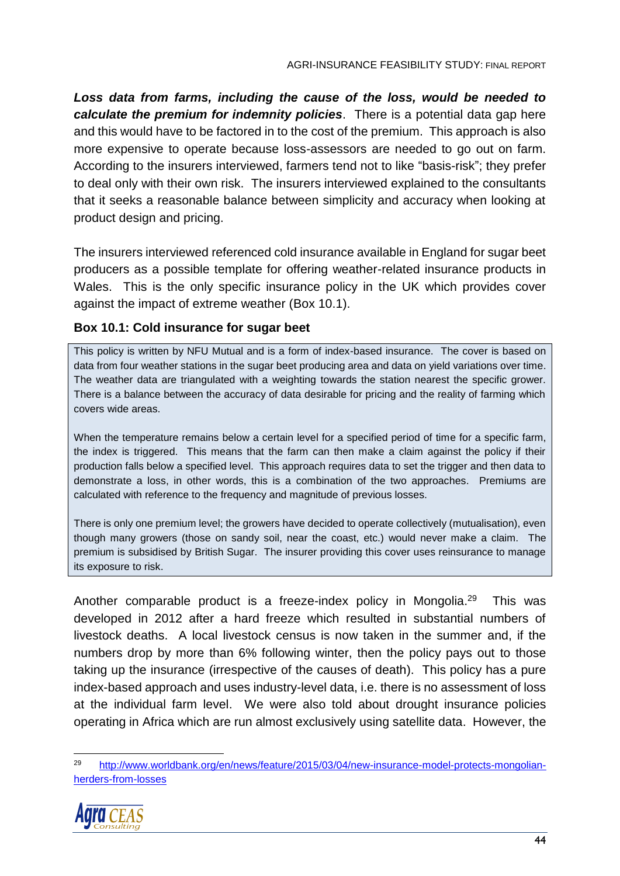*Loss data from farms, including the cause of the loss, would be needed to calculate the premium for indemnity policies*. There is a potential data gap here and this would have to be factored in to the cost of the premium. This approach is also more expensive to operate because loss-assessors are needed to go out on farm. According to the insurers interviewed, farmers tend not to like "basis-risk"; they prefer to deal only with their own risk. The insurers interviewed explained to the consultants that it seeks a reasonable balance between simplicity and accuracy when looking at product design and pricing.

The insurers interviewed referenced cold insurance available in England for sugar beet producers as a possible template for offering weather-related insurance products in Wales. This is the only specific insurance policy in the UK which provides cover against the impact of extreme weather (Box 10.1).

## **Box 10.1: Cold insurance for sugar beet**

This policy is written by NFU Mutual and is a form of index-based insurance. The cover is based on data from four weather stations in the sugar beet producing area and data on yield variations over time. The weather data are triangulated with a weighting towards the station nearest the specific grower. There is a balance between the accuracy of data desirable for pricing and the reality of farming which covers wide areas.

When the temperature remains below a certain level for a specified period of time for a specific farm, the index is triggered. This means that the farm can then make a claim against the policy if their production falls below a specified level. This approach requires data to set the trigger and then data to demonstrate a loss, in other words, this is a combination of the two approaches. Premiums are calculated with reference to the frequency and magnitude of previous losses.

There is only one premium level; the growers have decided to operate collectively (mutualisation), even though many growers (those on sandy soil, near the coast, etc.) would never make a claim. The premium is subsidised by British Sugar. The insurer providing this cover uses reinsurance to manage its exposure to risk.

Another comparable product is a freeze-index policy in Mongolia.<sup>29</sup> This was developed in 2012 after a hard freeze which resulted in substantial numbers of livestock deaths. A local livestock census is now taken in the summer and, if the numbers drop by more than 6% following winter, then the policy pays out to those taking up the insurance (irrespective of the causes of death). This policy has a pure index-based approach and uses industry-level data, i.e. there is no assessment of loss at the individual farm level. We were also told about drought insurance policies operating in Africa which are run almost exclusively using satellite data. However, the

<sup>29</sup> [http://www.worldbank.org/en/news/feature/2015/03/04/new-insurance-model-protects-mongolian](http://www.worldbank.org/en/news/feature/2015/03/04/new-insurance-model-protects-mongolian-herders-from-losses)[herders-from-losses](http://www.worldbank.org/en/news/feature/2015/03/04/new-insurance-model-protects-mongolian-herders-from-losses)

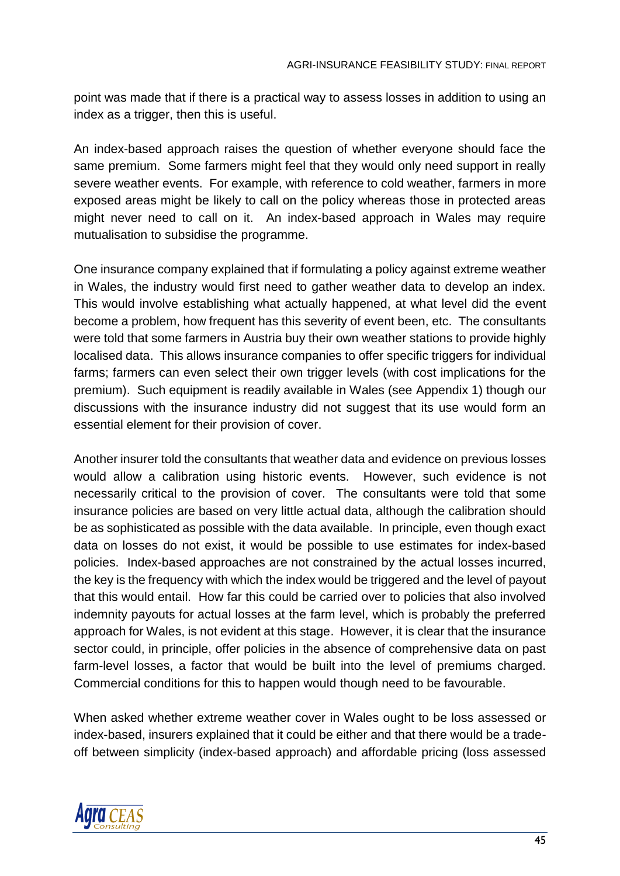point was made that if there is a practical way to assess losses in addition to using an index as a trigger, then this is useful.

An index-based approach raises the question of whether everyone should face the same premium. Some farmers might feel that they would only need support in really severe weather events. For example, with reference to cold weather, farmers in more exposed areas might be likely to call on the policy whereas those in protected areas might never need to call on it. An index-based approach in Wales may require mutualisation to subsidise the programme.

One insurance company explained that if formulating a policy against extreme weather in Wales, the industry would first need to gather weather data to develop an index. This would involve establishing what actually happened, at what level did the event become a problem, how frequent has this severity of event been, etc. The consultants were told that some farmers in Austria buy their own weather stations to provide highly localised data. This allows insurance companies to offer specific triggers for individual farms; farmers can even select their own trigger levels (with cost implications for the premium). Such equipment is readily available in Wales (see Appendix 1) though our discussions with the insurance industry did not suggest that its use would form an essential element for their provision of cover.

Another insurer told the consultants that weather data and evidence on previous losses would allow a calibration using historic events. However, such evidence is not necessarily critical to the provision of cover. The consultants were told that some insurance policies are based on very little actual data, although the calibration should be as sophisticated as possible with the data available. In principle, even though exact data on losses do not exist, it would be possible to use estimates for index-based policies. Index-based approaches are not constrained by the actual losses incurred, the key is the frequency with which the index would be triggered and the level of payout that this would entail. How far this could be carried over to policies that also involved indemnity payouts for actual losses at the farm level, which is probably the preferred approach for Wales, is not evident at this stage. However, it is clear that the insurance sector could, in principle, offer policies in the absence of comprehensive data on past farm-level losses, a factor that would be built into the level of premiums charged. Commercial conditions for this to happen would though need to be favourable.

When asked whether extreme weather cover in Wales ought to be loss assessed or index-based, insurers explained that it could be either and that there would be a tradeoff between simplicity (index-based approach) and affordable pricing (loss assessed

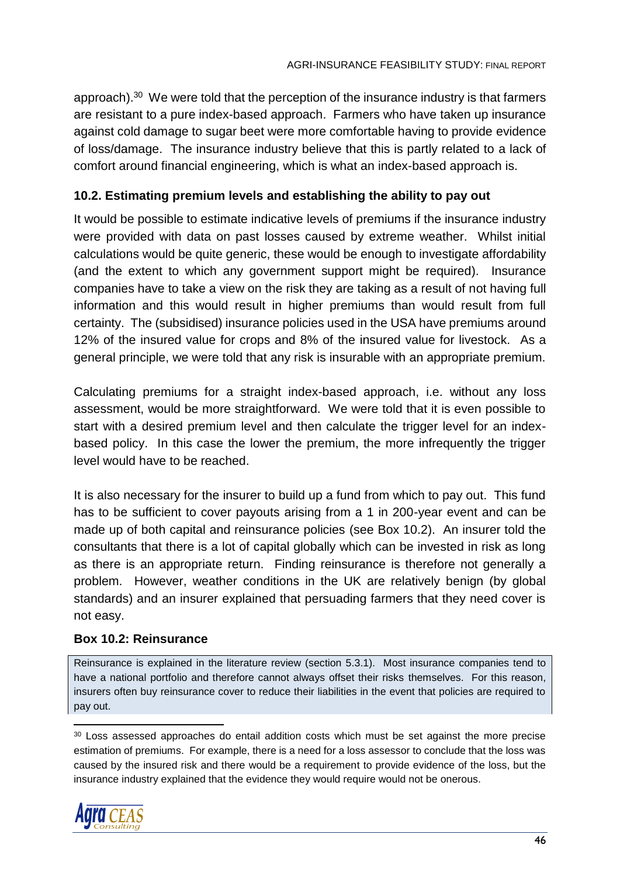approach).<sup>30</sup> We were told that the perception of the insurance industry is that farmers are resistant to a pure index-based approach. Farmers who have taken up insurance against cold damage to sugar beet were more comfortable having to provide evidence of loss/damage. The insurance industry believe that this is partly related to a lack of comfort around financial engineering, which is what an index-based approach is.

## **10.2. Estimating premium levels and establishing the ability to pay out**

It would be possible to estimate indicative levels of premiums if the insurance industry were provided with data on past losses caused by extreme weather. Whilst initial calculations would be quite generic, these would be enough to investigate affordability (and the extent to which any government support might be required). Insurance companies have to take a view on the risk they are taking as a result of not having full information and this would result in higher premiums than would result from full certainty. The (subsidised) insurance policies used in the USA have premiums around 12% of the insured value for crops and 8% of the insured value for livestock. As a general principle, we were told that any risk is insurable with an appropriate premium.

Calculating premiums for a straight index-based approach, i.e. without any loss assessment, would be more straightforward. We were told that it is even possible to start with a desired premium level and then calculate the trigger level for an indexbased policy. In this case the lower the premium, the more infrequently the trigger level would have to be reached.

It is also necessary for the insurer to build up a fund from which to pay out. This fund has to be sufficient to cover payouts arising from a 1 in 200-year event and can be made up of both capital and reinsurance policies (see Box 10.2). An insurer told the consultants that there is a lot of capital globally which can be invested in risk as long as there is an appropriate return. Finding reinsurance is therefore not generally a problem. However, weather conditions in the UK are relatively benign (by global standards) and an insurer explained that persuading farmers that they need cover is not easy.

#### **Box 10.2: Reinsurance**

Reinsurance is explained in the literature review (section 5.3.1). Most insurance companies tend to have a national portfolio and therefore cannot always offset their risks themselves. For this reason, insurers often buy reinsurance cover to reduce their liabilities in the event that policies are required to pay out.

<sup>&</sup>lt;sup>30</sup> Loss assessed approaches do entail addition costs which must be set against the more precise estimation of premiums. For example, there is a need for a loss assessor to conclude that the loss was caused by the insured risk and there would be a requirement to provide evidence of the loss, but the insurance industry explained that the evidence they would require would not be onerous.

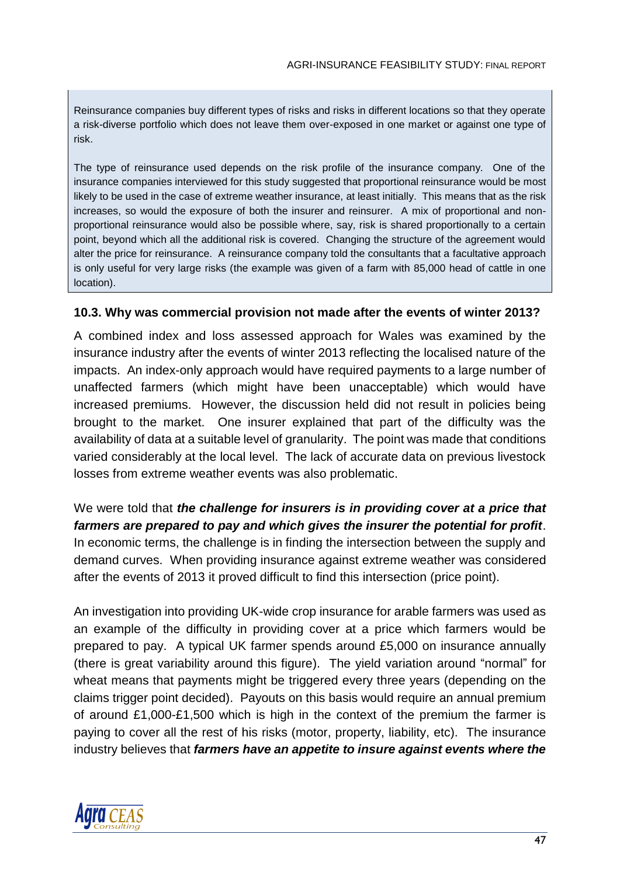Reinsurance companies buy different types of risks and risks in different locations so that they operate a risk-diverse portfolio which does not leave them over-exposed in one market or against one type of risk.

The type of reinsurance used depends on the risk profile of the insurance company. One of the insurance companies interviewed for this study suggested that proportional reinsurance would be most likely to be used in the case of extreme weather insurance, at least initially. This means that as the risk increases, so would the exposure of both the insurer and reinsurer. A mix of proportional and nonproportional reinsurance would also be possible where, say, risk is shared proportionally to a certain point, beyond which all the additional risk is covered. Changing the structure of the agreement would alter the price for reinsurance. A reinsurance company told the consultants that a facultative approach is only useful for very large risks (the example was given of a farm with 85,000 head of cattle in one location).

#### **10.3. Why was commercial provision not made after the events of winter 2013?**

A combined index and loss assessed approach for Wales was examined by the insurance industry after the events of winter 2013 reflecting the localised nature of the impacts. An index-only approach would have required payments to a large number of unaffected farmers (which might have been unacceptable) which would have increased premiums. However, the discussion held did not result in policies being brought to the market. One insurer explained that part of the difficulty was the availability of data at a suitable level of granularity. The point was made that conditions varied considerably at the local level. The lack of accurate data on previous livestock losses from extreme weather events was also problematic.

We were told that *the challenge for insurers is in providing cover at a price that farmers are prepared to pay and which gives the insurer the potential for profit*. In economic terms, the challenge is in finding the intersection between the supply and demand curves. When providing insurance against extreme weather was considered after the events of 2013 it proved difficult to find this intersection (price point).

An investigation into providing UK-wide crop insurance for arable farmers was used as an example of the difficulty in providing cover at a price which farmers would be prepared to pay. A typical UK farmer spends around £5,000 on insurance annually (there is great variability around this figure). The yield variation around "normal" for wheat means that payments might be triggered every three years (depending on the claims trigger point decided). Payouts on this basis would require an annual premium of around £1,000-£1,500 which is high in the context of the premium the farmer is paying to cover all the rest of his risks (motor, property, liability, etc). The insurance industry believes that *farmers have an appetite to insure against events where the* 

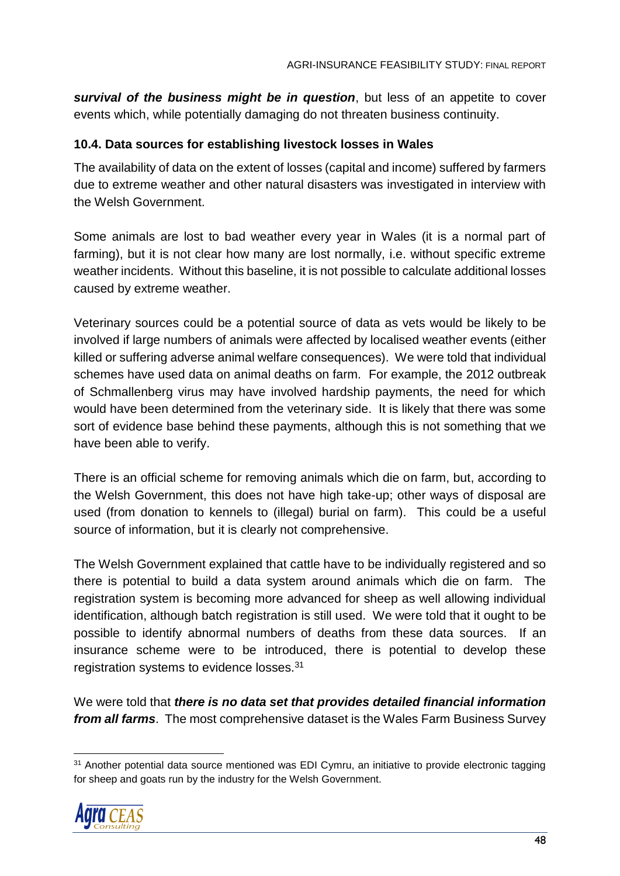*survival of the business might be in question*, but less of an appetite to cover events which, while potentially damaging do not threaten business continuity.

### **10.4. Data sources for establishing livestock losses in Wales**

The availability of data on the extent of losses (capital and income) suffered by farmers due to extreme weather and other natural disasters was investigated in interview with the Welsh Government.

Some animals are lost to bad weather every year in Wales (it is a normal part of farming), but it is not clear how many are lost normally, i.e. without specific extreme weather incidents. Without this baseline, it is not possible to calculate additional losses caused by extreme weather.

Veterinary sources could be a potential source of data as vets would be likely to be involved if large numbers of animals were affected by localised weather events (either killed or suffering adverse animal welfare consequences). We were told that individual schemes have used data on animal deaths on farm. For example, the 2012 outbreak of Schmallenberg virus may have involved hardship payments, the need for which would have been determined from the veterinary side. It is likely that there was some sort of evidence base behind these payments, although this is not something that we have been able to verify.

There is an official scheme for removing animals which die on farm, but, according to the Welsh Government, this does not have high take-up; other ways of disposal are used (from donation to kennels to (illegal) burial on farm). This could be a useful source of information, but it is clearly not comprehensive.

The Welsh Government explained that cattle have to be individually registered and so there is potential to build a data system around animals which die on farm. The registration system is becoming more advanced for sheep as well allowing individual identification, although batch registration is still used. We were told that it ought to be possible to identify abnormal numbers of deaths from these data sources. If an insurance scheme were to be introduced, there is potential to develop these registration systems to evidence losses.<sup>31</sup>

We were told that *there is no data set that provides detailed financial information from all farms*. The most comprehensive dataset is the Wales Farm Business Survey

<sup>&</sup>lt;sup>31</sup> Another potential data source mentioned was EDI Cymru, an initiative to provide electronic tagging for sheep and goats run by the industry for the Welsh Government.

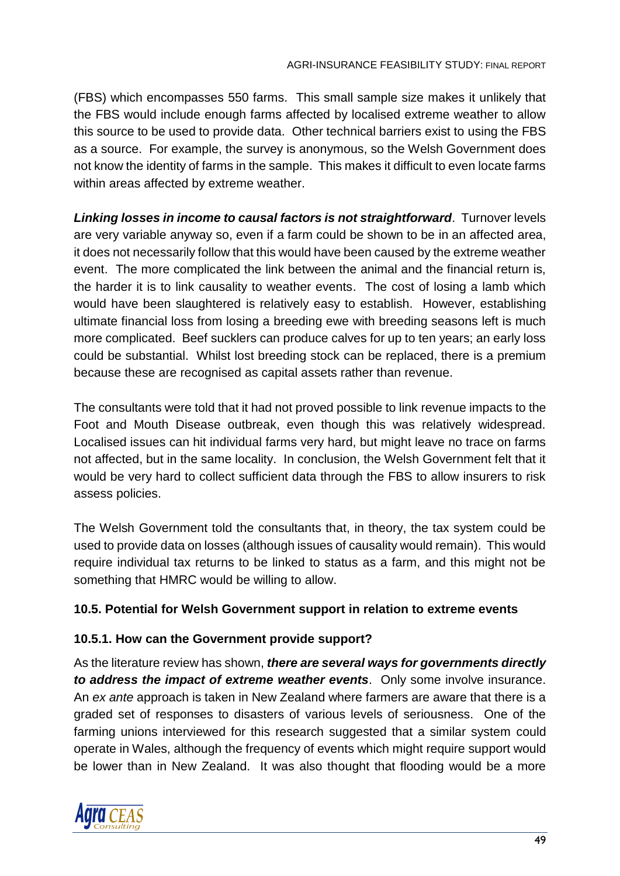(FBS) which encompasses 550 farms. This small sample size makes it unlikely that the FBS would include enough farms affected by localised extreme weather to allow this source to be used to provide data. Other technical barriers exist to using the FBS as a source. For example, the survey is anonymous, so the Welsh Government does not know the identity of farms in the sample. This makes it difficult to even locate farms within areas affected by extreme weather.

*Linking losses in income to causal factors is not straightforward*. Turnover levels are very variable anyway so, even if a farm could be shown to be in an affected area, it does not necessarily follow that this would have been caused by the extreme weather event. The more complicated the link between the animal and the financial return is, the harder it is to link causality to weather events. The cost of losing a lamb which would have been slaughtered is relatively easy to establish. However, establishing ultimate financial loss from losing a breeding ewe with breeding seasons left is much more complicated. Beef sucklers can produce calves for up to ten years; an early loss could be substantial. Whilst lost breeding stock can be replaced, there is a premium because these are recognised as capital assets rather than revenue.

The consultants were told that it had not proved possible to link revenue impacts to the Foot and Mouth Disease outbreak, even though this was relatively widespread. Localised issues can hit individual farms very hard, but might leave no trace on farms not affected, but in the same locality. In conclusion, the Welsh Government felt that it would be very hard to collect sufficient data through the FBS to allow insurers to risk assess policies.

The Welsh Government told the consultants that, in theory, the tax system could be used to provide data on losses (although issues of causality would remain). This would require individual tax returns to be linked to status as a farm, and this might not be something that HMRC would be willing to allow.

## **10.5. Potential for Welsh Government support in relation to extreme events**

## **10.5.1. How can the Government provide support?**

As the literature review has shown, *there are several ways for governments directly to address the impact of extreme weather events*. Only some involve insurance. An *ex ante* approach is taken in New Zealand where farmers are aware that there is a graded set of responses to disasters of various levels of seriousness. One of the farming unions interviewed for this research suggested that a similar system could operate in Wales, although the frequency of events which might require support would be lower than in New Zealand. It was also thought that flooding would be a more

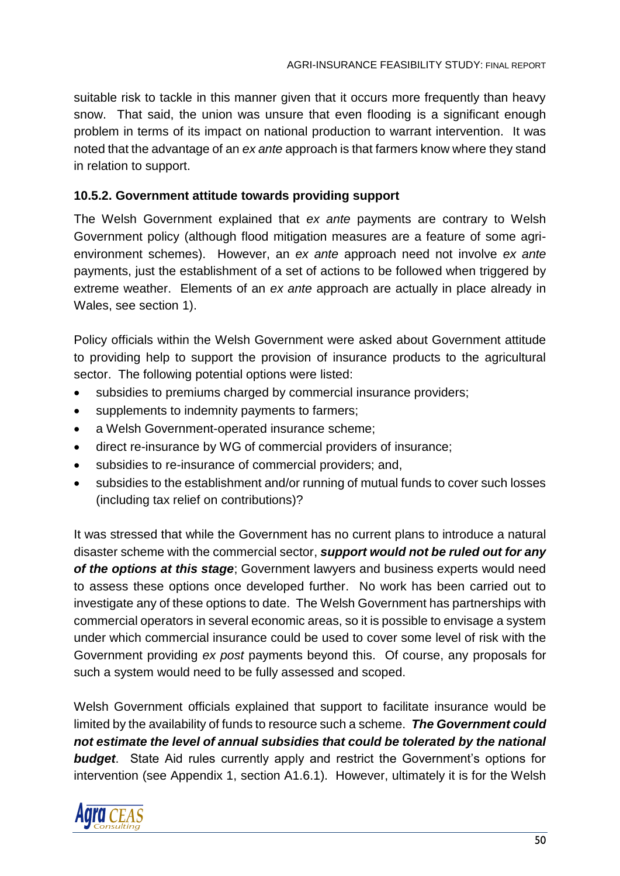suitable risk to tackle in this manner given that it occurs more frequently than heavy snow. That said, the union was unsure that even flooding is a significant enough problem in terms of its impact on national production to warrant intervention. It was noted that the advantage of an *ex ante* approach is that farmers know where they stand in relation to support.

### **10.5.2. Government attitude towards providing support**

The Welsh Government explained that *ex ante* payments are contrary to Welsh Government policy (although flood mitigation measures are a feature of some agrienvironment schemes). However, an *ex ante* approach need not involve *ex ante* payments, just the establishment of a set of actions to be followed when triggered by extreme weather. Elements of an *ex ante* approach are actually in place already in Wales, see section 1).

Policy officials within the Welsh Government were asked about Government attitude to providing help to support the provision of insurance products to the agricultural sector. The following potential options were listed:

- subsidies to premiums charged by commercial insurance providers;
- supplements to indemnity payments to farmers;
- a Welsh Government-operated insurance scheme;
- direct re-insurance by WG of commercial providers of insurance;
- subsidies to re-insurance of commercial providers; and,
- subsidies to the establishment and/or running of mutual funds to cover such losses (including tax relief on contributions)?

It was stressed that while the Government has no current plans to introduce a natural disaster scheme with the commercial sector, *support would not be ruled out for any of the options at this stage*; Government lawyers and business experts would need to assess these options once developed further. No work has been carried out to investigate any of these options to date. The Welsh Government has partnerships with commercial operators in several economic areas, so it is possible to envisage a system under which commercial insurance could be used to cover some level of risk with the Government providing *ex post* payments beyond this. Of course, any proposals for such a system would need to be fully assessed and scoped.

Welsh Government officials explained that support to facilitate insurance would be limited by the availability of funds to resource such a scheme. *The Government could not estimate the level of annual subsidies that could be tolerated by the national*  **budget**. State Aid rules currently apply and restrict the Government's options for intervention (see Appendix 1, section A1.6.1). However, ultimately it is for the Welsh

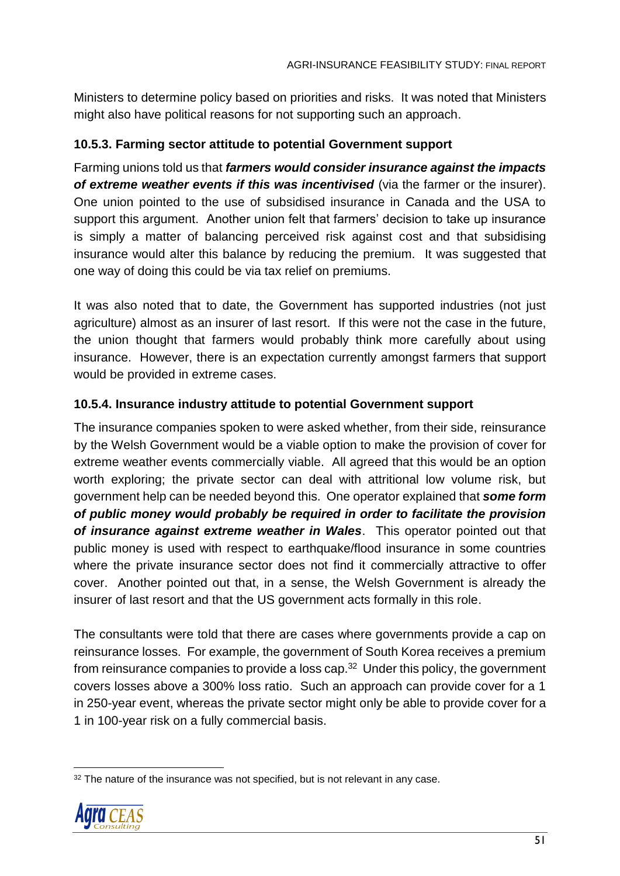Ministers to determine policy based on priorities and risks. It was noted that Ministers might also have political reasons for not supporting such an approach.

## **10.5.3. Farming sector attitude to potential Government support**

Farming unions told us that *farmers would consider insurance against the impacts of extreme weather events if this was incentivised* (via the farmer or the insurer). One union pointed to the use of subsidised insurance in Canada and the USA to support this argument. Another union felt that farmers' decision to take up insurance is simply a matter of balancing perceived risk against cost and that subsidising insurance would alter this balance by reducing the premium. It was suggested that one way of doing this could be via tax relief on premiums.

It was also noted that to date, the Government has supported industries (not just agriculture) almost as an insurer of last resort. If this were not the case in the future, the union thought that farmers would probably think more carefully about using insurance. However, there is an expectation currently amongst farmers that support would be provided in extreme cases.

## **10.5.4. Insurance industry attitude to potential Government support**

The insurance companies spoken to were asked whether, from their side, reinsurance by the Welsh Government would be a viable option to make the provision of cover for extreme weather events commercially viable. All agreed that this would be an option worth exploring; the private sector can deal with attritional low volume risk, but government help can be needed beyond this. One operator explained that *some form of public money would probably be required in order to facilitate the provision of insurance against extreme weather in Wales*. This operator pointed out that public money is used with respect to earthquake/flood insurance in some countries where the private insurance sector does not find it commercially attractive to offer cover. Another pointed out that, in a sense, the Welsh Government is already the insurer of last resort and that the US government acts formally in this role.

The consultants were told that there are cases where governments provide a cap on reinsurance losses. For example, the government of South Korea receives a premium from reinsurance companies to provide a loss cap.<sup>32</sup> Under this policy, the government covers losses above a 300% loss ratio. Such an approach can provide cover for a 1 in 250-year event, whereas the private sector might only be able to provide cover for a 1 in 100-year risk on a fully commercial basis.

<sup>&</sup>lt;sup>32</sup> The nature of the insurance was not specified, but is not relevant in any case.



 $\overline{a}$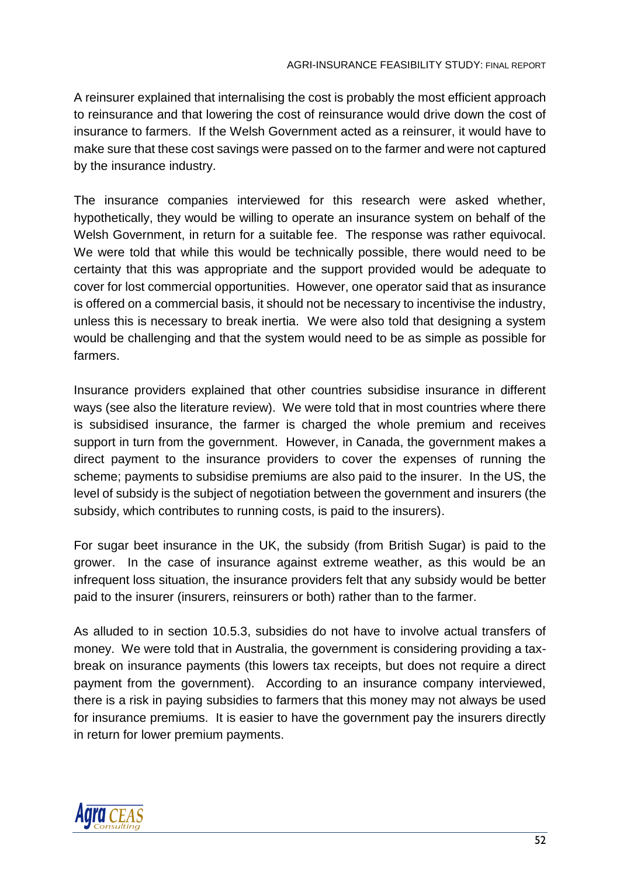A reinsurer explained that internalising the cost is probably the most efficient approach to reinsurance and that lowering the cost of reinsurance would drive down the cost of insurance to farmers. If the Welsh Government acted as a reinsurer, it would have to make sure that these cost savings were passed on to the farmer and were not captured by the insurance industry.

The insurance companies interviewed for this research were asked whether, hypothetically, they would be willing to operate an insurance system on behalf of the Welsh Government, in return for a suitable fee. The response was rather equivocal. We were told that while this would be technically possible, there would need to be certainty that this was appropriate and the support provided would be adequate to cover for lost commercial opportunities. However, one operator said that as insurance is offered on a commercial basis, it should not be necessary to incentivise the industry, unless this is necessary to break inertia. We were also told that designing a system would be challenging and that the system would need to be as simple as possible for farmers.

Insurance providers explained that other countries subsidise insurance in different ways (see also the literature review). We were told that in most countries where there is subsidised insurance, the farmer is charged the whole premium and receives support in turn from the government. However, in Canada, the government makes a direct payment to the insurance providers to cover the expenses of running the scheme; payments to subsidise premiums are also paid to the insurer. In the US, the level of subsidy is the subject of negotiation between the government and insurers (the subsidy, which contributes to running costs, is paid to the insurers).

For sugar beet insurance in the UK, the subsidy (from British Sugar) is paid to the grower. In the case of insurance against extreme weather, as this would be an infrequent loss situation, the insurance providers felt that any subsidy would be better paid to the insurer (insurers, reinsurers or both) rather than to the farmer.

As alluded to in section 10.5.3, subsidies do not have to involve actual transfers of money. We were told that in Australia, the government is considering providing a taxbreak on insurance payments (this lowers tax receipts, but does not require a direct payment from the government). According to an insurance company interviewed, there is a risk in paying subsidies to farmers that this money may not always be used for insurance premiums. It is easier to have the government pay the insurers directly in return for lower premium payments.

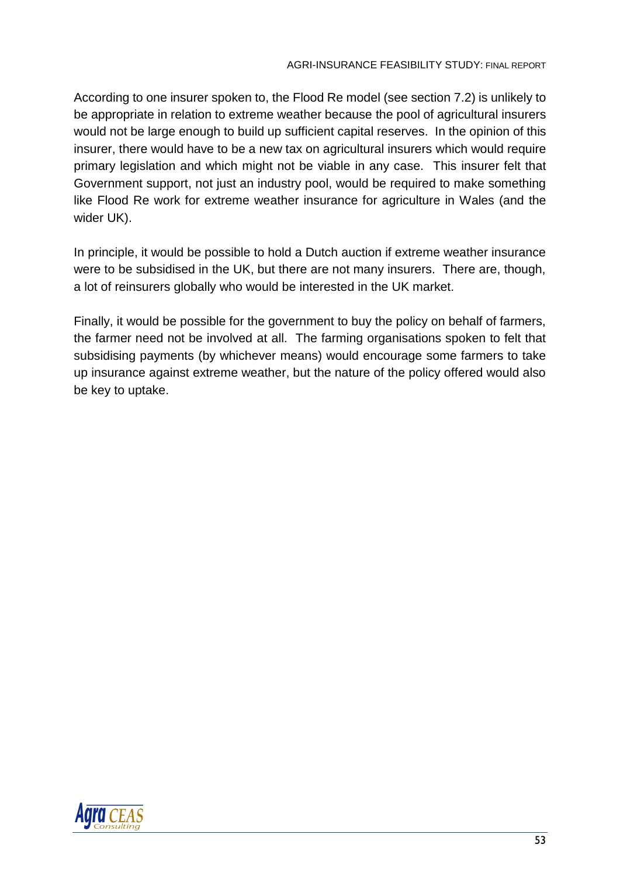According to one insurer spoken to, the Flood Re model (see section 7.2) is unlikely to be appropriate in relation to extreme weather because the pool of agricultural insurers would not be large enough to build up sufficient capital reserves. In the opinion of this insurer, there would have to be a new tax on agricultural insurers which would require primary legislation and which might not be viable in any case. This insurer felt that Government support, not just an industry pool, would be required to make something like Flood Re work for extreme weather insurance for agriculture in Wales (and the wider UK).

In principle, it would be possible to hold a Dutch auction if extreme weather insurance were to be subsidised in the UK, but there are not many insurers. There are, though, a lot of reinsurers globally who would be interested in the UK market.

Finally, it would be possible for the government to buy the policy on behalf of farmers, the farmer need not be involved at all. The farming organisations spoken to felt that subsidising payments (by whichever means) would encourage some farmers to take up insurance against extreme weather, but the nature of the policy offered would also be key to uptake.

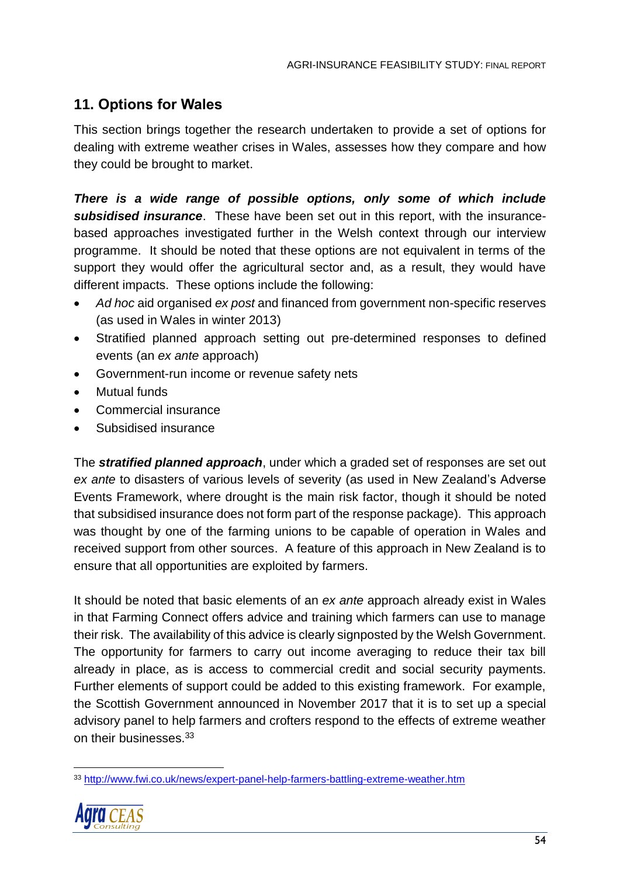# **11. Options for Wales**

This section brings together the research undertaken to provide a set of options for dealing with extreme weather crises in Wales, assesses how they compare and how they could be brought to market.

*There is a wide range of possible options, only some of which include subsidised insurance*. These have been set out in this report, with the insurancebased approaches investigated further in the Welsh context through our interview programme. It should be noted that these options are not equivalent in terms of the support they would offer the agricultural sector and, as a result, they would have different impacts. These options include the following:

- *Ad hoc* aid organised *ex post* and financed from government non-specific reserves (as used in Wales in winter 2013)
- Stratified planned approach setting out pre-determined responses to defined events (an *ex ante* approach)
- Government-run income or revenue safety nets
- Mutual funds
- Commercial insurance
- Subsidised insurance

The *stratified planned approach*, under which a graded set of responses are set out *ex ante* to disasters of various levels of severity (as used in New Zealand's Adverse Events Framework, where drought is the main risk factor, though it should be noted that subsidised insurance does not form part of the response package). This approach was thought by one of the farming unions to be capable of operation in Wales and received support from other sources. A feature of this approach in New Zealand is to ensure that all opportunities are exploited by farmers.

It should be noted that basic elements of an *ex ante* approach already exist in Wales in that Farming Connect offers advice and training which farmers can use to manage their risk. The availability of this advice is clearly signposted by the Welsh Government. The opportunity for farmers to carry out income averaging to reduce their tax bill already in place, as is access to commercial credit and social security payments. Further elements of support could be added to this existing framework. For example, the Scottish Government announced in November 2017 that it is to set up a special advisory panel to help farmers and crofters respond to the effects of extreme weather on their businesses.<sup>33</sup>

<sup>33</sup> <http://www.fwi.co.uk/news/expert-panel-help-farmers-battling-extreme-weather.htm>



 $\overline{a}$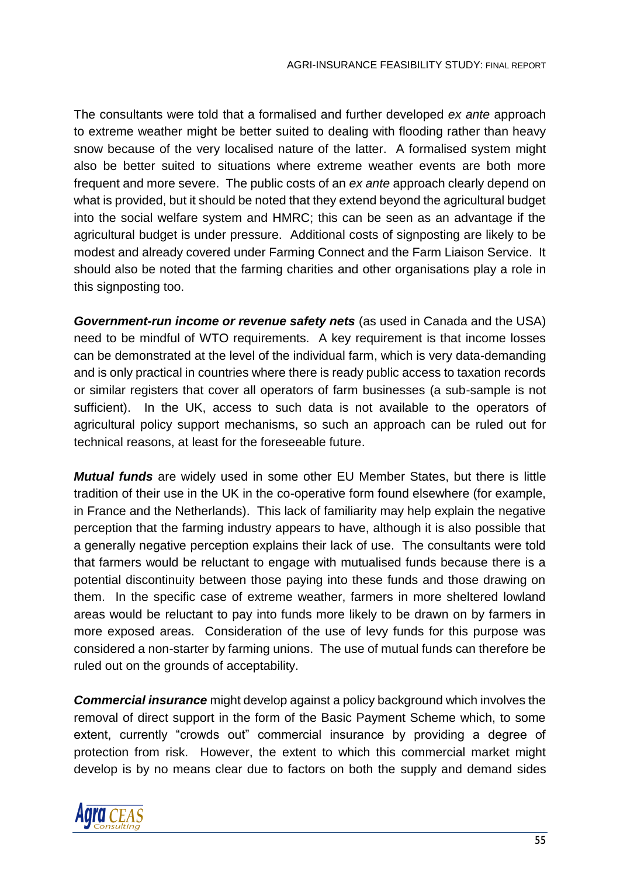The consultants were told that a formalised and further developed *ex ante* approach to extreme weather might be better suited to dealing with flooding rather than heavy snow because of the very localised nature of the latter. A formalised system might also be better suited to situations where extreme weather events are both more frequent and more severe. The public costs of an *ex ante* approach clearly depend on what is provided, but it should be noted that they extend beyond the agricultural budget into the social welfare system and HMRC; this can be seen as an advantage if the agricultural budget is under pressure. Additional costs of signposting are likely to be modest and already covered under Farming Connect and the Farm Liaison Service. It should also be noted that the farming charities and other organisations play a role in this signposting too.

*Government-run income or revenue safety nets* (as used in Canada and the USA) need to be mindful of WTO requirements. A key requirement is that income losses can be demonstrated at the level of the individual farm, which is very data-demanding and is only practical in countries where there is ready public access to taxation records or similar registers that cover all operators of farm businesses (a sub-sample is not sufficient). In the UK, access to such data is not available to the operators of agricultural policy support mechanisms, so such an approach can be ruled out for technical reasons, at least for the foreseeable future.

*Mutual funds* are widely used in some other EU Member States, but there is little tradition of their use in the UK in the co-operative form found elsewhere (for example, in France and the Netherlands). This lack of familiarity may help explain the negative perception that the farming industry appears to have, although it is also possible that a generally negative perception explains their lack of use. The consultants were told that farmers would be reluctant to engage with mutualised funds because there is a potential discontinuity between those paying into these funds and those drawing on them. In the specific case of extreme weather, farmers in more sheltered lowland areas would be reluctant to pay into funds more likely to be drawn on by farmers in more exposed areas. Consideration of the use of levy funds for this purpose was considered a non-starter by farming unions. The use of mutual funds can therefore be ruled out on the grounds of acceptability.

*Commercial insurance* might develop against a policy background which involves the removal of direct support in the form of the Basic Payment Scheme which, to some extent, currently "crowds out" commercial insurance by providing a degree of protection from risk. However, the extent to which this commercial market might develop is by no means clear due to factors on both the supply and demand sides

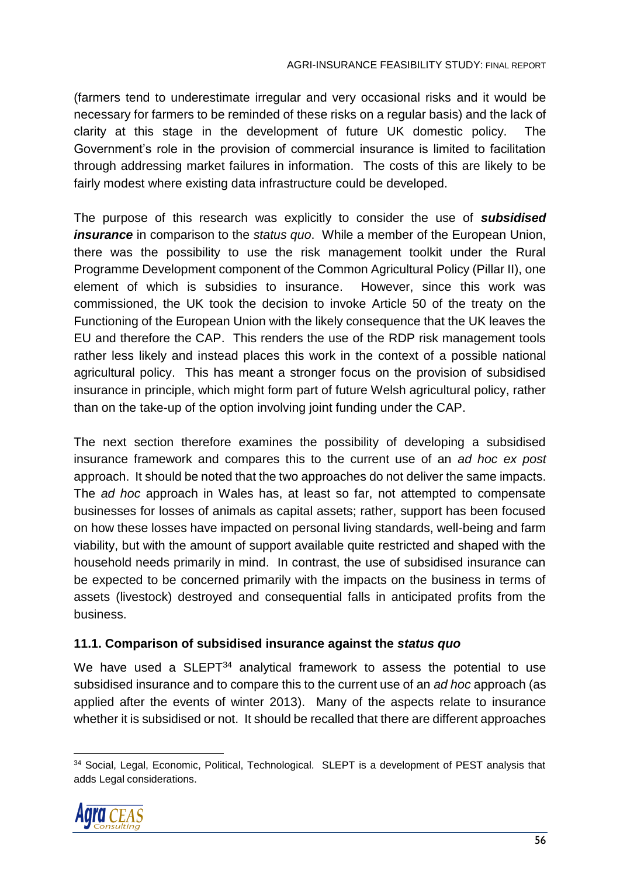(farmers tend to underestimate irregular and very occasional risks and it would be necessary for farmers to be reminded of these risks on a regular basis) and the lack of clarity at this stage in the development of future UK domestic policy. The Government's role in the provision of commercial insurance is limited to facilitation through addressing market failures in information. The costs of this are likely to be fairly modest where existing data infrastructure could be developed.

The purpose of this research was explicitly to consider the use of *subsidised insurance* in comparison to the *status quo*. While a member of the European Union, there was the possibility to use the risk management toolkit under the Rural Programme Development component of the Common Agricultural Policy (Pillar II), one element of which is subsidies to insurance. However, since this work was commissioned, the UK took the decision to invoke Article 50 of the treaty on the Functioning of the European Union with the likely consequence that the UK leaves the EU and therefore the CAP. This renders the use of the RDP risk management tools rather less likely and instead places this work in the context of a possible national agricultural policy. This has meant a stronger focus on the provision of subsidised insurance in principle, which might form part of future Welsh agricultural policy, rather than on the take-up of the option involving joint funding under the CAP.

The next section therefore examines the possibility of developing a subsidised insurance framework and compares this to the current use of an *ad hoc ex post*  approach. It should be noted that the two approaches do not deliver the same impacts. The *ad hoc* approach in Wales has, at least so far, not attempted to compensate businesses for losses of animals as capital assets; rather, support has been focused on how these losses have impacted on personal living standards, well-being and farm viability, but with the amount of support available quite restricted and shaped with the household needs primarily in mind. In contrast, the use of subsidised insurance can be expected to be concerned primarily with the impacts on the business in terms of assets (livestock) destroyed and consequential falls in anticipated profits from the business.

#### **11.1. Comparison of subsidised insurance against the** *status quo*

We have used a SLEPT<sup>34</sup> analytical framework to assess the potential to use subsidised insurance and to compare this to the current use of an *ad hoc* approach (as applied after the events of winter 2013). Many of the aspects relate to insurance whether it is subsidised or not. It should be recalled that there are different approaches

 <sup>34</sup> Social, Legal, Economic, Political, Technological. SLEPT is a development of PEST analysis that adds Legal considerations.

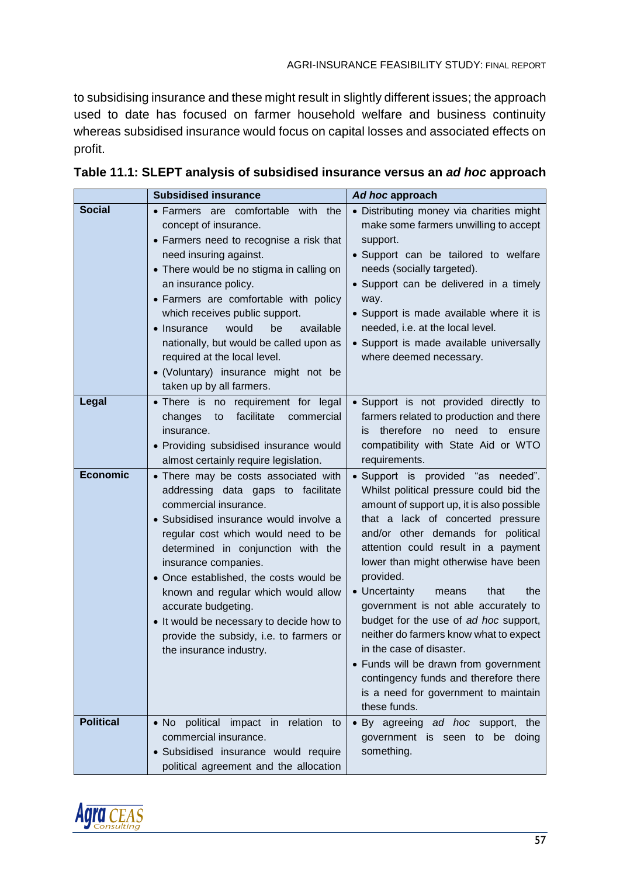to subsidising insurance and these might result in slightly different issues; the approach used to date has focused on farmer household welfare and business continuity whereas subsidised insurance would focus on capital losses and associated effects on profit.

|                  | <b>Subsidised insurance</b>                                                                                                                                                                                                                                                                                                                                                                                                                                                  | Ad hoc approach                                                                                                                                                                                                                                                                                                                                                                                                                                                                                                                                                                                                                             |
|------------------|------------------------------------------------------------------------------------------------------------------------------------------------------------------------------------------------------------------------------------------------------------------------------------------------------------------------------------------------------------------------------------------------------------------------------------------------------------------------------|---------------------------------------------------------------------------------------------------------------------------------------------------------------------------------------------------------------------------------------------------------------------------------------------------------------------------------------------------------------------------------------------------------------------------------------------------------------------------------------------------------------------------------------------------------------------------------------------------------------------------------------------|
| <b>Social</b>    | • Farmers are comfortable with the<br>concept of insurance.<br>• Farmers need to recognise a risk that<br>need insuring against.<br>• There would be no stigma in calling on<br>an insurance policy.<br>• Farmers are comfortable with policy<br>which receives public support.<br>• Insurance<br>would<br>available<br>be<br>nationally, but would be called upon as<br>required at the local level.<br>• (Voluntary) insurance might not be<br>taken up by all farmers.    | • Distributing money via charities might<br>make some farmers unwilling to accept<br>support.<br>• Support can be tailored to welfare<br>needs (socially targeted).<br>• Support can be delivered in a timely<br>way.<br>• Support is made available where it is<br>needed, i.e. at the local level.<br>• Support is made available universally<br>where deemed necessary.                                                                                                                                                                                                                                                                  |
| Legal            | • There is no requirement for legal<br>facilitate<br>changes<br>commercial<br>to<br>insurance.<br>• Providing subsidised insurance would<br>almost certainly require legislation.                                                                                                                                                                                                                                                                                            | · Support is not provided directly to<br>farmers related to production and there<br>therefore<br>no need to ensure<br>İS.<br>compatibility with State Aid or WTO<br>requirements.                                                                                                                                                                                                                                                                                                                                                                                                                                                           |
| <b>Economic</b>  | • There may be costs associated with<br>addressing data gaps to facilitate<br>commercial insurance.<br>• Subsidised insurance would involve a<br>regular cost which would need to be<br>determined in conjunction with the<br>insurance companies.<br>• Once established, the costs would be<br>known and regular which would allow<br>accurate budgeting.<br>. It would be necessary to decide how to<br>provide the subsidy, i.e. to farmers or<br>the insurance industry. | · Support is provided "as needed".<br>Whilst political pressure could bid the<br>amount of support up, it is also possible<br>that a lack of concerted pressure<br>and/or other demands for political<br>attention could result in a payment<br>lower than might otherwise have been<br>provided.<br>• Uncertainty<br>that<br>the<br>means<br>government is not able accurately to<br>budget for the use of ad hoc support,<br>neither do farmers know what to expect<br>in the case of disaster.<br>• Funds will be drawn from government<br>contingency funds and therefore there<br>is a need for government to maintain<br>these funds. |
| <b>Political</b> | . No political impact in relation to<br>commercial insurance.<br>· Subsidised insurance would require<br>political agreement and the allocation                                                                                                                                                                                                                                                                                                                              | • By agreeing ad hoc support, the<br>government is seen to be doing<br>something.                                                                                                                                                                                                                                                                                                                                                                                                                                                                                                                                                           |

| Table 11.1: SLEPT analysis of subsidised insurance versus an ad hoc approach |  |
|------------------------------------------------------------------------------|--|
|------------------------------------------------------------------------------|--|

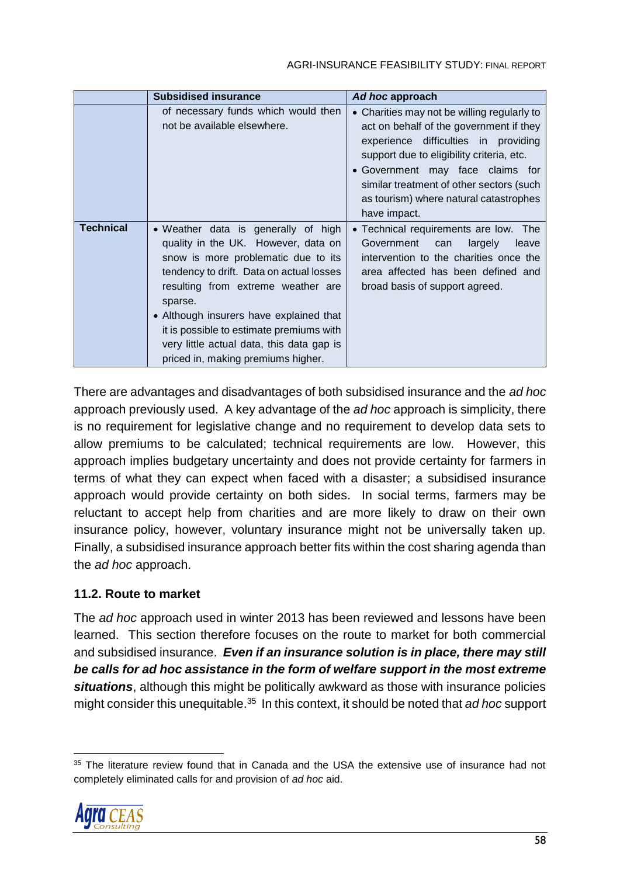#### AGRI-INSURANCE FEASIBILITY STUDY: FINAL REPORT

|                  | <b>Subsidised insurance</b>                                                                                                                                                                                                                                                                                                                                                              | Ad hoc approach                                                                                                                                                                                                                                                                                                       |
|------------------|------------------------------------------------------------------------------------------------------------------------------------------------------------------------------------------------------------------------------------------------------------------------------------------------------------------------------------------------------------------------------------------|-----------------------------------------------------------------------------------------------------------------------------------------------------------------------------------------------------------------------------------------------------------------------------------------------------------------------|
|                  | of necessary funds which would then<br>not be available elsewhere.                                                                                                                                                                                                                                                                                                                       | • Charities may not be willing regularly to<br>act on behalf of the government if they<br>experience difficulties in providing<br>support due to eligibility criteria, etc.<br>• Government may face claims for<br>similar treatment of other sectors (such<br>as tourism) where natural catastrophes<br>have impact. |
| <b>Technical</b> | • Weather data is generally of high<br>quality in the UK. However, data on<br>snow is more problematic due to its<br>tendency to drift. Data on actual losses<br>resulting from extreme weather are<br>sparse.<br>• Although insurers have explained that<br>it is possible to estimate premiums with<br>very little actual data, this data gap is<br>priced in, making premiums higher. | • Technical requirements are low. The<br>Government<br>largely<br>can<br>leave<br>intervention to the charities once the<br>area affected has been defined and<br>broad basis of support agreed.                                                                                                                      |

There are advantages and disadvantages of both subsidised insurance and the *ad hoc* approach previously used. A key advantage of the *ad hoc* approach is simplicity, there is no requirement for legislative change and no requirement to develop data sets to allow premiums to be calculated; technical requirements are low. However, this approach implies budgetary uncertainty and does not provide certainty for farmers in terms of what they can expect when faced with a disaster; a subsidised insurance approach would provide certainty on both sides. In social terms, farmers may be reluctant to accept help from charities and are more likely to draw on their own insurance policy, however, voluntary insurance might not be universally taken up. Finally, a subsidised insurance approach better fits within the cost sharing agenda than the *ad hoc* approach.

## **11.2. Route to market**

The *ad hoc* approach used in winter 2013 has been reviewed and lessons have been learned. This section therefore focuses on the route to market for both commercial and subsidised insurance. *Even if an insurance solution is in place, there may still be calls for ad hoc assistance in the form of welfare support in the most extreme situations*, although this might be politically awkward as those with insurance policies might consider this unequitable. 35 In this context, it should be noted that *ad hoc* support

 <sup>35</sup> The literature review found that in Canada and the USA the extensive use of insurance had not completely eliminated calls for and provision of *ad hoc* aid.

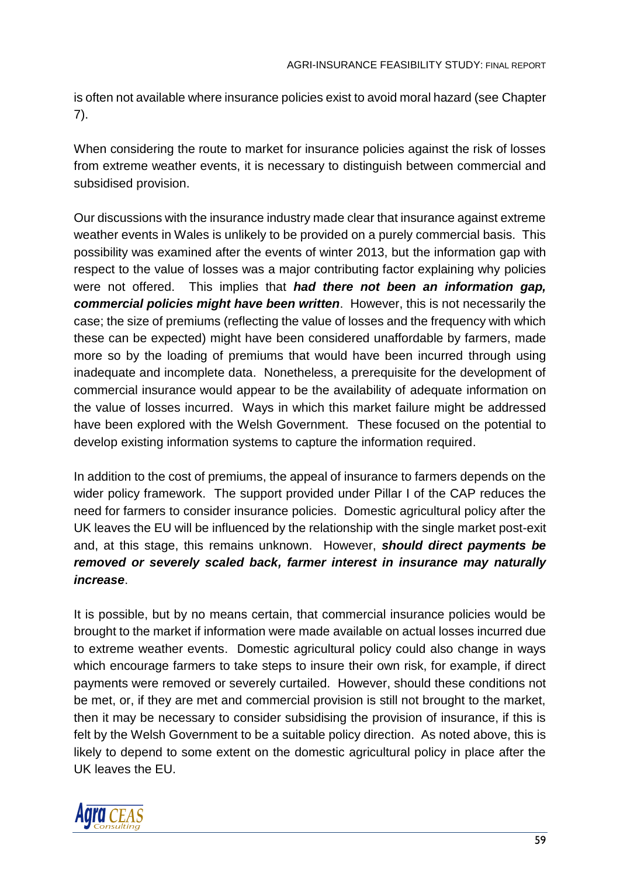is often not available where insurance policies exist to avoid moral hazard (see Chapter 7).

When considering the route to market for insurance policies against the risk of losses from extreme weather events, it is necessary to distinguish between commercial and subsidised provision.

Our discussions with the insurance industry made clear that insurance against extreme weather events in Wales is unlikely to be provided on a purely commercial basis. This possibility was examined after the events of winter 2013, but the information gap with respect to the value of losses was a major contributing factor explaining why policies were not offered. This implies that *had there not been an information gap, commercial policies might have been written*. However, this is not necessarily the case; the size of premiums (reflecting the value of losses and the frequency with which these can be expected) might have been considered unaffordable by farmers, made more so by the loading of premiums that would have been incurred through using inadequate and incomplete data. Nonetheless, a prerequisite for the development of commercial insurance would appear to be the availability of adequate information on the value of losses incurred. Ways in which this market failure might be addressed have been explored with the Welsh Government. These focused on the potential to develop existing information systems to capture the information required.

In addition to the cost of premiums, the appeal of insurance to farmers depends on the wider policy framework. The support provided under Pillar I of the CAP reduces the need for farmers to consider insurance policies. Domestic agricultural policy after the UK leaves the EU will be influenced by the relationship with the single market post-exit and, at this stage, this remains unknown. However, *should direct payments be removed or severely scaled back, farmer interest in insurance may naturally increase*.

It is possible, but by no means certain, that commercial insurance policies would be brought to the market if information were made available on actual losses incurred due to extreme weather events. Domestic agricultural policy could also change in ways which encourage farmers to take steps to insure their own risk, for example, if direct payments were removed or severely curtailed. However, should these conditions not be met, or, if they are met and commercial provision is still not brought to the market, then it may be necessary to consider subsidising the provision of insurance, if this is felt by the Welsh Government to be a suitable policy direction. As noted above, this is likely to depend to some extent on the domestic agricultural policy in place after the UK leaves the EU.

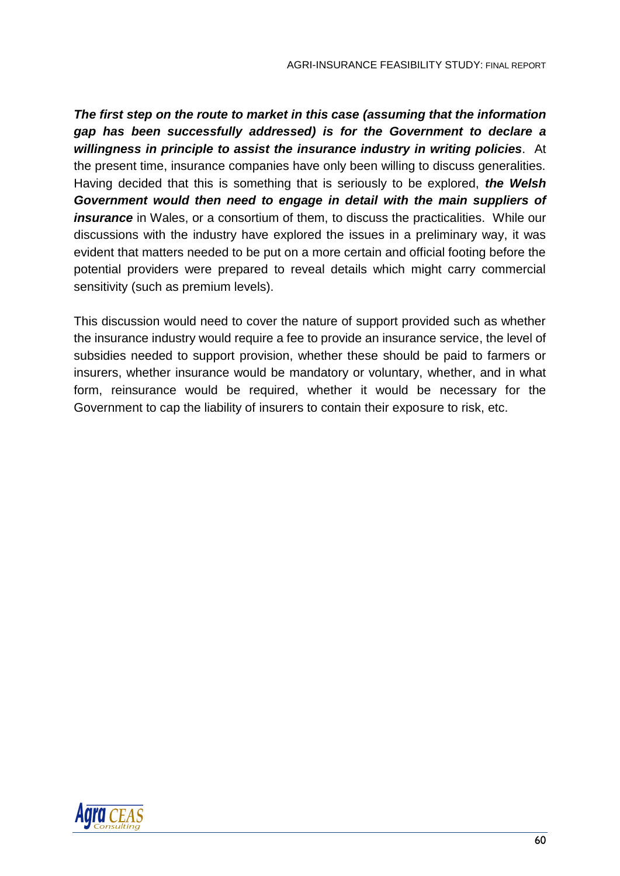*The first step on the route to market in this case (assuming that the information gap has been successfully addressed) is for the Government to declare a willingness in principle to assist the insurance industry in writing policies*. At the present time, insurance companies have only been willing to discuss generalities. Having decided that this is something that is seriously to be explored, *the Welsh Government would then need to engage in detail with the main suppliers of insurance* in Wales, or a consortium of them, to discuss the practicalities. While our discussions with the industry have explored the issues in a preliminary way, it was evident that matters needed to be put on a more certain and official footing before the potential providers were prepared to reveal details which might carry commercial sensitivity (such as premium levels).

This discussion would need to cover the nature of support provided such as whether the insurance industry would require a fee to provide an insurance service, the level of subsidies needed to support provision, whether these should be paid to farmers or insurers, whether insurance would be mandatory or voluntary, whether, and in what form, reinsurance would be required, whether it would be necessary for the Government to cap the liability of insurers to contain their exposure to risk, etc.

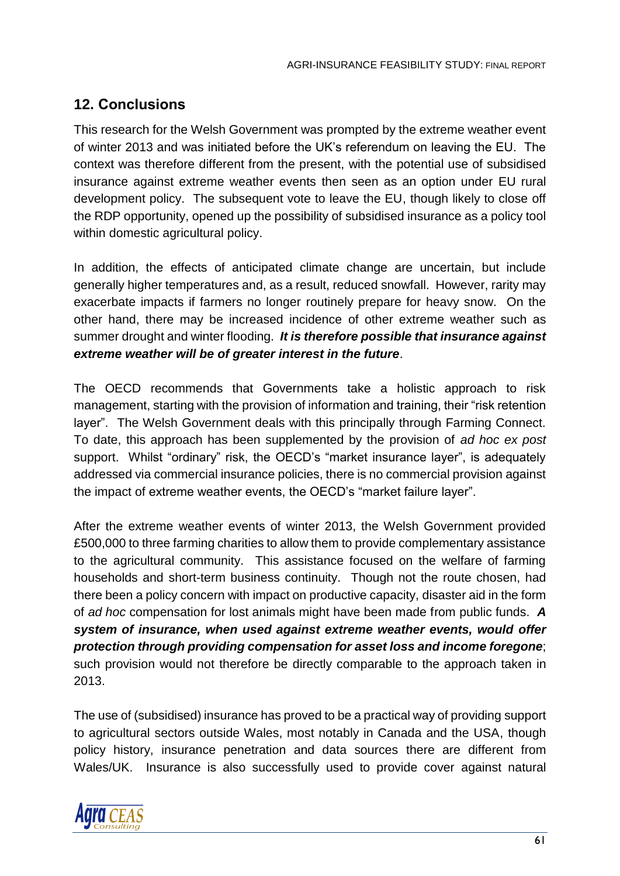# **12. Conclusions**

This research for the Welsh Government was prompted by the extreme weather event of winter 2013 and was initiated before the UK's referendum on leaving the EU. The context was therefore different from the present, with the potential use of subsidised insurance against extreme weather events then seen as an option under EU rural development policy. The subsequent vote to leave the EU, though likely to close off the RDP opportunity, opened up the possibility of subsidised insurance as a policy tool within domestic agricultural policy.

In addition, the effects of anticipated climate change are uncertain, but include generally higher temperatures and, as a result, reduced snowfall. However, rarity may exacerbate impacts if farmers no longer routinely prepare for heavy snow. On the other hand, there may be increased incidence of other extreme weather such as summer drought and winter flooding. *It is therefore possible that insurance against extreme weather will be of greater interest in the future*.

The OECD recommends that Governments take a holistic approach to risk management, starting with the provision of information and training, their "risk retention layer". The Welsh Government deals with this principally through Farming Connect. To date, this approach has been supplemented by the provision of *ad hoc ex post* support. Whilst "ordinary" risk, the OECD's "market insurance layer", is adequately addressed via commercial insurance policies, there is no commercial provision against the impact of extreme weather events, the OECD's "market failure layer".

After the extreme weather events of winter 2013, the Welsh Government provided £500,000 to three farming charities to allow them to provide complementary assistance to the agricultural community. This assistance focused on the welfare of farming households and short-term business continuity. Though not the route chosen, had there been a policy concern with impact on productive capacity, disaster aid in the form of *ad hoc* compensation for lost animals might have been made from public funds. *A system of insurance, when used against extreme weather events, would offer protection through providing compensation for asset loss and income foregone*; such provision would not therefore be directly comparable to the approach taken in 2013.

The use of (subsidised) insurance has proved to be a practical way of providing support to agricultural sectors outside Wales, most notably in Canada and the USA, though policy history, insurance penetration and data sources there are different from Wales/UK. Insurance is also successfully used to provide cover against natural

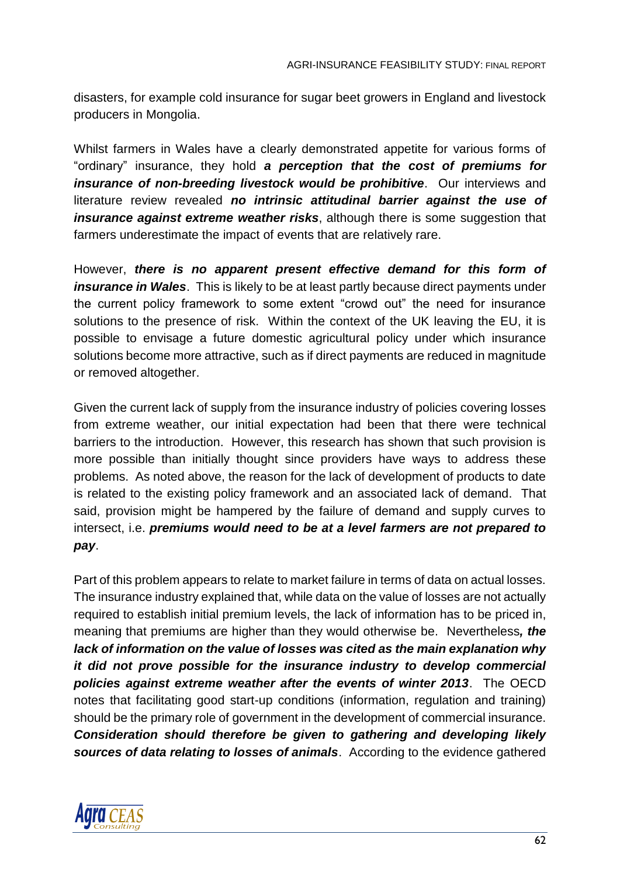disasters, for example cold insurance for sugar beet growers in England and livestock producers in Mongolia.

Whilst farmers in Wales have a clearly demonstrated appetite for various forms of "ordinary" insurance, they hold *a perception that the cost of premiums for insurance of non-breeding livestock would be prohibitive*. Our interviews and literature review revealed *no intrinsic attitudinal barrier against the use of insurance against extreme weather risks*, although there is some suggestion that farmers underestimate the impact of events that are relatively rare.

However, *there is no apparent present effective demand for this form of insurance in Wales*. This is likely to be at least partly because direct payments under the current policy framework to some extent "crowd out" the need for insurance solutions to the presence of risk. Within the context of the UK leaving the EU, it is possible to envisage a future domestic agricultural policy under which insurance solutions become more attractive, such as if direct payments are reduced in magnitude or removed altogether.

Given the current lack of supply from the insurance industry of policies covering losses from extreme weather, our initial expectation had been that there were technical barriers to the introduction. However, this research has shown that such provision is more possible than initially thought since providers have ways to address these problems. As noted above, the reason for the lack of development of products to date is related to the existing policy framework and an associated lack of demand. That said, provision might be hampered by the failure of demand and supply curves to intersect, i.e. *premiums would need to be at a level farmers are not prepared to pay*.

Part of this problem appears to relate to market failure in terms of data on actual losses. The insurance industry explained that, while data on the value of losses are not actually required to establish initial premium levels, the lack of information has to be priced in, meaning that premiums are higher than they would otherwise be. Nevertheless*, the lack of information on the value of losses was cited as the main explanation why it did not prove possible for the insurance industry to develop commercial policies against extreme weather after the events of winter 2013*. The OECD notes that facilitating good start-up conditions (information, regulation and training) should be the primary role of government in the development of commercial insurance. *Consideration should therefore be given to gathering and developing likely sources of data relating to losses of animals*. According to the evidence gathered

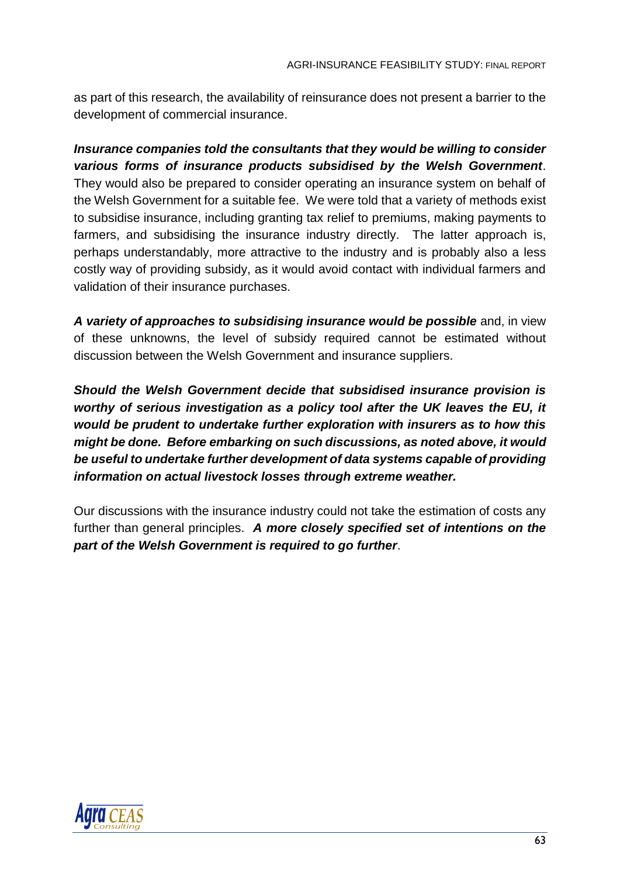as part of this research, the availability of reinsurance does not present a barrier to the development of commercial insurance.

*Insurance companies told the consultants that they would be willing to consider various forms of insurance products subsidised by the Welsh Government*. They would also be prepared to consider operating an insurance system on behalf of the Welsh Government for a suitable fee. We were told that a variety of methods exist to subsidise insurance, including granting tax relief to premiums, making payments to farmers, and subsidising the insurance industry directly. The latter approach is, perhaps understandably, more attractive to the industry and is probably also a less costly way of providing subsidy, as it would avoid contact with individual farmers and validation of their insurance purchases.

*A variety of approaches to subsidising insurance would be possible* and, in view of these unknowns, the level of subsidy required cannot be estimated without discussion between the Welsh Government and insurance suppliers.

*Should the Welsh Government decide that subsidised insurance provision is worthy of serious investigation as a policy tool after the UK leaves the EU, it would be prudent to undertake further exploration with insurers as to how this might be done. Before embarking on such discussions, as noted above, it would be useful to undertake further development of data systems capable of providing information on actual livestock losses through extreme weather.*

Our discussions with the insurance industry could not take the estimation of costs any further than general principles. *A more closely specified set of intentions on the part of the Welsh Government is required to go further*.

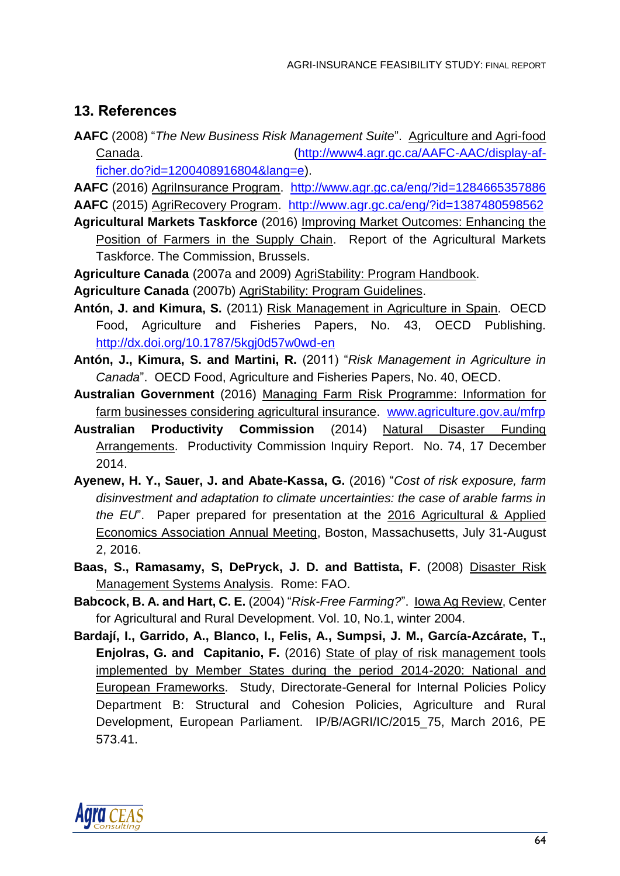# **13. References**

**AAFC** (2008) "*The New Business Risk Management Suite*". Agriculture and Agri-food Canada. [\(http://www4.agr.gc.ca/AAFC-AAC/display-af](http://www4.agr.gc.ca/AAFC-AAC/display-af-ficher.do?id=1200408916804&lang=e)[ficher.do?id=1200408916804&lang=e\)](http://www4.agr.gc.ca/AAFC-AAC/display-af-ficher.do?id=1200408916804&lang=e).

**AAFC** (2016) AgriInsurance Program. <http://www.agr.gc.ca/eng/?id=1284665357886> **AAFC** (2015) AgriRecovery Program. <http://www.agr.gc.ca/eng/?id=1387480598562>

- **Agricultural Markets Taskforce** (2016) Improving Market Outcomes: Enhancing the Position of Farmers in the Supply Chain. Report of the Agricultural Markets Taskforce. The Commission, Brussels.
- **Agriculture Canada** (2007a and 2009) AgriStability: Program Handbook.
- **Agriculture Canada** (2007b) AgriStability: Program Guidelines.
- **Antón, J. and Kimura, S.** (2011) Risk Management in Agriculture in Spain. OECD Food, Agriculture and Fisheries Papers, No. 43, OECD Publishing. <http://dx.doi.org/10.1787/5kgj0d57w0wd-en>
- **Antón, J., Kimura, S. and Martini, R.** (2011) "*Risk Management in Agriculture in Canada*". OECD Food, Agriculture and Fisheries Papers, No. 40, OECD.
- **Australian Government** (2016) Managing Farm Risk Programme: Information for farm businesses considering agricultural insurance. [www.agriculture.gov.au/mfrp](http://www.agriculture.gov.au/mfrp)
- **Australian Productivity Commission** (2014) Natural Disaster Funding Arrangements. Productivity Commission Inquiry Report. No. 74, 17 December 2014.
- **Ayenew, H. Y., Sauer, J. and Abate-Kassa, G.** (2016) "*Cost of risk exposure, farm disinvestment and adaptation to climate uncertainties: the case of arable farms in the EU*". Paper prepared for presentation at the 2016 Agricultural & Applied Economics Association Annual Meeting, Boston, Massachusetts, July 31-August 2, 2016.
- **Baas, S., Ramasamy, S, DePryck, J. D. and Battista, F.** (2008) Disaster Risk Management Systems Analysis. Rome: FAO.
- **Babcock, B. A. and Hart, C. E.** (2004) "*Risk-Free Farming?*". Iowa Ag Review, Center for Agricultural and Rural Development. Vol. 10, No.1, winter 2004.
- **Bardají, I., Garrido, A., Blanco, I., Felis, A., Sumpsi, J. M., García-Azcárate, T., Enjolras, G. and Capitanio, F.** (2016) State of play of risk management tools implemented by Member States during the period 2014-2020: National and European Frameworks. Study, Directorate-General for Internal Policies Policy Department B: Structural and Cohesion Policies, Agriculture and Rural Development, European Parliament. IP/B/AGRI/IC/2015\_75, March 2016, PE 573.41.

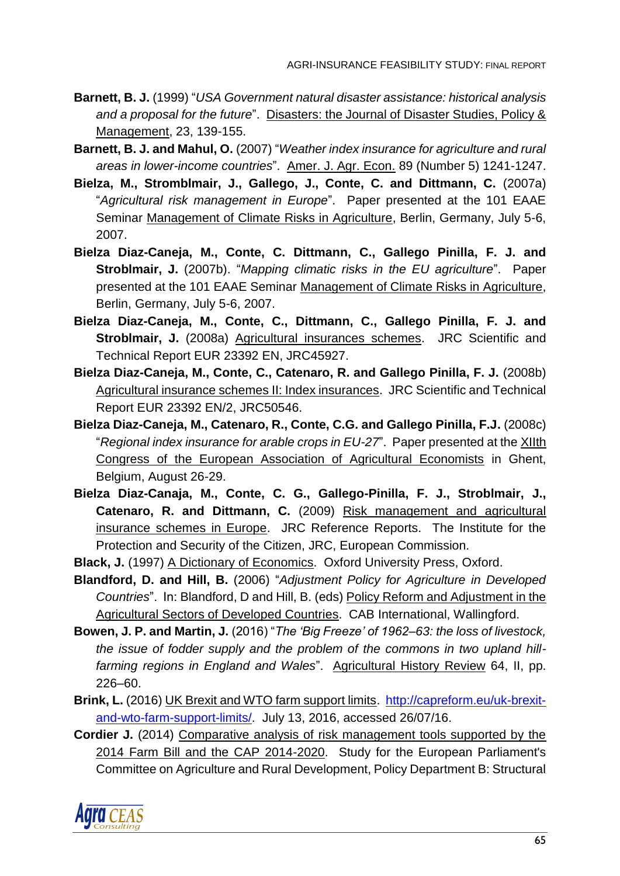- **Barnett, B. J.** (1999) "*USA Government natural disaster assistance: historical analysis and a proposal for the future*". Disasters: the Journal of Disaster Studies, Policy & Management, 23, 139-155.
- **Barnett, B. J. and Mahul, O.** (2007) "*Weather index insurance for agriculture and rural areas in lower-income countries*". Amer. J. Agr. Econ. 89 (Number 5) 1241-1247.
- **Bielza, M., Stromblmair, J., Gallego, J., Conte, C. and Dittmann, C.** (2007a) "*Agricultural risk management in Europe*". Paper presented at the 101 EAAE Seminar Management of Climate Risks in Agriculture, Berlin, Germany, July 5-6, 2007.
- **Bielza Diaz-Caneja, M., Conte, C. Dittmann, C., Gallego Pinilla, F. J. and Stroblmair, J.** (2007b). "*Mapping climatic risks in the EU agriculture*". Paper presented at the 101 EAAE Seminar Management of Climate Risks in Agriculture, Berlin, Germany, July 5-6, 2007.
- **Bielza Diaz-Caneja, M., Conte, C., Dittmann, C., Gallego Pinilla, F. J. and Stroblmair, J.** (2008a) Agricultural insurances schemes. JRC Scientific and Technical Report EUR 23392 EN, JRC45927.
- **Bielza Diaz-Caneja, M., Conte, C., Catenaro, R. and Gallego Pinilla, F. J.** (2008b) Agricultural insurance schemes II: Index insurances. JRC Scientific and Technical Report EUR 23392 EN/2, JRC50546.
- **Bielza Diaz-Caneja, M., Catenaro, R., Conte, C.G. and Gallego Pinilla, F.J.** (2008c) "*Regional index insurance for arable crops in EU-27*". Paper presented at the XIIth Congress of the European Association of Agricultural Economists in Ghent, Belgium, August 26-29.
- **Bielza Diaz-Canaja, M., Conte, C. G., Gallego-Pinilla, F. J., Stroblmair, J., Catenaro, R. and Dittmann, C.** (2009) Risk management and agricultural insurance schemes in Europe. JRC Reference Reports. The Institute for the Protection and Security of the Citizen, JRC, European Commission.
- **Black, J.** (1997) A Dictionary of Economics. Oxford University Press, Oxford.
- **Blandford, D. and Hill, B.** (2006) "*Adjustment Policy for Agriculture in Developed Countries*". In: Blandford, D and Hill, B. (eds) Policy Reform and Adjustment in the Agricultural Sectors of Developed Countries. CAB International, Wallingford.
- **Bowen, J. P. and Martin, J.** (2016) "*The 'Big Freeze' of 1962–63: the loss of livestock, the issue of fodder supply and the problem of the commons in two upland hillfarming regions in England and Wales*". Agricultural History Review 64, II, pp. 226–60.
- **Brink, L.** (2016) UK Brexit and WTO farm support limits. [http://capreform.eu/uk-brexit](http://capreform.eu/uk-brexit-and-wto-farm-support-limits/)[and-wto-farm-support-limits/.](http://capreform.eu/uk-brexit-and-wto-farm-support-limits/) July 13, 2016, accessed 26/07/16.
- **Cordier J.** (2014) Comparative analysis of risk management tools supported by the 2014 Farm Bill and the CAP 2014-2020. Study for the European Parliament's Committee on Agriculture and Rural Development, Policy Department B: Structural

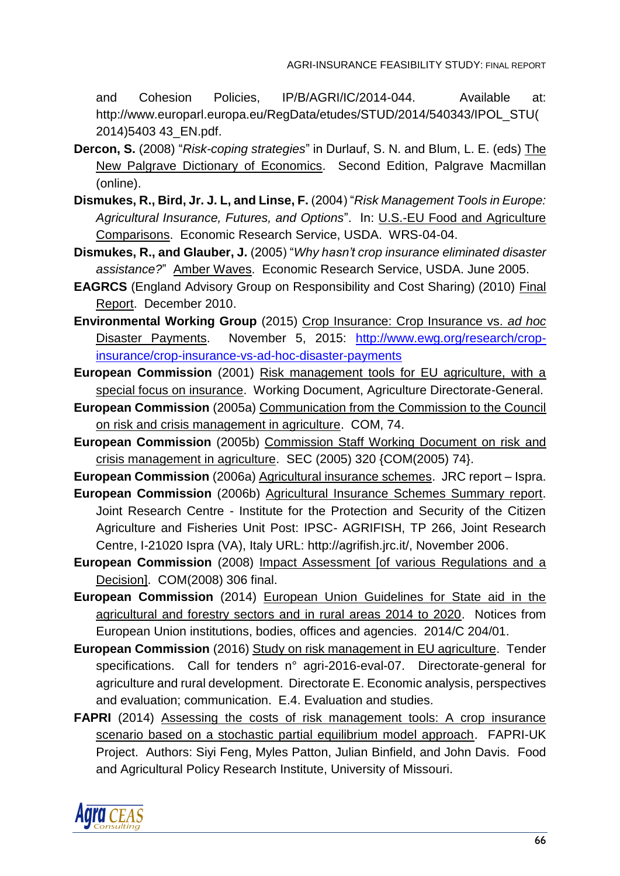and Cohesion Policies, IP/B/AGRI/IC/2014-044. Available at: http://www.europarl.europa.eu/RegData/etudes/STUD/2014/540343/IPOL\_STU( 2014)5403 43\_EN.pdf.

- **Dercon, S.** (2008) "*Risk-coping strategies*" in Durlauf, S. N. and Blum, L. E. (eds) The New Palgrave Dictionary of Economics. Second Edition, Palgrave Macmillan (online).
- **Dismukes, R., Bird, Jr. J. L, and Linse, F.** (2004) "*Risk Management Tools in Europe: Agricultural Insurance, Futures, and Options*". In: U.S.-EU Food and Agriculture Comparisons. Economic Research Service, USDA. WRS-04-04.
- **Dismukes, R., and Glauber, J.** (2005) "*Why hasn't crop insurance eliminated disaster assistance?*" Amber Waves. Economic Research Service, USDA. June 2005.
- **EAGRCS** (England Advisory Group on Responsibility and Cost Sharing) (2010) Final Report. December 2010.
- **Environmental Working Group** (2015) Crop Insurance: Crop Insurance vs. *ad hoc* Disaster Payments. November 5, 2015: [http://www.ewg.org/research/crop](http://www.ewg.org/research/crop-insurance/crop-insurance-vs-ad-hoc-disaster-payments)[insurance/crop-insurance-vs-ad-hoc-disaster-payments](http://www.ewg.org/research/crop-insurance/crop-insurance-vs-ad-hoc-disaster-payments)
- **European Commission** (2001) Risk management tools for EU agriculture, with a special focus on insurance. Working Document, Agriculture Directorate-General.
- **European Commission** (2005a) Communication from the Commission to the Council on risk and crisis management in agriculture. COM, 74.
- **European Commission** (2005b) Commission Staff Working Document on risk and crisis management in agriculture. SEC (2005) 320 {COM(2005) 74}.

**European Commission** (2006a) Agricultural insurance schemes. JRC report – Ispra.

- **European Commission** (2006b) Agricultural Insurance Schemes Summary report. Joint Research Centre - Institute for the Protection and Security of the Citizen Agriculture and Fisheries Unit Post: IPSC- AGRIFISH, TP 266, Joint Research Centre, I-21020 Ispra (VA), Italy URL: http://agrifish.jrc.it/, November 2006.
- **European Commission** (2008) Impact Assessment [of various Regulations and a Decision]. COM(2008) 306 final.
- **European Commission** (2014) European Union Guidelines for State aid in the agricultural and forestry sectors and in rural areas 2014 to 2020. Notices from European Union institutions, bodies, offices and agencies. 2014/C 204/01.
- **European Commission** (2016) Study on risk management in EU agriculture. Tender specifications. Call for tenders n° agri-2016-eval-07. Directorate-general for agriculture and rural development. Directorate E. Economic analysis, perspectives and evaluation; communication. E.4. Evaluation and studies.
- **FAPRI** (2014) Assessing the costs of risk management tools: A crop insurance scenario based on a stochastic partial equilibrium model approach. FAPRI-UK Project. Authors: Siyi Feng, Myles Patton, Julian Binfield, and John Davis. Food and Agricultural Policy Research Institute, University of Missouri.

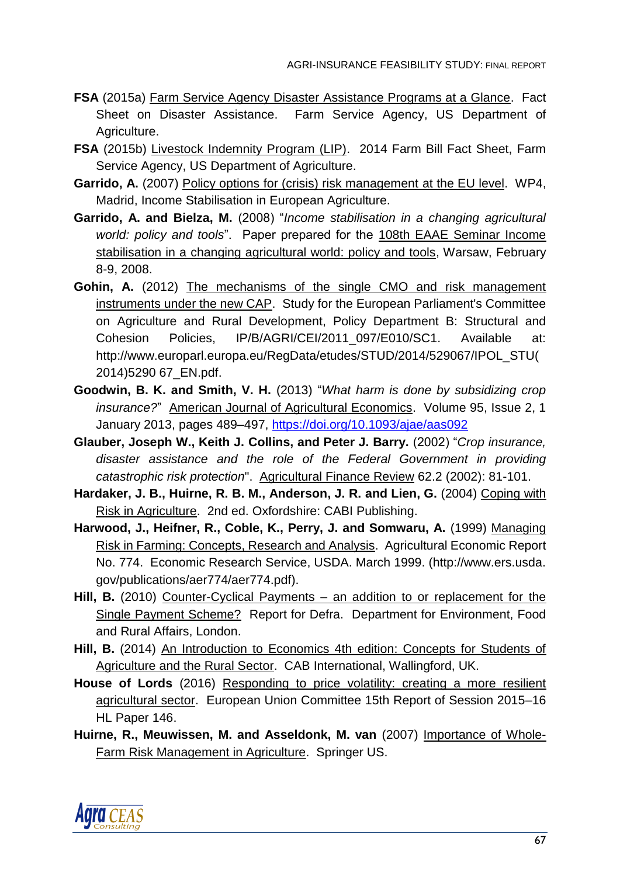- **FSA** (2015a) Farm Service Agency Disaster Assistance Programs at a Glance. Fact Sheet on Disaster Assistance. Farm Service Agency, US Department of Agriculture.
- **FSA** (2015b) Livestock Indemnity Program (LIP). 2014 Farm Bill Fact Sheet, Farm Service Agency, US Department of Agriculture.
- **Garrido, A.** (2007) Policy options for (crisis) risk management at the EU level. WP4, Madrid, Income Stabilisation in European Agriculture.
- **Garrido, A. and Bielza, M.** (2008) "*Income stabilisation in a changing agricultural world: policy and tools*". Paper prepared for the 108th EAAE Seminar Income stabilisation in a changing agricultural world: policy and tools, Warsaw, February 8-9, 2008.
- Gohin, A. (2012) The mechanisms of the single CMO and risk management instruments under the new CAP. Study for the European Parliament's Committee on Agriculture and Rural Development, Policy Department B: Structural and Cohesion Policies, IP/B/AGRI/CEI/2011\_097/E010/SC1. Available at: http://www.europarl.europa.eu/RegData/etudes/STUD/2014/529067/IPOL\_STU( 2014)5290 67\_EN.pdf.
- **Goodwin, B. K. and Smith, V. H.** (2013) "*What harm is done by subsidizing crop insurance?*" American Journal of Agricultural Economics. Volume 95, Issue 2, 1 January 2013, pages 489–497,<https://doi.org/10.1093/ajae/aas092>
- **Glauber, Joseph W., Keith J. Collins, and Peter J. Barry.** (2002) "*Crop insurance, disaster assistance and the role of the Federal Government in providing catastrophic risk protection*". Agricultural Finance Review 62.2 (2002): 81-101.
- **Hardaker, J. B., Huirne, R. B. M., Anderson, J. R. and Lien, G.** (2004) Coping with Risk in Agriculture. 2nd ed. Oxfordshire: CABI Publishing.
- **Harwood, J., Heifner, R., Coble, K., Perry, J. and Somwaru, A.** (1999) Managing Risk in Farming: Concepts, Research and Analysis. Agricultural Economic Report No. 774. Economic Research Service, USDA. March 1999. (http://www.ers.usda. gov/publications/aer774/aer774.pdf).
- **Hill, B.** (2010) Counter-Cyclical Payments an addition to or replacement for the Single Payment Scheme? Report for Defra. Department for Environment, Food and Rural Affairs, London.
- **Hill, B.** (2014) An Introduction to Economics 4th edition: Concepts for Students of Agriculture and the Rural Sector. CAB International, Wallingford, UK.
- **House of Lords** (2016) Responding to price volatility: creating a more resilient agricultural sector. European Union Committee 15th Report of Session 2015–16 HL Paper 146.
- **Huirne, R., Meuwissen, M. and Asseldonk, M. van** (2007) Importance of Whole-Farm Risk Management in Agriculture. Springer US.

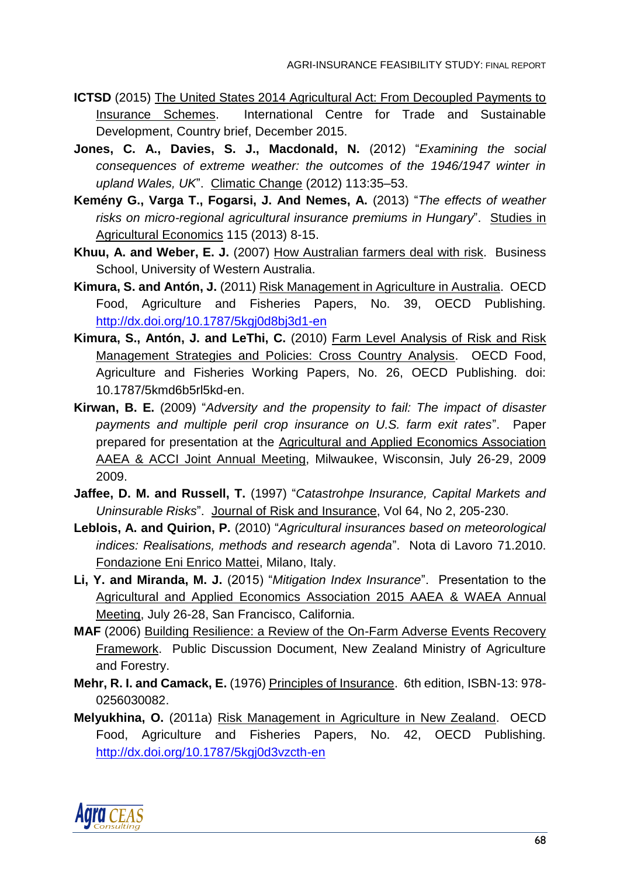- **ICTSD** (2015) The United States 2014 Agricultural Act: From Decoupled Payments to Insurance Schemes. International Centre for Trade and Sustainable Development, Country brief, December 2015.
- **Jones, C. A., Davies, S. J., Macdonald, N.** (2012) "*Examining the social consequences of extreme weather: the outcomes of the 1946/1947 winter in upland Wales, UK*". Climatic Change (2012) 113:35–53.
- **Kemény G., Varga T., Fogarsi, J. And Nemes, A.** (2013) "*The effects of weather risks on micro-regional agricultural insurance premiums in Hungary*". Studies in Agricultural Economics 115 (2013) 8-15.
- **Khuu, A. and Weber, E. J.** (2007) How Australian farmers deal with risk. Business School, University of Western Australia.
- **Kimura, S. and Antón, J.** (2011) Risk Management in Agriculture in Australia. OECD Food, Agriculture and Fisheries Papers, No. 39, OECD Publishing. <http://dx.doi.org/10.1787/5kgj0d8bj3d1-en>
- **Kimura, S., Antón, J. and LeThi, C.** (2010) Farm Level Analysis of Risk and Risk Management Strategies and Policies: Cross Country Analysis. OECD Food, Agriculture and Fisheries Working Papers, No. 26, OECD Publishing. doi: 10.1787/5kmd6b5rl5kd-en.
- **Kirwan, B. E.** (2009) "*Adversity and the propensity to fail: The impact of disaster payments and multiple peril crop insurance on U.S. farm exit rates*". Paper prepared for presentation at the Agricultural and Applied Economics Association AAEA & ACCI Joint Annual Meeting, Milwaukee, Wisconsin, July 26-29, 2009 2009.
- **Jaffee, D. M. and Russell, T.** (1997) "*Catastrohpe Insurance, Capital Markets and Uninsurable Risks*". Journal of Risk and Insurance, Vol 64, No 2, 205-230.
- **Leblois, A. and Quirion, P.** (2010) "*Agricultural insurances based on meteorological indices: Realisations, methods and research agenda*". Nota di Lavoro 71.2010. Fondazione Eni Enrico Mattei, Milano, Italy.
- **Li, Y. and Miranda, M. J.** (2015) "*Mitigation Index Insurance*". Presentation to the Agricultural and Applied Economics Association 2015 AAEA & WAEA Annual Meeting, July 26-28, San Francisco, California.
- **MAF** (2006) Building Resilience: a Review of the On-Farm Adverse Events Recovery Framework. Public Discussion Document, New Zealand Ministry of Agriculture and Forestry.
- **Mehr, R. I. and Camack, E.** (1976) Principles of Insurance. 6th edition, ISBN-13: 978- 0256030082.
- **Melyukhina, O.** (2011a) Risk Management in Agriculture in New Zealand. OECD Food, Agriculture and Fisheries Papers, No. 42, OECD Publishing. <http://dx.doi.org/10.1787/5kgj0d3vzcth-en>

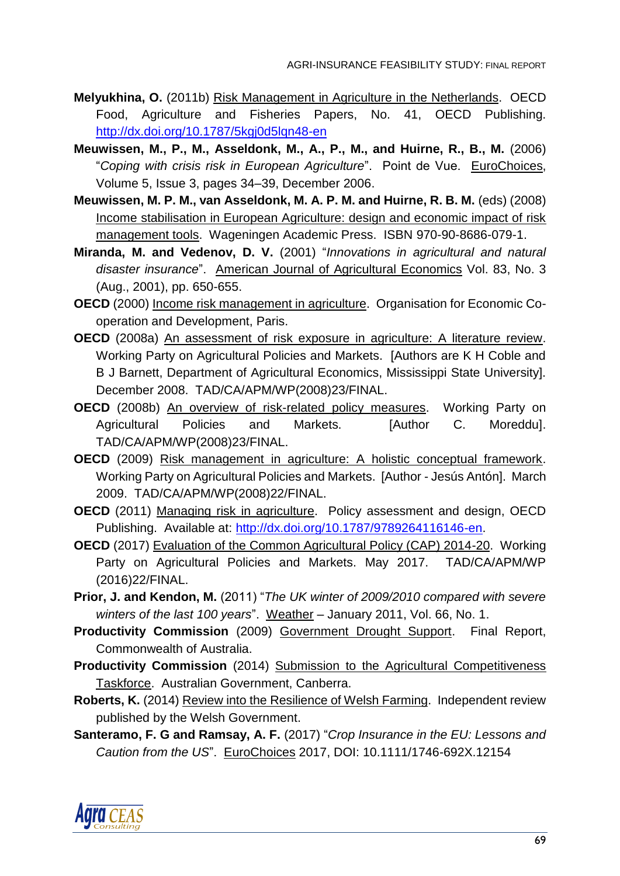- **Melyukhina, O.** (2011b) Risk Management in Agriculture in the Netherlands. OECD Food, Agriculture and Fisheries Papers, No. 41, OECD Publishing. http://dx.doi.org/10.1787/5kgj0d5lgn48-en
- **Meuwissen, M., P., M., Asseldonk, M., A., P., M., and Huirne, R., B., M.** (2006) "*Coping with crisis risk in European Agriculture*". Point de Vue. EuroChoices, Volume 5, Issue 3, pages 34–39, December 2006.
- **Meuwissen, M. P. M., van Asseldonk, M. A. P. M. and Huirne, R. B. M.** (eds) (2008) Income stabilisation in European Agriculture: design and economic impact of risk management tools. Wageningen Academic Press. ISBN 970-90-8686-079-1.
- **Miranda, M. and Vedenov, D. V.** (2001) "*Innovations in agricultural and natural disaster insurance*". American Journal of Agricultural Economics Vol. 83, No. 3 (Aug., 2001), pp. 650-655.
- **OECD** (2000) Income risk management in agriculture. Organisation for Economic Cooperation and Development, Paris.
- **OECD** (2008a) An assessment of risk exposure in agriculture: A literature review. Working Party on Agricultural Policies and Markets. [Authors are K H Coble and B J Barnett, Department of Agricultural Economics, Mississippi State University]. December 2008. TAD/CA/APM/WP(2008)23/FINAL.
- **OECD** (2008b) An overview of risk-related policy measures. Working Party on Agricultural Policies and Markets. [Author C. Moreddu]. TAD/CA/APM/WP(2008)23/FINAL.
- **OECD** (2009) Risk management in agriculture: A holistic conceptual framework. Working Party on Agricultural Policies and Markets. [Author - Jesús Antón]. March 2009. TAD/CA/APM/WP(2008)22/FINAL.
- **OECD** (2011) Managing risk in agriculture. Policy assessment and design, OECD Publishing. Available at: [http://dx.doi.org/10.1787/9789264116146-en.](http://dx.doi.org/10.1787/9789264116146-en)
- **OECD** (2017) Evaluation of the Common Agricultural Policy (CAP) 2014-20. Working Party on Agricultural Policies and Markets. May 2017. TAD/CA/APM/WP (2016)22/FINAL.
- **Prior, J. and Kendon, M.** (2011) "*The UK winter of 2009/2010 compared with severe winters of the last 100 years*". Weather – January 2011, Vol. 66, No. 1.
- **Productivity Commission** (2009) Government Drought Support. Final Report, Commonwealth of Australia.
- **Productivity Commission** (2014) Submission to the Agricultural Competitiveness Taskforce. Australian Government, Canberra.
- **Roberts, K.** (2014) Review into the Resilience of Welsh Farming. Independent review published by the Welsh Government.
- **Santeramo, F. G and Ramsay, A. F.** (2017) "*Crop Insurance in the EU: Lessons and Caution from the US*". EuroChoices 2017, DOI: 10.1111/1746-692X.12154

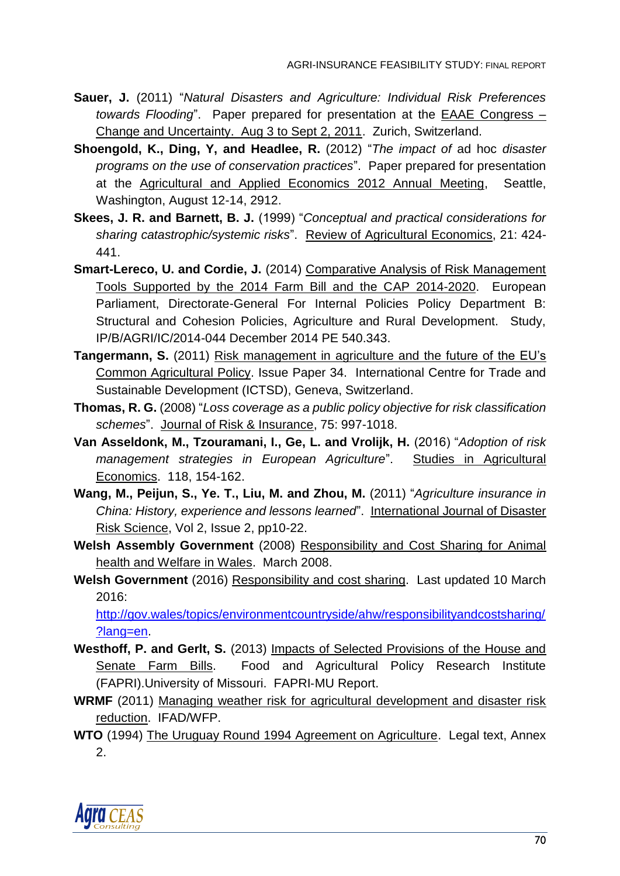- **Sauer, J.** (2011) "*Natural Disasters and Agriculture: Individual Risk Preferences towards Flooding*". Paper prepared for presentation at the EAAE Congress – Change and Uncertainty. Aug 3 to Sept 2, 2011. Zurich, Switzerland.
- **Shoengold, K., Ding, Y, and Headlee, R.** (2012) "*The impact of* ad hoc *disaster programs on the use of conservation practices*". Paper prepared for presentation at the Agricultural and Applied Economics 2012 Annual Meeting, Seattle, Washington, August 12-14, 2912.
- **Skees, J. R. and Barnett, B. J.** (1999) "*Conceptual and practical considerations for sharing catastrophic/systemic risks*". Review of Agricultural Economics, 21: 424- 441.
- **Smart-Lereco, U. and Cordie, J.** (2014) Comparative Analysis of Risk Management Tools Supported by the 2014 Farm Bill and the CAP 2014-2020. European Parliament, Directorate-General For Internal Policies Policy Department B: Structural and Cohesion Policies, Agriculture and Rural Development. Study, IP/B/AGRI/IC/2014-044 December 2014 PE 540.343.
- **Tangermann, S.** (2011) Risk management in agriculture and the future of the EU's Common Agricultural Policy. Issue Paper 34. International Centre for Trade and Sustainable Development (ICTSD), Geneva, Switzerland.
- **Thomas, R. G.** (2008) "*Loss coverage as a public policy objective for risk classification schemes*". Journal of Risk & Insurance, 75: 997-1018.
- **Van Asseldonk, M., Tzouramani, I., Ge, L. and Vrolijk, H.** (2016) "*Adoption of risk management strategies in European Agriculture*". Studies in Agricultural Economics. 118, 154-162.
- **Wang, M., Peijun, S., Ye. T., Liu, M. and Zhou, M.** (2011) "*Agriculture insurance in China: History, experience and lessons learned*". International Journal of Disaster Risk Science, Vol 2, Issue 2, pp10-22.
- **Welsh Assembly Government** (2008) Responsibility and Cost Sharing for Animal health and Welfare in Wales. March 2008.
- **Welsh Government** (2016) Responsibility and cost sharing. Last updated 10 March 2016:

[http://gov.wales/topics/environmentcountryside/ahw/responsibilityandcostsharing/](http://gov.wales/topics/environmentcountryside/ahw/responsibilityandcostsharing/?lang=en) [?lang=en.](http://gov.wales/topics/environmentcountryside/ahw/responsibilityandcostsharing/?lang=en)

- **Westhoff, P. and Gerlt, S.** (2013) Impacts of Selected Provisions of the House and Senate Farm Bills. Food and Agricultural Policy Research Institute (FAPRI).University of Missouri. FAPRI‐MU Report.
- **WRMF** (2011) Managing weather risk for agricultural development and disaster risk reduction. IFAD/WFP.
- **WTO** (1994) The Uruguay Round 1994 Agreement on Agriculture. Legal text, Annex 2.